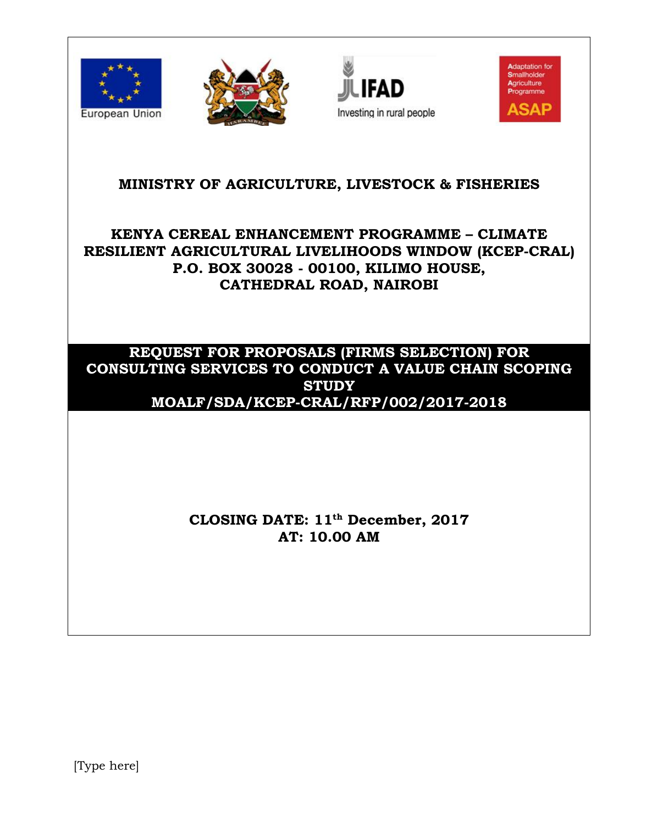







# **MINISTRY OF AGRICULTURE, LIVESTOCK & FISHERIES**

# **KENYA CEREAL ENHANCEMENT PROGRAMME – CLIMATE RESILIENT AGRICULTURAL LIVELIHOODS WINDOW (KCEP-CRAL) P.O. BOX 30028 - 00100, KILIMO HOUSE, CATHEDRAL ROAD, NAIROBI**

## **REQUEST FOR PROPOSALS (FIRMS SELECTION) FOR CONSULTING SERVICES TO CONDUCT A VALUE CHAIN SCOPING STUDY MOALF/SDA/KCEP-CRAL/RFP/002/2017-2018**

# **CLOSING DATE: 11th December, 2017 AT: 10.00 AM**

[Type here]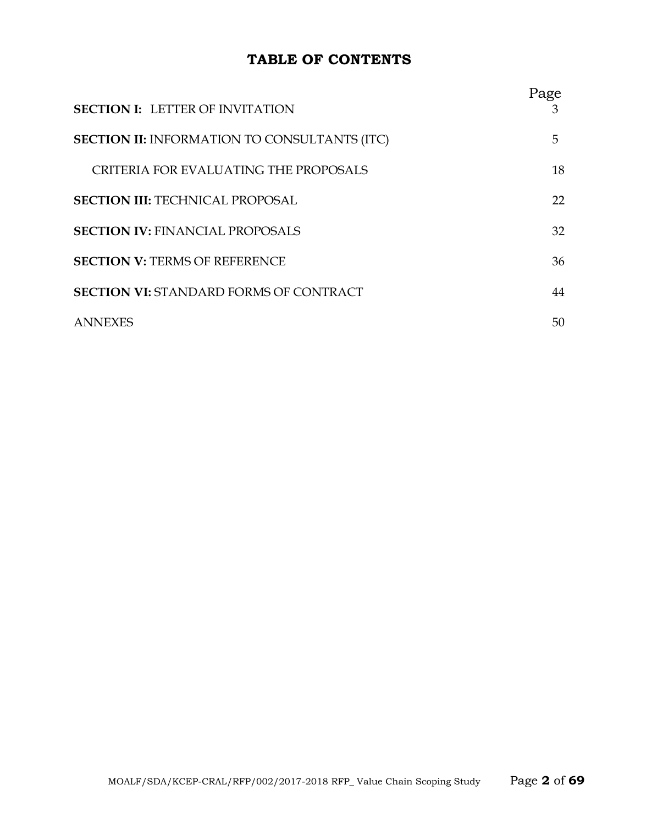## **TABLE OF CONTENTS**

| <b>SECTION I: LETTER OF INVITATION</b>              | Page |
|-----------------------------------------------------|------|
| <b>SECTION II: INFORMATION TO CONSULTANTS (ITC)</b> | 5    |
| CRITERIA FOR EVALUATING THE PROPOSALS               | 18   |
| <b>SECTION III: TECHNICAL PROPOSAL</b>              | 22   |
| <b>SECTION IV: FINANCIAL PROPOSALS</b>              | 32   |
| <b>SECTION V: TERMS OF REFERENCE</b>                | 36   |
| <b>SECTION VI: STANDARD FORMS OF CONTRACT</b>       | 44   |
| <b>ANNEXES</b>                                      | 50   |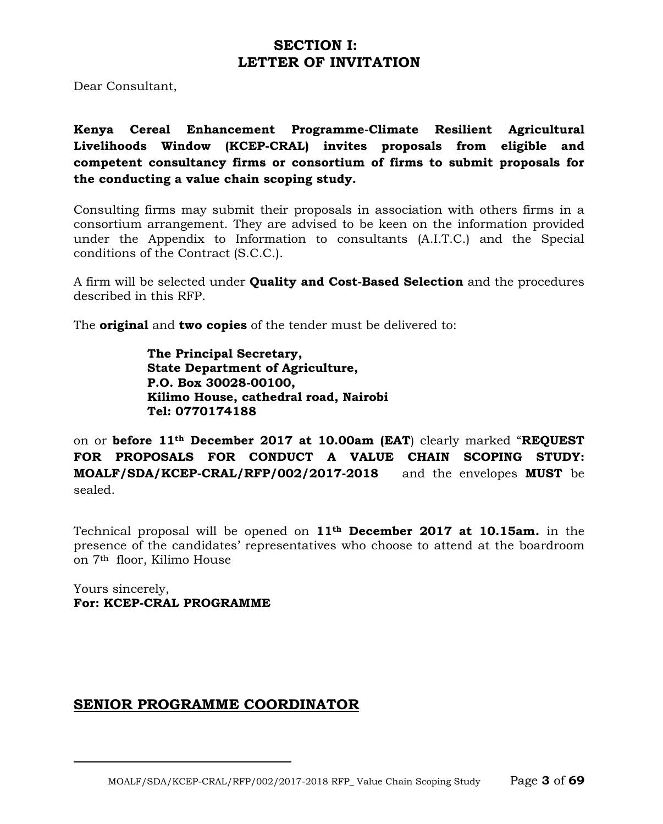## **SECTION I: LETTER OF INVITATION**

Dear Consultant,

**Kenya Cereal Enhancement Programme-Climate Resilient Agricultural Livelihoods Window (KCEP-CRAL) invites proposals from eligible and competent consultancy firms or consortium of firms to submit proposals for the conducting a value chain scoping study.**

Consulting firms may submit their proposals in association with others firms in a consortium arrangement. They are advised to be keen on the information provided under the Appendix to Information to consultants (A.I.T.C.) and the Special conditions of the Contract (S.C.C.).

A firm will be selected under **Quality and Cost-Based Selection** and the procedures described in this RFP.

The **original** and **two copies** of the tender must be delivered to:

**The Principal Secretary, State Department of Agriculture, P.O. Box 30028-00100, Kilimo House, cathedral road, Nairobi Tel: 0770174188**

on or **before 11th December 2017 at 10.00am (EAT**) clearly marked "**REQUEST FOR PROPOSALS FOR CONDUCT A VALUE CHAIN SCOPING STUDY: MOALF/SDA/KCEP-CRAL/RFP/002/2017-2018** and the envelopes **MUST** be sealed.

Technical proposal will be opened on **11th December 2017 at 10.15am***.* in the presence of the candidates' representatives who choose to attend at the boardroom on 7th floor, Kilimo House

Yours sincerely, **For: KCEP-CRAL PROGRAMME**

## **SENIOR PROGRAMME COORDINATOR**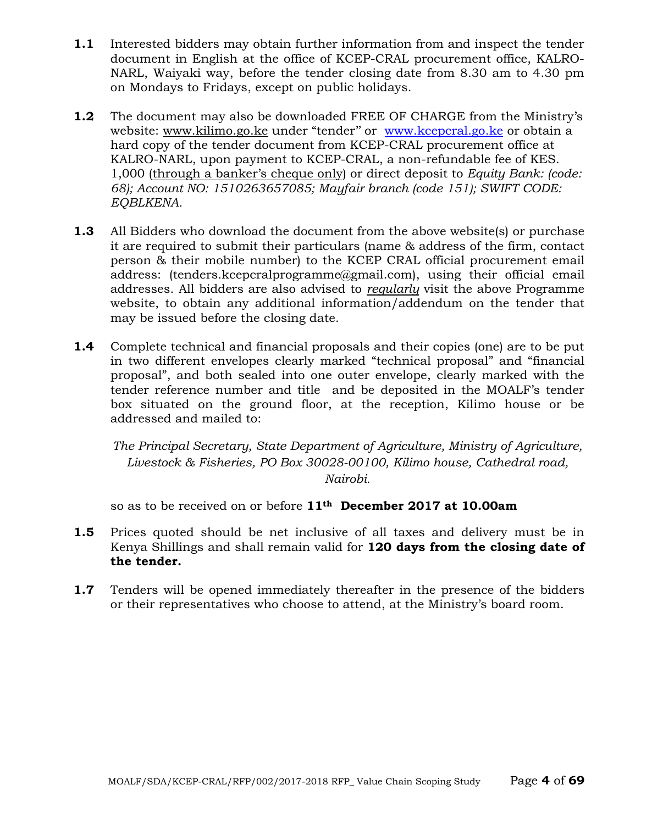- **1.1** Interested bidders may obtain further information from and inspect the tender document in English at the office of KCEP-CRAL procurement office, KALRO-NARL, Waiyaki way, before the tender closing date from 8.30 am to 4.30 pm on Mondays to Fridays, except on public holidays.
- **1.2** The document may also be downloaded FREE OF CHARGE from the Ministry's website: [www.kilimo.go.ke](http://www.kilimo.go.ke/) under "tender" or [www.kcepcral.go.ke](http://www.kcepcral.go.ke/) or obtain a hard copy of the tender document from KCEP-CRAL procurement office at KALRO-NARL, upon payment to KCEP-CRAL, a non-refundable fee of KES. 1,000 (through a banker's cheque only) or direct deposit to *Equity Bank: (code: 68); Account NO: 1510263657085; Mayfair branch (code 151); SWIFT CODE: EQBLKENA.*
- **1.3** All Bidders who download the document from the above website(s) or purchase it are required to submit their particulars (name & address of the firm, contact person & their mobile number) to the KCEP CRAL official procurement email address: (tenders.kcepcralprogramme@gmail.com), using their official email addresses. All bidders are also advised to *regularly* visit the above Programme website, to obtain any additional information/addendum on the tender that may be issued before the closing date.
- **1.4** Complete technical and financial proposals and their copies (one) are to be put in two different envelopes clearly marked "technical proposal" and "financial proposal", and both sealed into one outer envelope, clearly marked with the tender reference number and title and be deposited in the MOALF's tender box situated on the ground floor, at the reception, Kilimo house or be addressed and mailed to:

*The Principal Secretary, State Department of Agriculture, Ministry of Agriculture, Livestock & Fisheries, PO Box 30028-00100, Kilimo house, Cathedral road, Nairobi.*

so as to be received on or before **11th December 2017 at 10.00am**

- **1.5** Prices quoted should be net inclusive of all taxes and delivery must be in Kenya Shillings and shall remain valid for **120 days from the closing date of the tender.**
- **1.7** Tenders will be opened immediately thereafter in the presence of the bidders or their representatives who choose to attend, at the Ministry's board room.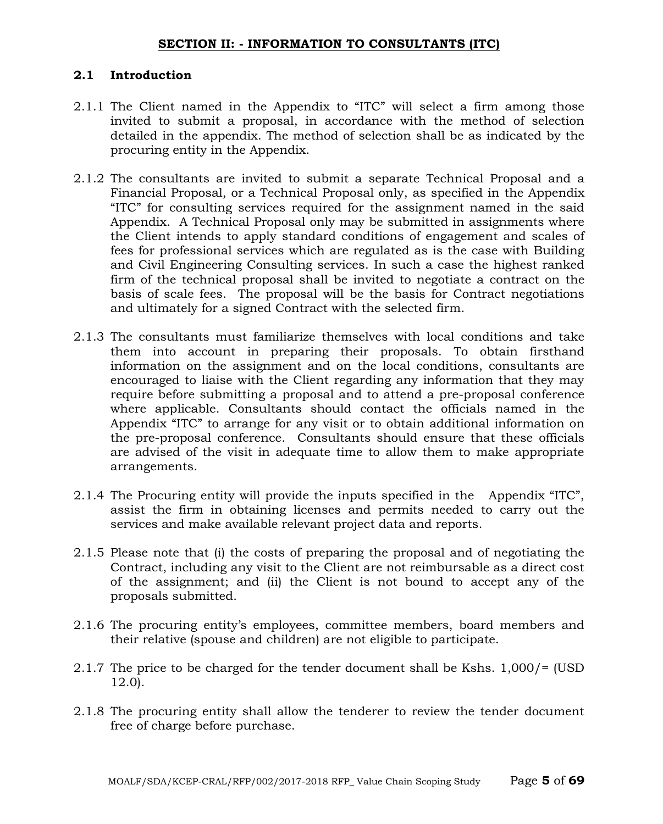#### **SECTION II: - INFORMATION TO CONSULTANTS (ITC)**

#### **2.1 Introduction**

- 2.1.1 The Client named in the Appendix to "ITC" will select a firm among those invited to submit a proposal, in accordance with the method of selection detailed in the appendix. The method of selection shall be as indicated by the procuring entity in the Appendix.
- 2.1.2 The consultants are invited to submit a separate Technical Proposal and a Financial Proposal, or a Technical Proposal only, as specified in the Appendix "ITC" for consulting services required for the assignment named in the said Appendix. A Technical Proposal only may be submitted in assignments where the Client intends to apply standard conditions of engagement and scales of fees for professional services which are regulated as is the case with Building and Civil Engineering Consulting services. In such a case the highest ranked firm of the technical proposal shall be invited to negotiate a contract on the basis of scale fees. The proposal will be the basis for Contract negotiations and ultimately for a signed Contract with the selected firm.
- 2.1.3 The consultants must familiarize themselves with local conditions and take them into account in preparing their proposals. To obtain firsthand information on the assignment and on the local conditions, consultants are encouraged to liaise with the Client regarding any information that they may require before submitting a proposal and to attend a pre-proposal conference where applicable. Consultants should contact the officials named in the Appendix "ITC" to arrange for any visit or to obtain additional information on the pre-proposal conference. Consultants should ensure that these officials are advised of the visit in adequate time to allow them to make appropriate arrangements.
- 2.1.4 The Procuring entity will provide the inputs specified in the Appendix "ITC", assist the firm in obtaining licenses and permits needed to carry out the services and make available relevant project data and reports.
- 2.1.5 Please note that (i) the costs of preparing the proposal and of negotiating the Contract, including any visit to the Client are not reimbursable as a direct cost of the assignment; and (ii) the Client is not bound to accept any of the proposals submitted.
- 2.1.6 The procuring entity's employees, committee members, board members and their relative (spouse and children) are not eligible to participate.
- 2.1.7 The price to be charged for the tender document shall be Kshs. 1,000/= (USD 12.0).
- 2.1.8 The procuring entity shall allow the tenderer to review the tender document free of charge before purchase.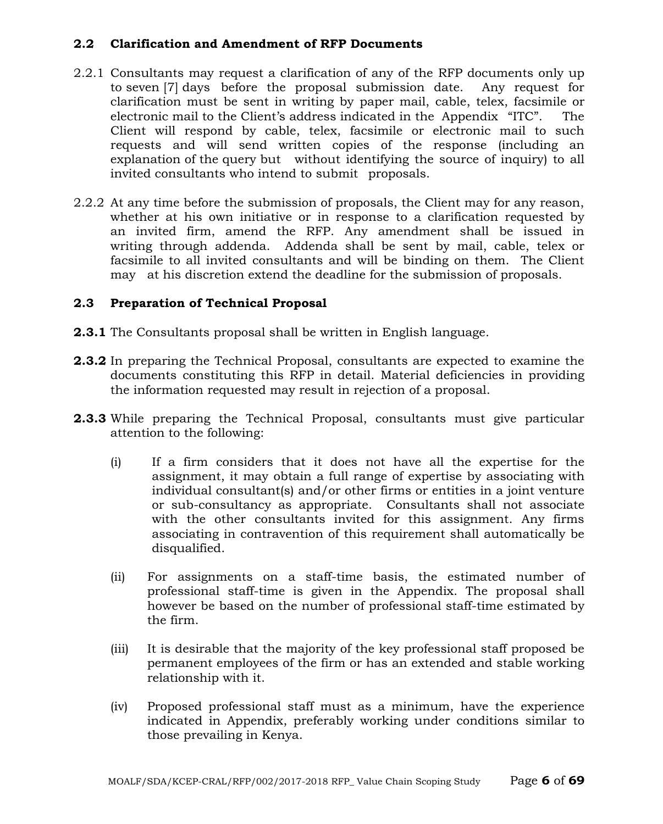#### **2.2 Clarification and Amendment of RFP Documents**

- 2.2.1 Consultants may request a clarification of any of the RFP documents only up to seven [7] days before the proposal submission date. Any request for clarification must be sent in writing by paper mail, cable, telex, facsimile or electronic mail to the Client's address indicated in the Appendix "ITC". The Client will respond by cable, telex, facsimile or electronic mail to such requests and will send written copies of the response (including an explanation of the query but without identifying the source of inquiry) to all invited consultants who intend to submit proposals.
- 2.2.2 At any time before the submission of proposals, the Client may for any reason, whether at his own initiative or in response to a clarification requested by an invited firm, amend the RFP. Any amendment shall be issued in writing through addenda. Addenda shall be sent by mail, cable, telex or facsimile to all invited consultants and will be binding on them. The Client may at his discretion extend the deadline for the submission of proposals.

## **2.3 Preparation of Technical Proposal**

- **2.3.1** The Consultants proposal shall be written in English language.
- **2.3.2** In preparing the Technical Proposal, consultants are expected to examine the documents constituting this RFP in detail. Material deficiencies in providing the information requested may result in rejection of a proposal.
- **2.3.3** While preparing the Technical Proposal, consultants must give particular attention to the following:
	- (i) If a firm considers that it does not have all the expertise for the assignment, it may obtain a full range of expertise by associating with individual consultant(s) and/or other firms or entities in a joint venture or sub-consultancy as appropriate. Consultants shall not associate with the other consultants invited for this assignment. Any firms associating in contravention of this requirement shall automatically be disqualified.
	- (ii) For assignments on a staff-time basis, the estimated number of professional staff-time is given in the Appendix. The proposal shall however be based on the number of professional staff-time estimated by the firm.
	- (iii) It is desirable that the majority of the key professional staff proposed be permanent employees of the firm or has an extended and stable working relationship with it.
	- (iv) Proposed professional staff must as a minimum, have the experience indicated in Appendix, preferably working under conditions similar to those prevailing in Kenya.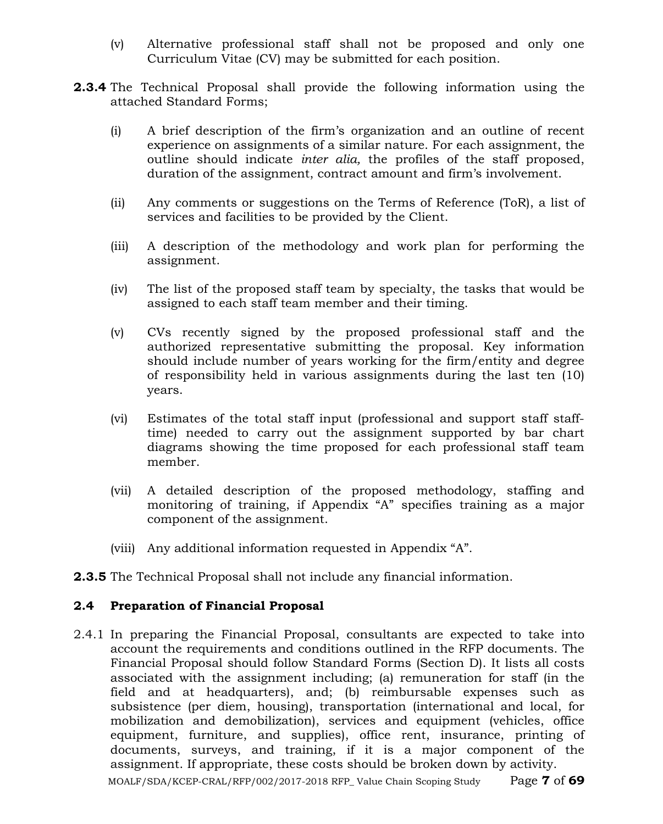- (v) Alternative professional staff shall not be proposed and only one Curriculum Vitae (CV) may be submitted for each position.
- **2.3.4** The Technical Proposal shall provide the following information using the attached Standard Forms;
	- (i) A brief description of the firm's organization and an outline of recent experience on assignments of a similar nature. For each assignment, the outline should indicate *inter alia,* the profiles of the staff proposed, duration of the assignment, contract amount and firm's involvement.
	- (ii) Any comments or suggestions on the Terms of Reference (ToR), a list of services and facilities to be provided by the Client.
	- (iii) A description of the methodology and work plan for performing the assignment.
	- (iv) The list of the proposed staff team by specialty, the tasks that would be assigned to each staff team member and their timing.
	- (v) CVs recently signed by the proposed professional staff and the authorized representative submitting the proposal. Key information should include number of years working for the firm/entity and degree of responsibility held in various assignments during the last ten (10) years.
	- (vi) Estimates of the total staff input (professional and support staff stafftime) needed to carry out the assignment supported by bar chart diagrams showing the time proposed for each professional staff team member.
	- (vii) A detailed description of the proposed methodology, staffing and monitoring of training, if Appendix "A" specifies training as a major component of the assignment.
	- (viii) Any additional information requested in Appendix "A".
- **2.3.5** The Technical Proposal shall not include any financial information.

#### **2.4 Preparation of Financial Proposal**

2.4.1 In preparing the Financial Proposal, consultants are expected to take into account the requirements and conditions outlined in the RFP documents. The Financial Proposal should follow Standard Forms (Section D). It lists all costs associated with the assignment including; (a) remuneration for staff (in the field and at headquarters), and; (b) reimbursable expenses such as subsistence (per diem, housing), transportation (international and local, for mobilization and demobilization), services and equipment (vehicles, office equipment, furniture, and supplies), office rent, insurance, printing of documents, surveys, and training, if it is a major component of the assignment. If appropriate, these costs should be broken down by activity.

MOALF/SDA/KCEP-CRAL/RFP/002/2017-2018 RFP\_ Value Chain Scoping Study Page **7** of **69**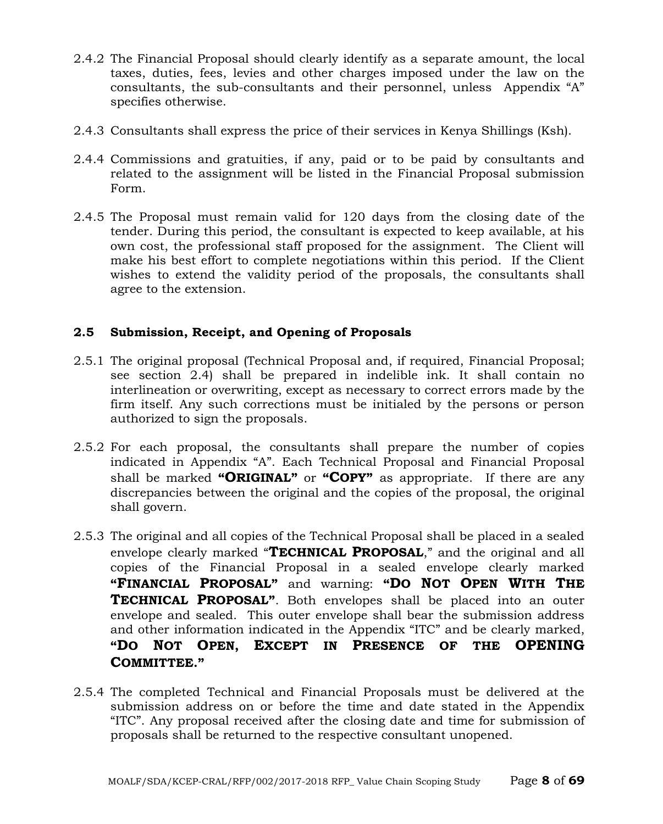- 2.4.2 The Financial Proposal should clearly identify as a separate amount, the local taxes, duties, fees, levies and other charges imposed under the law on the consultants, the sub-consultants and their personnel, unless Appendix "A" specifies otherwise.
- 2.4.3 Consultants shall express the price of their services in Kenya Shillings (Ksh).
- 2.4.4 Commissions and gratuities, if any, paid or to be paid by consultants and related to the assignment will be listed in the Financial Proposal submission Form.
- 2.4.5 The Proposal must remain valid for 120 days from the closing date of the tender. During this period, the consultant is expected to keep available, at his own cost, the professional staff proposed for the assignment. The Client will make his best effort to complete negotiations within this period. If the Client wishes to extend the validity period of the proposals, the consultants shall agree to the extension.

## **2.5 Submission, Receipt, and Opening of Proposals**

- 2.5.1 The original proposal (Technical Proposal and, if required, Financial Proposal; see section 2.4) shall be prepared in indelible ink. It shall contain no interlineation or overwriting, except as necessary to correct errors made by the firm itself. Any such corrections must be initialed by the persons or person authorized to sign the proposals.
- 2.5.2 For each proposal, the consultants shall prepare the number of copies indicated in Appendix "A". Each Technical Proposal and Financial Proposal shall be marked **"ORIGINAL"** or **"COPY"** as appropriate. If there are any discrepancies between the original and the copies of the proposal, the original shall govern.
- 2.5.3 The original and all copies of the Technical Proposal shall be placed in a sealed envelope clearly marked "**TECHNICAL PROPOSAL**," and the original and all copies of the Financial Proposal in a sealed envelope clearly marked **"FINANCIAL PROPOSAL"** and warning: **"DO NOT OPEN WITH THE TECHNICAL PROPOSAL"**. Both envelopes shall be placed into an outer envelope and sealed. This outer envelope shall bear the submission address and other information indicated in the Appendix "ITC" and be clearly marked, **"DO NOT OPEN, EXCEPT IN PRESENCE OF THE OPENING COMMITTEE."**
- 2.5.4 The completed Technical and Financial Proposals must be delivered at the submission address on or before the time and date stated in the Appendix "ITC". Any proposal received after the closing date and time for submission of proposals shall be returned to the respective consultant unopened.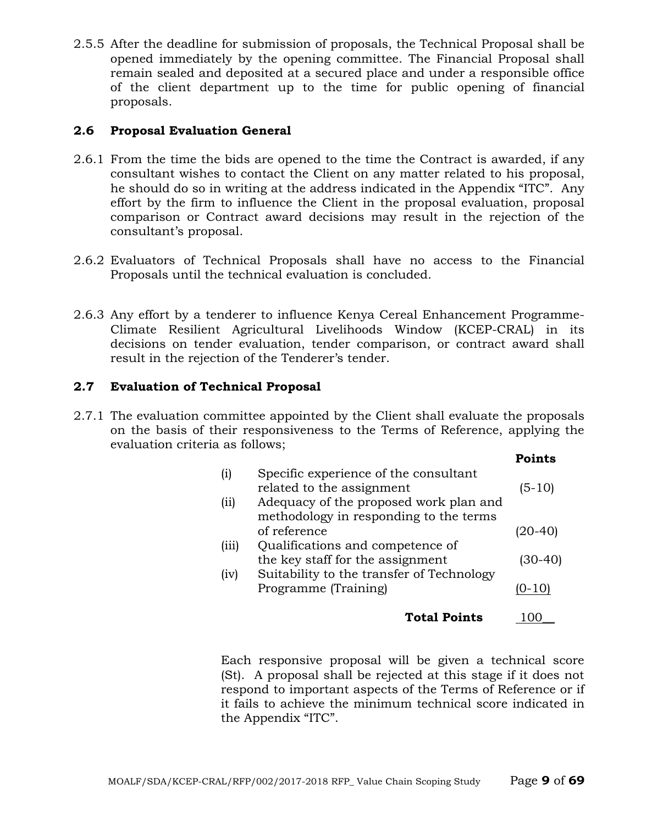2.5.5 After the deadline for submission of proposals, the Technical Proposal shall be opened immediately by the opening committee. The Financial Proposal shall remain sealed and deposited at a secured place and under a responsible office of the client department up to the time for public opening of financial proposals.

## **2.6 Proposal Evaluation General**

- 2.6.1 From the time the bids are opened to the time the Contract is awarded, if any consultant wishes to contact the Client on any matter related to his proposal, he should do so in writing at the address indicated in the Appendix "ITC". Any effort by the firm to influence the Client in the proposal evaluation, proposal comparison or Contract award decisions may result in the rejection of the consultant's proposal.
- 2.6.2 Evaluators of Technical Proposals shall have no access to the Financial Proposals until the technical evaluation is concluded.
- 2.6.3 Any effort by a tenderer to influence Kenya Cereal Enhancement Programme-Climate Resilient Agricultural Livelihoods Window (KCEP-CRAL) in its decisions on tender evaluation, tender comparison, or contract award shall result in the rejection of the Tenderer's tender.

## **2.7 Evaluation of Technical Proposal**

2.7.1 The evaluation committee appointed by the Client shall evaluate the proposals on the basis of their responsiveness to the Terms of Reference, applying the evaluation criteria as follows;

|          |                                           | Points     |
|----------|-------------------------------------------|------------|
| $\rm(i)$ | Specific experience of the consultant     |            |
|          | related to the assignment                 | $(5-10)$   |
| (i)      | Adequacy of the proposed work plan and    |            |
|          | methodology in responding to the terms    |            |
|          | of reference                              | 20-40      |
| (iii)    | Qualifications and competence of          |            |
|          | the key staff for the assignment          | (30-40)    |
| (iv)     | Suitability to the transfer of Technology |            |
|          | Programme (Training)                      | $(0 - 10)$ |
|          | <b>Total Points</b>                       |            |

Each responsive proposal will be given a technical score (St). A proposal shall be rejected at this stage if it does not respond to important aspects of the Terms of Reference or if it fails to achieve the minimum technical score indicated in the Appendix "ITC".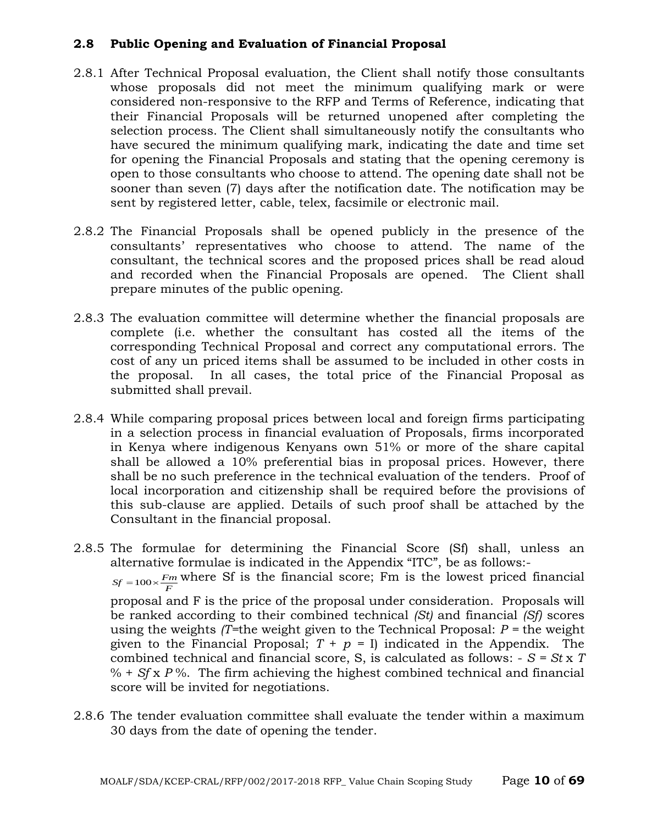## **2.8 Public Opening and Evaluation of Financial Proposal**

- 2.8.1 After Technical Proposal evaluation, the Client shall notify those consultants whose proposals did not meet the minimum qualifying mark or were considered non-responsive to the RFP and Terms of Reference, indicating that their Financial Proposals will be returned unopened after completing the selection process. The Client shall simultaneously notify the consultants who have secured the minimum qualifying mark, indicating the date and time set for opening the Financial Proposals and stating that the opening ceremony is open to those consultants who choose to attend. The opening date shall not be sooner than seven (7) days after the notification date. The notification may be sent by registered letter, cable, telex, facsimile or electronic mail.
- 2.8.2 The Financial Proposals shall be opened publicly in the presence of the consultants' representatives who choose to attend. The name of the consultant, the technical scores and the proposed prices shall be read aloud and recorded when the Financial Proposals are opened. The Client shall prepare minutes of the public opening.
- 2.8.3 The evaluation committee will determine whether the financial proposals are complete (i.e. whether the consultant has costed all the items of the corresponding Technical Proposal and correct any computational errors. The cost of any un priced items shall be assumed to be included in other costs in the proposal. In all cases, the total price of the Financial Proposal as submitted shall prevail.
- 2.8.4 While comparing proposal prices between local and foreign firms participating in a selection process in financial evaluation of Proposals, firms incorporated in Kenya where indigenous Kenyans own 51% or more of the share capital shall be allowed a 10% preferential bias in proposal prices. However, there shall be no such preference in the technical evaluation of the tenders. Proof of local incorporation and citizenship shall be required before the provisions of this sub-clause are applied. Details of such proof shall be attached by the Consultant in the financial proposal.
- 2.8.5 The formulae for determining the Financial Score (Sf) shall, unless an alternative formulae is indicated in the Appendix "ITC", be as follows:-  $S_f = 100 \times \frac{F_m}{F}$  where Sf is the financial score; Fm is the lowest priced financial proposal and F is the price of the proposal under consideration. Proposals will be ranked according to their combined technical *(St)* and financial *(Sf)* scores using the weights *(T=*the weight given to the Technical Proposal: *P =* the weight given to the Financial Proposal;  $T + p = I$  indicated in the Appendix. The combined technical and financial score, S, is calculated as follows: - *S = St* x *T*   $% + Sf x P$ %. The firm achieving the highest combined technical and financial score will be invited for negotiations.
- 2.8.6 The tender evaluation committee shall evaluate the tender within a maximum 30 days from the date of opening the tender.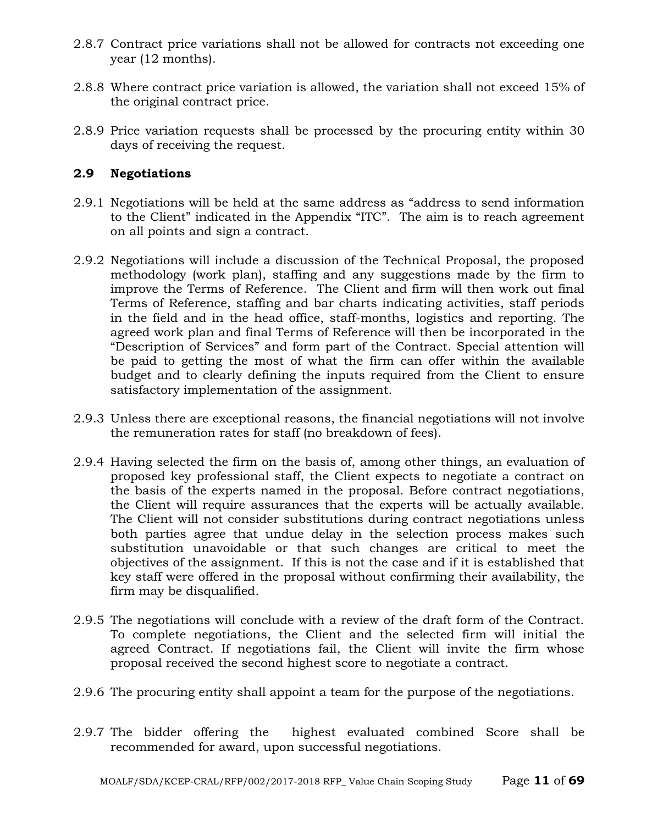- 2.8.7 Contract price variations shall not be allowed for contracts not exceeding one year (12 months).
- 2.8.8 Where contract price variation is allowed, the variation shall not exceed 15% of the original contract price.
- 2.8.9 Price variation requests shall be processed by the procuring entity within 30 days of receiving the request.

## **2.9 Negotiations**

- 2.9.1 Negotiations will be held at the same address as "address to send information to the Client" indicated in the Appendix "ITC". The aim is to reach agreement on all points and sign a contract.
- 2.9.2 Negotiations will include a discussion of the Technical Proposal, the proposed methodology (work plan), staffing and any suggestions made by the firm to improve the Terms of Reference. The Client and firm will then work out final Terms of Reference, staffing and bar charts indicating activities, staff periods in the field and in the head office, staff-months, logistics and reporting. The agreed work plan and final Terms of Reference will then be incorporated in the "Description of Services" and form part of the Contract. Special attention will be paid to getting the most of what the firm can offer within the available budget and to clearly defining the inputs required from the Client to ensure satisfactory implementation of the assignment.
- 2.9.3 Unless there are exceptional reasons, the financial negotiations will not involve the remuneration rates for staff (no breakdown of fees).
- 2.9.4 Having selected the firm on the basis of, among other things, an evaluation of proposed key professional staff, the Client expects to negotiate a contract on the basis of the experts named in the proposal. Before contract negotiations, the Client will require assurances that the experts will be actually available. The Client will not consider substitutions during contract negotiations unless both parties agree that undue delay in the selection process makes such substitution unavoidable or that such changes are critical to meet the objectives of the assignment. If this is not the case and if it is established that key staff were offered in the proposal without confirming their availability, the firm may be disqualified.
- 2.9.5 The negotiations will conclude with a review of the draft form of the Contract. To complete negotiations, the Client and the selected firm will initial the agreed Contract. If negotiations fail, the Client will invite the firm whose proposal received the second highest score to negotiate a contract.
- 2.9.6 The procuring entity shall appoint a team for the purpose of the negotiations.
- 2.9.7 The bidder offering the highest evaluated combined Score shall be recommended for award, upon successful negotiations.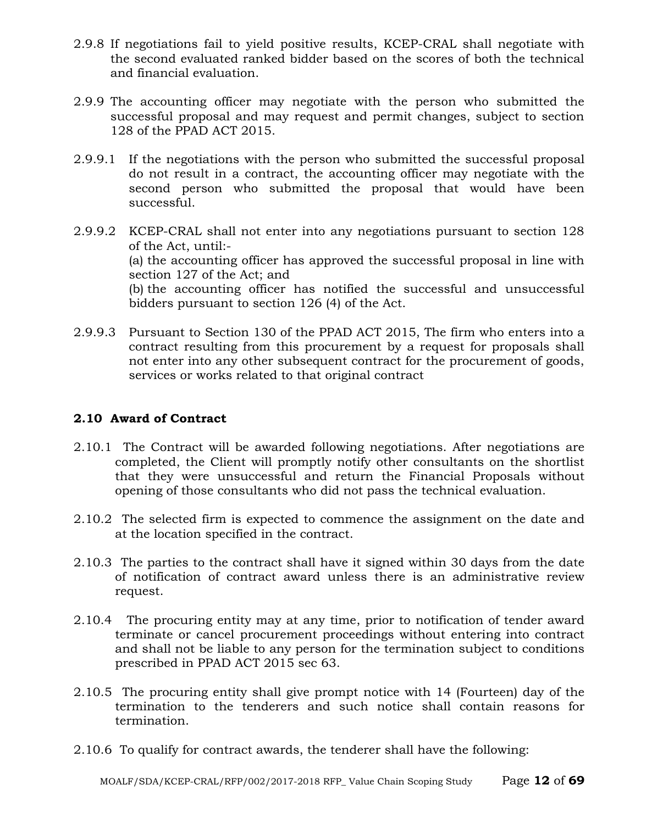- 2.9.8 If negotiations fail to yield positive results, KCEP-CRAL shall negotiate with the second evaluated ranked bidder based on the scores of both the technical and financial evaluation.
- 2.9.9 The accounting officer may negotiate with the person who submitted the successful proposal and may request and permit changes, subject to section 128 of the PPAD ACT 2015.
- 2.9.9.1 If the negotiations with the person who submitted the successful proposal do not result in a contract, the accounting officer may negotiate with the second person who submitted the proposal that would have been successful.
- 2.9.9.2 KCEP-CRAL shall not enter into any negotiations pursuant to section 128 of the Act, until:- (a) the accounting officer has approved the successful proposal in line with section 127 of the Act; and (b) the accounting officer has notified the successful and unsuccessful bidders pursuant to section 126 (4) of the Act.
- 2.9.9.3 Pursuant to Section 130 of the PPAD ACT 2015, The firm who enters into a contract resulting from this procurement by a request for proposals shall not enter into any other subsequent contract for the procurement of goods, services or works related to that original contract

## **2.10 Award of Contract**

- 2.10.1 The Contract will be awarded following negotiations. After negotiations are completed, the Client will promptly notify other consultants on the shortlist that they were unsuccessful and return the Financial Proposals without opening of those consultants who did not pass the technical evaluation.
- 2.10.2 The selected firm is expected to commence the assignment on the date and at the location specified in the contract.
- 2.10.3 The parties to the contract shall have it signed within 30 days from the date of notification of contract award unless there is an administrative review request.
- 2.10.4 The procuring entity may at any time, prior to notification of tender award terminate or cancel procurement proceedings without entering into contract and shall not be liable to any person for the termination subject to conditions prescribed in PPAD ACT 2015 sec 63.
- 2.10.5 The procuring entity shall give prompt notice with 14 (Fourteen) day of the termination to the tenderers and such notice shall contain reasons for termination.
- 2.10.6 To qualify for contract awards, the tenderer shall have the following: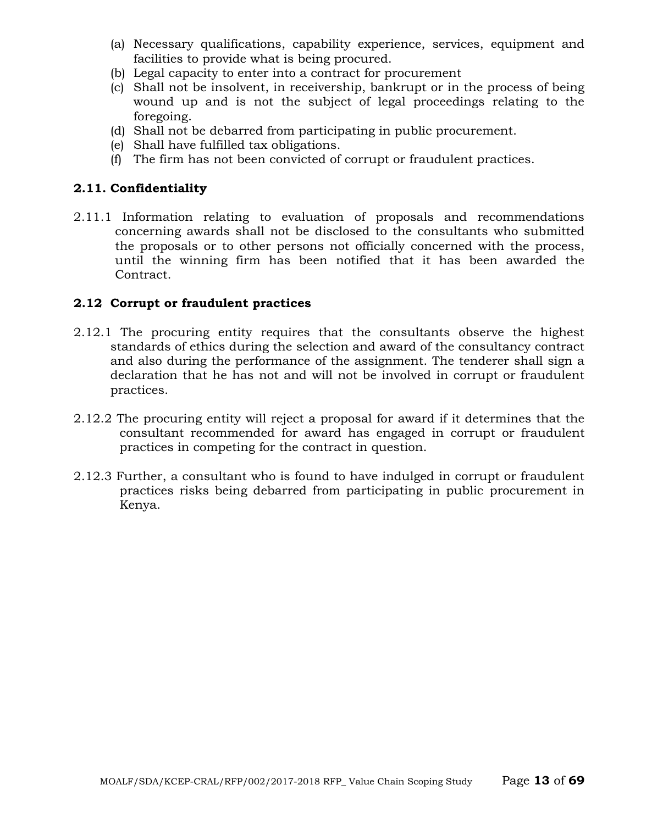- (a) Necessary qualifications, capability experience, services, equipment and facilities to provide what is being procured.
- (b) Legal capacity to enter into a contract for procurement
- (c) Shall not be insolvent, in receivership, bankrupt or in the process of being wound up and is not the subject of legal proceedings relating to the foregoing.
- (d) Shall not be debarred from participating in public procurement.
- (e) Shall have fulfilled tax obligations.
- (f) The firm has not been convicted of corrupt or fraudulent practices.

## **2.11. Confidentiality**

2.11.1 Information relating to evaluation of proposals and recommendations concerning awards shall not be disclosed to the consultants who submitted the proposals or to other persons not officially concerned with the process, until the winning firm has been notified that it has been awarded the Contract.

## **2.12 Corrupt or fraudulent practices**

- 2.12.1 The procuring entity requires that the consultants observe the highest standards of ethics during the selection and award of the consultancy contract and also during the performance of the assignment. The tenderer shall sign a declaration that he has not and will not be involved in corrupt or fraudulent practices.
- 2.12.2 The procuring entity will reject a proposal for award if it determines that the consultant recommended for award has engaged in corrupt or fraudulent practices in competing for the contract in question.
- 2.12.3 Further, a consultant who is found to have indulged in corrupt or fraudulent practices risks being debarred from participating in public procurement in Kenya.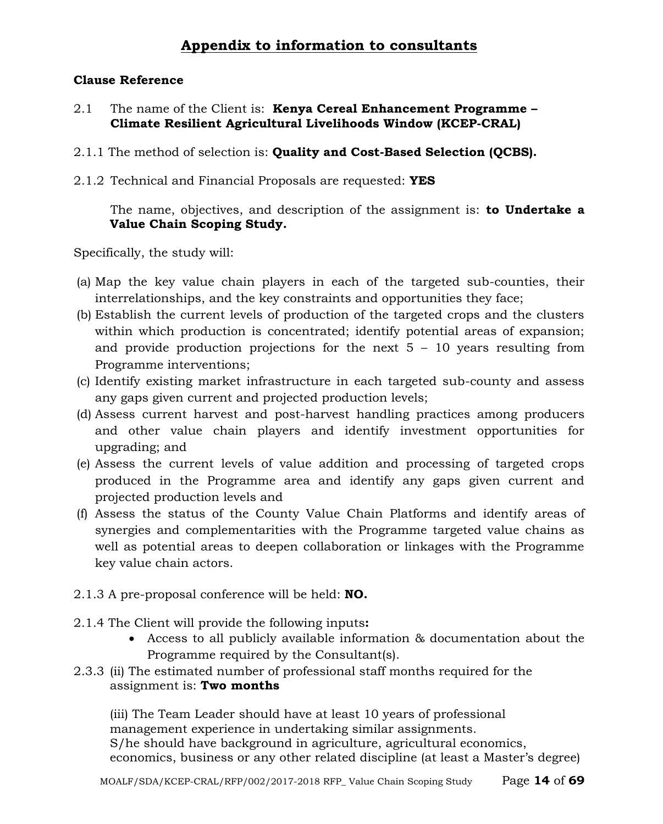## **Appendix to information to consultants**

## **Clause Reference**

- 2.1 The name of the Client is: **Kenya Cereal Enhancement Programme – Climate Resilient Agricultural Livelihoods Window (KCEP-CRAL)**
- 2.1.1 The method of selection is: **Quality and Cost-Based Selection (QCBS).**
- 2.1.2 Technical and Financial Proposals are requested: **YES**

The name, objectives, and description of the assignment is: **to Undertake a Value Chain Scoping Study.**

Specifically, the study will:

- (a) Map the key value chain players in each of the targeted sub-counties, their interrelationships, and the key constraints and opportunities they face;
- (b) Establish the current levels of production of the targeted crops and the clusters within which production is concentrated; identify potential areas of expansion; and provide production projections for the next  $5 - 10$  years resulting from Programme interventions;
- (c) Identify existing market infrastructure in each targeted sub-county and assess any gaps given current and projected production levels;
- (d) Assess current harvest and post-harvest handling practices among producers and other value chain players and identify investment opportunities for upgrading; and
- (e) Assess the current levels of value addition and processing of targeted crops produced in the Programme area and identify any gaps given current and projected production levels and
- (f) Assess the status of the County Value Chain Platforms and identify areas of synergies and complementarities with the Programme targeted value chains as well as potential areas to deepen collaboration or linkages with the Programme key value chain actors.
- 2.1.3 A pre-proposal conference will be held: **NO.**
- 2.1.4 The Client will provide the following inputs**:**
	- Access to all publicly available information & documentation about the Programme required by the Consultant(s).
- 2.3.3 (ii) The estimated number of professional staff months required for the assignment is: **Two months**

(iii) The Team Leader should have at least 10 years of professional management experience in undertaking similar assignments. S/he should have background in agriculture, agricultural economics, economics, business or any other related discipline (at least a Master's degree)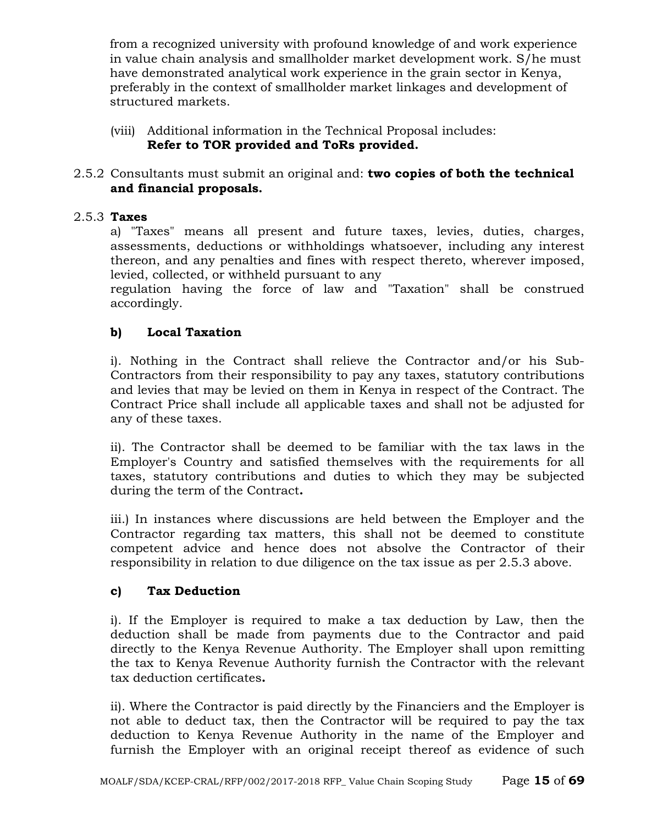from a recognized university with profound knowledge of and work experience in value chain analysis and smallholder market development work. S/he must have demonstrated analytical work experience in the grain sector in Kenya, preferably in the context of smallholder market linkages and development of structured markets.

(viii) Additional information in the Technical Proposal includes: **Refer to TOR provided and ToRs provided.**

## 2.5.2 Consultants must submit an original and: **two copies of both the technical and financial proposals.**

## 2.5.3 **Taxes**

a) "Taxes" means all present and future taxes, levies, duties, charges, assessments, deductions or withholdings whatsoever, including any interest thereon, and any penalties and fines with respect thereto, wherever imposed, levied, collected, or withheld pursuant to any

regulation having the force of law and "Taxation" shall be construed accordingly.

## **b) Local Taxation**

i). Nothing in the Contract shall relieve the Contractor and/or his Sub-Contractors from their responsibility to pay any taxes, statutory contributions and levies that may be levied on them in Kenya in respect of the Contract. The Contract Price shall include all applicable taxes and shall not be adjusted for any of these taxes.

ii). The Contractor shall be deemed to be familiar with the tax laws in the Employer's Country and satisfied themselves with the requirements for all taxes, statutory contributions and duties to which they may be subjected during the term of the Contract**.**

iii.) In instances where discussions are held between the Employer and the Contractor regarding tax matters, this shall not be deemed to constitute competent advice and hence does not absolve the Contractor of their responsibility in relation to due diligence on the tax issue as per 2.5.3 above.

## **c) Tax Deduction**

i). If the Employer is required to make a tax deduction by Law, then the deduction shall be made from payments due to the Contractor and paid directly to the Kenya Revenue Authority. The Employer shall upon remitting the tax to Kenya Revenue Authority furnish the Contractor with the relevant tax deduction certificates**.**

ii). Where the Contractor is paid directly by the Financiers and the Employer is not able to deduct tax, then the Contractor will be required to pay the tax deduction to Kenya Revenue Authority in the name of the Employer and furnish the Employer with an original receipt thereof as evidence of such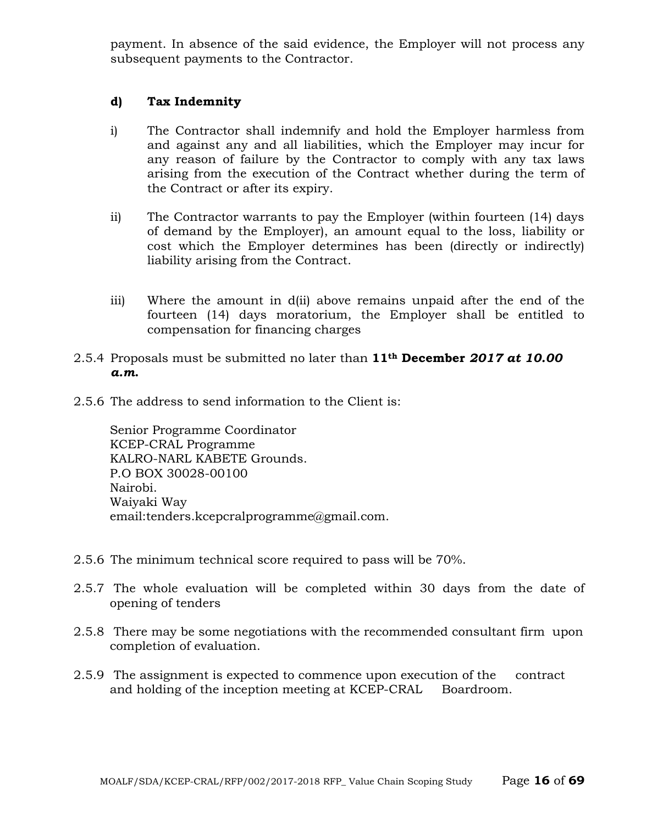payment. In absence of the said evidence, the Employer will not process any subsequent payments to the Contractor.

#### **d) Tax Indemnity**

- i) The Contractor shall indemnify and hold the Employer harmless from and against any and all liabilities, which the Employer may incur for any reason of failure by the Contractor to comply with any tax laws arising from the execution of the Contract whether during the term of the Contract or after its expiry.
- ii) The Contractor warrants to pay the Employer (within fourteen (14) days of demand by the Employer), an amount equal to the loss, liability or cost which the Employer determines has been (directly or indirectly) liability arising from the Contract.
- iii) Where the amount in d(ii) above remains unpaid after the end of the fourteen (14) days moratorium, the Employer shall be entitled to compensation for financing charges
- 2.5.4 Proposals must be submitted no later than **11th December** *2017 at 10.00 a.m***.**
- 2.5.6 The address to send information to the Client is:

Senior Programme Coordinator KCEP-CRAL Programme KALRO-NARL KABETE Grounds. P.O BOX 30028-00100 Nairobi. Waiyaki Way email:tenders.kcepcralprogramme@gmail.com.

- 2.5.6 The minimum technical score required to pass will be 70%.
- 2.5.7 The whole evaluation will be completed within 30 days from the date of opening of tenders
- 2.5.8 There may be some negotiations with the recommended consultant firm upon completion of evaluation.
- 2.5.9 The assignment is expected to commence upon execution of the contract and holding of the inception meeting at KCEP-CRAL Boardroom.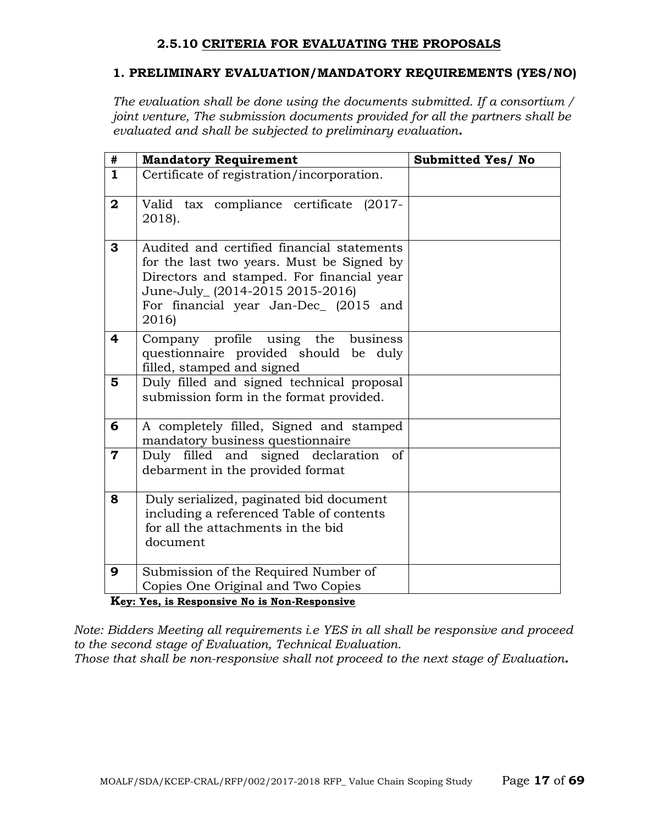## **2.5.10 CRITERIA FOR EVALUATING THE PROPOSALS**

## **1. PRELIMINARY EVALUATION/MANDATORY REQUIREMENTS (YES/NO)**

*The evaluation shall be done using the documents submitted. If a consortium / joint venture, The submission documents provided for all the partners shall be evaluated and shall be subjected to preliminary evaluation.*

| #                       | <b>Mandatory Requirement</b>                                                                                                                                                                                              | <b>Submitted Yes/ No</b> |
|-------------------------|---------------------------------------------------------------------------------------------------------------------------------------------------------------------------------------------------------------------------|--------------------------|
| $\mathbf{1}$            | Certificate of registration/incorporation.                                                                                                                                                                                |                          |
| $\mathbf{2}$            | Valid tax compliance certificate (2017-<br>2018).                                                                                                                                                                         |                          |
| 3                       | Audited and certified financial statements<br>for the last two years. Must be Signed by<br>Directors and stamped. For financial year<br>June-July_(2014-2015 2015-2016)<br>For financial year Jan-Dec_ (2015 and<br>2016) |                          |
| 4                       | Company profile using the business<br>questionnaire provided should be duly<br>filled, stamped and signed                                                                                                                 |                          |
| 5                       | Duly filled and signed technical proposal<br>submission form in the format provided.                                                                                                                                      |                          |
| 6                       | A completely filled, Signed and stamped<br>mandatory business questionnaire                                                                                                                                               |                          |
| $\overline{\mathbf{7}}$ | Duly filled and signed declaration<br>of<br>debarment in the provided format                                                                                                                                              |                          |
| 8                       | Duly serialized, paginated bid document<br>including a referenced Table of contents<br>for all the attachments in the bid<br>document                                                                                     |                          |
| 9                       | Submission of the Required Number of<br>Copies One Original and Two Copies                                                                                                                                                |                          |

**Key: Yes, is Responsive No is Non-Responsive**

*Note: Bidders Meeting all requirements i.e YES in all shall be responsive and proceed to the second stage of Evaluation, Technical Evaluation.*

*Those that shall be non-responsive shall not proceed to the next stage of Evaluation.*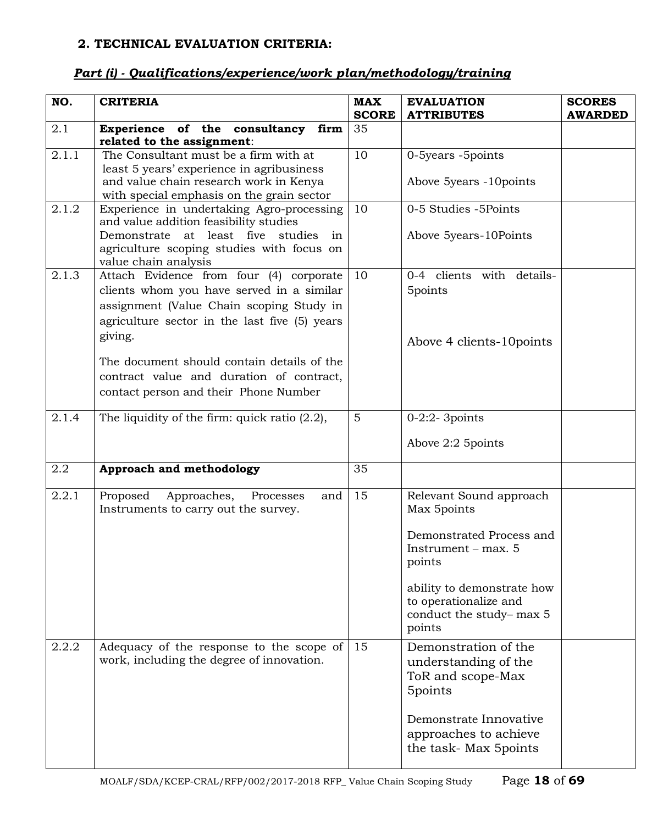## **2. TECHNICAL EVALUATION CRITERIA:**

| NO.   | <b>CRITERIA</b>                                                                                              | <b>MAX</b>   | <b>EVALUATION</b>                                   | <b>SCORES</b>  |
|-------|--------------------------------------------------------------------------------------------------------------|--------------|-----------------------------------------------------|----------------|
|       |                                                                                                              | <b>SCORE</b> | <b>ATTRIBUTES</b>                                   | <b>AWARDED</b> |
| 2.1   | Experience of the consultancy firm<br>related to the assignment:                                             | 35           |                                                     |                |
| 2.1.1 | The Consultant must be a firm with at<br>least 5 years' experience in agribusiness                           |              | 0-5years -5points                                   |                |
|       | and value chain research work in Kenya<br>with special emphasis on the grain sector                          |              | Above 5years -10points                              |                |
| 2.1.2 | Experience in undertaking Agro-processing<br>and value addition feasibility studies                          | 10           | 0-5 Studies -5Points                                |                |
|       | Demonstrate at least five studies<br>in<br>agriculture scoping studies with focus on<br>value chain analysis |              | Above 5years-10Points                               |                |
| 2.1.3 | Attach Evidence from four (4) corporate<br>clients whom you have served in a similar                         | 10           | 0-4 clients with details-<br>5points                |                |
|       | assignment (Value Chain scoping Study in                                                                     |              |                                                     |                |
|       | agriculture sector in the last five (5) years<br>giving.                                                     |              | Above 4 clients-10 points                           |                |
|       | The document should contain details of the                                                                   |              |                                                     |                |
|       | contract value and duration of contract,                                                                     |              |                                                     |                |
|       | contact person and their Phone Number                                                                        |              |                                                     |                |
| 2.1.4 | The liquidity of the firm: quick ratio $(2.2)$ ,                                                             | 5            | $0-2:2-3$ points                                    |                |
|       |                                                                                                              |              | Above 2:2 5 points                                  |                |
| 2.2   | Approach and methodology                                                                                     | 35           |                                                     |                |
| 2.2.1 | Proposed<br>Approaches, Processes<br>and<br>Instruments to carry out the survey.                             | 15           | Relevant Sound approach<br>Max 5points              |                |
|       |                                                                                                              |              | Demonstrated Process and<br>Instrument – max. $5$   |                |
|       |                                                                                                              |              | points                                              |                |
|       |                                                                                                              |              | ability to demonstrate how<br>to operationalize and |                |
|       |                                                                                                              |              | conduct the study-max 5<br>points                   |                |
| 2.2.2 | Adequacy of the response to the scope of<br>work, including the degree of innovation.                        | 15           | Demonstration of the<br>understanding of the        |                |
|       |                                                                                                              |              | ToR and scope-Max<br>5points                        |                |
|       |                                                                                                              |              | Demonstrate Innovative                              |                |
|       |                                                                                                              |              | approaches to achieve<br>the task-Max 5points       |                |

## *Part (i) - Qualifications/experience/work plan/methodology/training*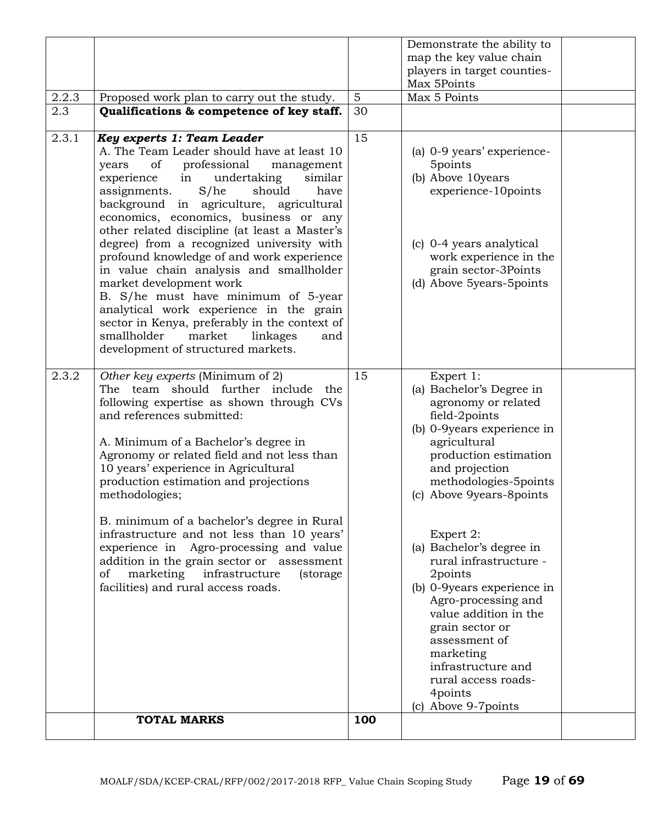|       |                                                                                          |                | Demonstrate the ability to            |  |
|-------|------------------------------------------------------------------------------------------|----------------|---------------------------------------|--|
|       |                                                                                          |                | map the key value chain               |  |
|       |                                                                                          |                | players in target counties-           |  |
|       |                                                                                          |                | Max 5Points                           |  |
| 2.2.3 | Proposed work plan to carry out the study.                                               | $5\phantom{.}$ | Max 5 Points                          |  |
| 2.3   | Qualifications & competence of key staff.                                                | 30             |                                       |  |
| 2.3.1 | Key experts 1: Team Leader                                                               | 15             |                                       |  |
|       | A. The Team Leader should have at least 10                                               |                | (a) 0-9 years' experience-            |  |
|       | of professional<br>years<br>management                                                   |                | 5points                               |  |
|       | undertaking<br>similar<br>experience<br>in                                               |                | (b) Above 10years                     |  |
|       | S/he<br>assignments.<br>should<br>have<br>background in agriculture, agricultural        |                | experience-10points                   |  |
|       | economics, economics, business or any                                                    |                |                                       |  |
|       | other related discipline (at least a Master's                                            |                |                                       |  |
|       | degree) from a recognized university with                                                |                | (c) 0-4 years analytical              |  |
|       | profound knowledge of and work experience                                                |                | work experience in the                |  |
|       | in value chain analysis and smallholder                                                  |                | grain sector-3Points                  |  |
|       | market development work                                                                  |                | (d) Above 5years-5points              |  |
|       | B. S/he must have minimum of 5-year                                                      |                |                                       |  |
|       | analytical work experience in the grain<br>sector in Kenya, preferably in the context of |                |                                       |  |
|       | smallholder<br>market<br>linkages<br>and                                                 |                |                                       |  |
|       | development of structured markets.                                                       |                |                                       |  |
|       |                                                                                          |                |                                       |  |
| 2.3.2 | Other key experts (Minimum of 2)                                                         | 15             | Expert 1:                             |  |
|       | The team should further include<br>the                                                   |                | (a) Bachelor's Degree in              |  |
|       | following expertise as shown through CVs<br>and references submitted:                    |                | agronomy or related<br>field-2points  |  |
|       |                                                                                          |                | (b) 0-9 years experience in           |  |
|       | A. Minimum of a Bachelor's degree in                                                     |                | agricultural                          |  |
|       | Agronomy or related field and not less than                                              |                | production estimation                 |  |
|       | 10 years' experience in Agricultural                                                     |                | and projection                        |  |
|       | production estimation and projections                                                    |                | methodologies-5points                 |  |
|       | methodologies;                                                                           |                | (c) Above 9years-8points              |  |
|       | B. minimum of a bachelor's degree in Rural                                               |                |                                       |  |
|       | infrastructure and not less than 10 years'                                               |                | Expert 2:                             |  |
|       | experience in Agro-processing and value                                                  |                | (a) Bachelor's degree in              |  |
|       | addition in the grain sector or assessment                                               |                | rural infrastructure -                |  |
|       | of<br>marketing<br>infrastructure<br>(storage)                                           |                | 2points<br>(b) 0-9years experience in |  |
|       | facilities) and rural access roads.                                                      |                | Agro-processing and                   |  |
|       |                                                                                          |                | value addition in the                 |  |
|       |                                                                                          |                | grain sector or                       |  |
|       |                                                                                          |                | assessment of                         |  |
|       |                                                                                          |                | marketing                             |  |
|       |                                                                                          |                | infrastructure and                    |  |
|       |                                                                                          |                | rural access roads-<br>4points        |  |
|       |                                                                                          |                | (c) Above 9-7points                   |  |
|       | <b>TOTAL MARKS</b>                                                                       | 100            |                                       |  |
|       |                                                                                          |                |                                       |  |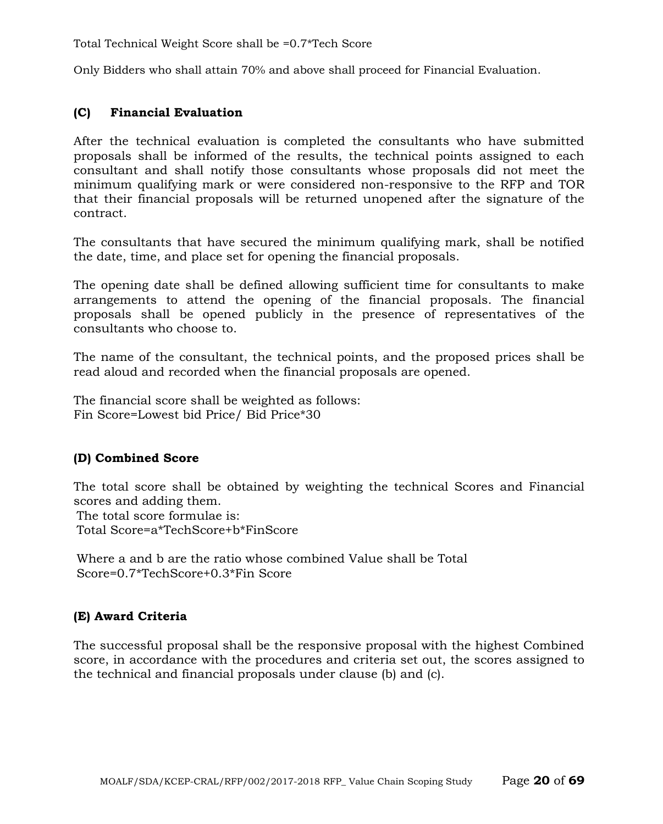Total Technical Weight Score shall be =0.7\*Tech Score

Only Bidders who shall attain 70% and above shall proceed for Financial Evaluation.

#### **(C) Financial Evaluation**

After the technical evaluation is completed the consultants who have submitted proposals shall be informed of the results, the technical points assigned to each consultant and shall notify those consultants whose proposals did not meet the minimum qualifying mark or were considered non-responsive to the RFP and TOR that their financial proposals will be returned unopened after the signature of the contract.

The consultants that have secured the minimum qualifying mark, shall be notified the date, time, and place set for opening the financial proposals.

The opening date shall be defined allowing sufficient time for consultants to make arrangements to attend the opening of the financial proposals. The financial proposals shall be opened publicly in the presence of representatives of the consultants who choose to.

The name of the consultant, the technical points, and the proposed prices shall be read aloud and recorded when the financial proposals are opened.

The financial score shall be weighted as follows: Fin Score=Lowest bid Price/ Bid Price\*30

#### **(D) Combined Score**

The total score shall be obtained by weighting the technical Scores and Financial scores and adding them. The total score formulae is: Total Score=a\*TechScore+b\*FinScore

Where a and b are the ratio whose combined Value shall be Total Score=0.7\*TechScore+0.3\*Fin Score

## **(E) Award Criteria**

The successful proposal shall be the responsive proposal with the highest Combined score, in accordance with the procedures and criteria set out, the scores assigned to the technical and financial proposals under clause (b) and (c).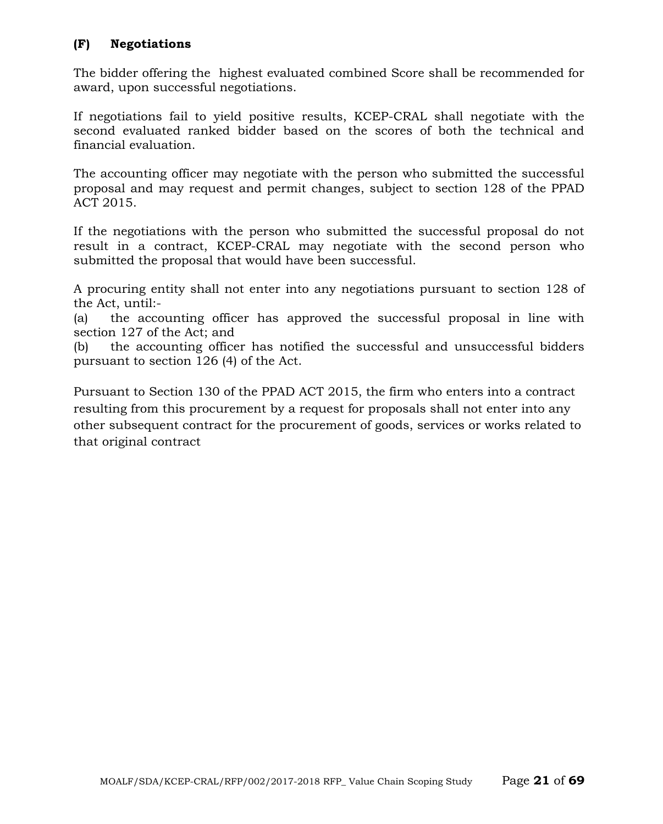## **(F) Negotiations**

The bidder offering the highest evaluated combined Score shall be recommended for award, upon successful negotiations.

If negotiations fail to yield positive results, KCEP-CRAL shall negotiate with the second evaluated ranked bidder based on the scores of both the technical and financial evaluation.

The accounting officer may negotiate with the person who submitted the successful proposal and may request and permit changes, subject to section 128 of the PPAD ACT 2015.

If the negotiations with the person who submitted the successful proposal do not result in a contract, KCEP-CRAL may negotiate with the second person who submitted the proposal that would have been successful.

A procuring entity shall not enter into any negotiations pursuant to section 128 of the Act, until:-

(a) the accounting officer has approved the successful proposal in line with section 127 of the Act; and

(b) the accounting officer has notified the successful and unsuccessful bidders pursuant to section 126 (4) of the Act.

Pursuant to Section 130 of the PPAD ACT 2015, the firm who enters into a contract resulting from this procurement by a request for proposals shall not enter into any other subsequent contract for the procurement of goods, services or works related to that original contract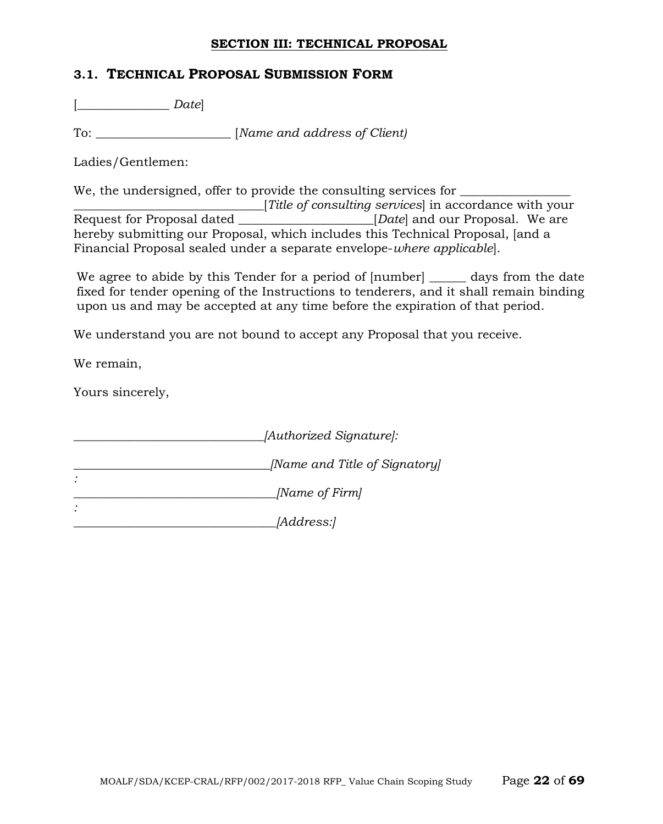#### **SECTION III: TECHNICAL PROPOSAL**

## **3.1. TECHNICAL PROPOSAL SUBMISSION FORM**

[\_\_\_\_\_\_\_\_\_\_\_\_\_\_\_ *Date*]

To: \_\_\_\_\_\_\_\_\_\_\_\_\_\_\_\_\_\_\_\_\_\_ [*Name and address of Client)*

Ladies/Gentlemen:

We, the undersigned, offer to provide the consulting services for

Title of consulting services in accordance with your<br>Request for Proposal dated [*Date*] and our Proposal. We are **EXECUTE:** For Proposal. We are hereby submitting our Proposal, which includes this Technical Proposal, [and a Financial Proposal sealed under a separate envelope-*where applicable*].

We agree to abide by this Tender for a period of  $[number]$  and  $q$  days from the date fixed for tender opening of the Instructions to tenderers, and it shall remain binding upon us and may be accepted at any time before the expiration of that period.

We understand you are not bound to accept any Proposal that you receive.

We remain,

Yours sincerely,

| [Authorized Signature]:       |
|-------------------------------|
| [Name and Title of Signatory] |
| [Name of Firm]                |
| <i>[Address:]</i>             |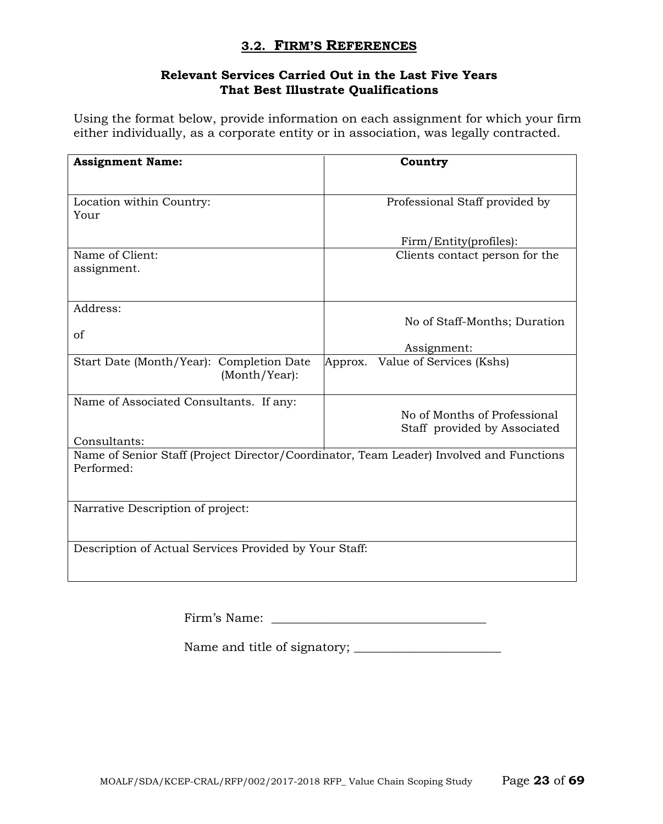## **3.2. FIRM'S REFERENCES**

## **Relevant Services Carried Out in the Last Five Years That Best Illustrate Qualifications**

Using the format below, provide information on each assignment for which your firm either individually, as a corporate entity or in association, was legally contracted.

| <b>Assignment Name:</b>                                                                               | Country                                                      |
|-------------------------------------------------------------------------------------------------------|--------------------------------------------------------------|
| Location within Country:<br>Your                                                                      | Professional Staff provided by                               |
|                                                                                                       | Firm/Entity(profiles):                                       |
| Name of Client:<br>assignment.                                                                        | Clients contact person for the                               |
| Address:<br>of                                                                                        | No of Staff-Months; Duration                                 |
|                                                                                                       | Assignment:                                                  |
| Start Date (Month/Year): Completion Date<br>(Month/Year):                                             | Value of Services (Kshs)<br>Approx.                          |
| Name of Associated Consultants. If any:                                                               | No of Months of Professional<br>Staff provided by Associated |
| Consultants:                                                                                          |                                                              |
| Name of Senior Staff (Project Director/Coordinator, Team Leader) Involved and Functions<br>Performed: |                                                              |
| Narrative Description of project:                                                                     |                                                              |
| Description of Actual Services Provided by Your Staff:                                                |                                                              |

Name and title of signatory; \_\_\_\_\_\_\_\_\_\_\_\_\_\_\_\_\_\_\_\_\_\_\_\_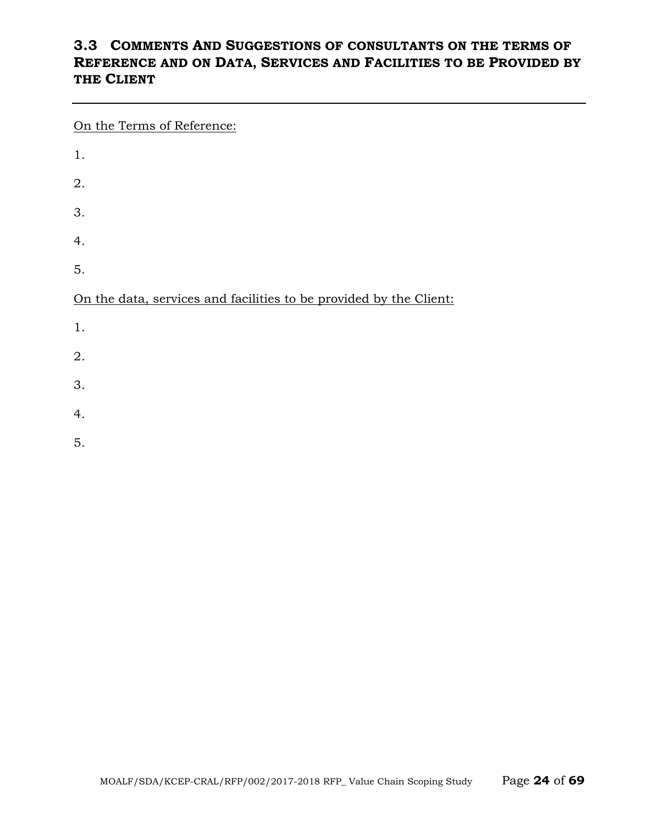## **3.3 COMMENTS AND SUGGESTIONS OF CONSULTANTS ON THE TERMS OF REFERENCE AND ON DATA, SERVICES AND FACILITIES TO BE PROVIDED BY THE CLIENT**

On the Terms of Reference:

| 1.                                                                 |
|--------------------------------------------------------------------|
| 2.                                                                 |
| 3.                                                                 |
| 4.                                                                 |
| 5.                                                                 |
|                                                                    |
| On the data, services and facilities to be provided by the Client: |
| 1.                                                                 |
| 2.                                                                 |
| 3.                                                                 |

5.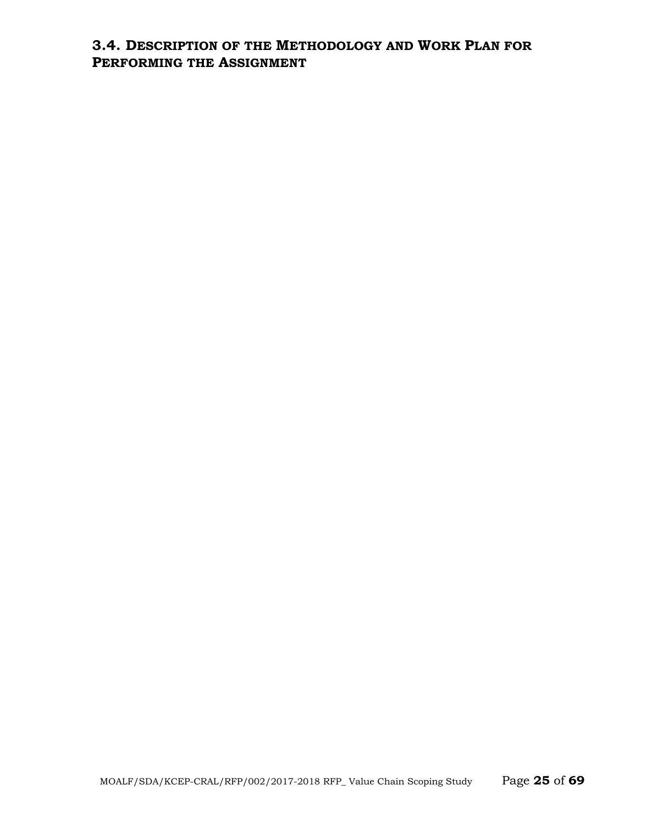## **3.4. DESCRIPTION OF THE METHODOLOGY AND WORK PLAN FOR PERFORMING THE ASSIGNMENT**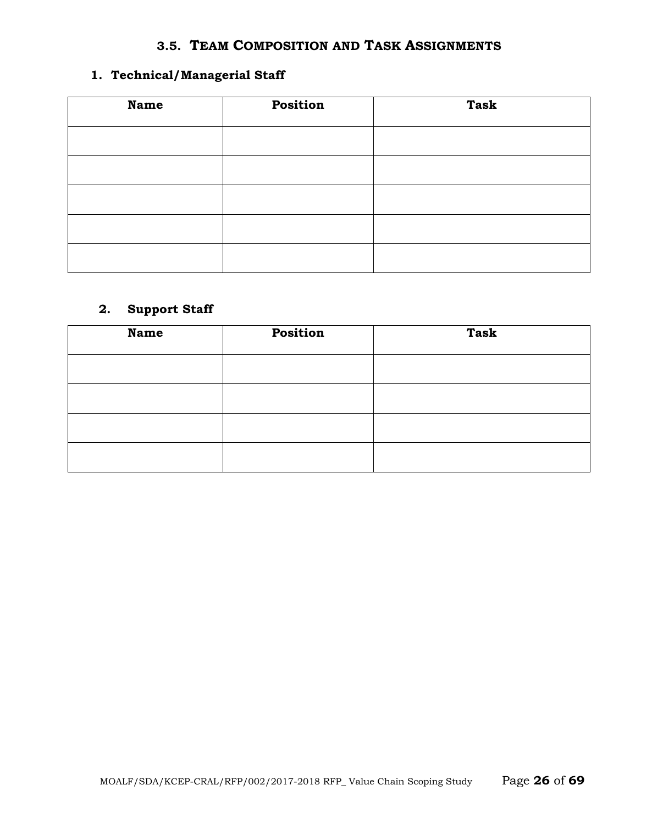## **3.5. TEAM COMPOSITION AND TASK ASSIGNMENTS**

## **1. Technical/Managerial Staff**

| <b>Name</b> | Position | <b>Task</b> |
|-------------|----------|-------------|
|             |          |             |
|             |          |             |
|             |          |             |
|             |          |             |
|             |          |             |

## **2. Support Staff**

| <b>Name</b> | Position | <b>Task</b> |
|-------------|----------|-------------|
|             |          |             |
|             |          |             |
|             |          |             |
|             |          |             |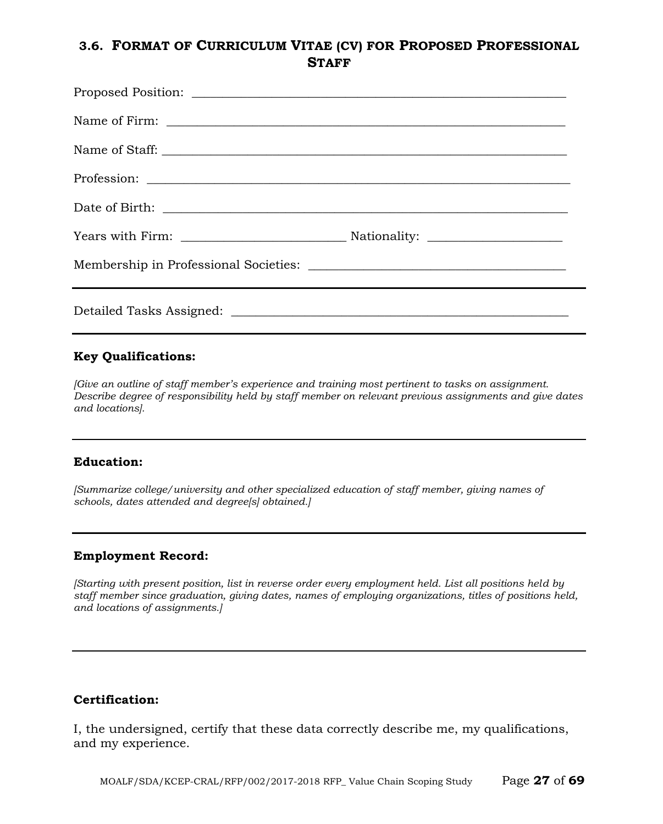## **3.6. FORMAT OF CURRICULUM VITAE (CV) FOR PROPOSED PROFESSIONAL STAFF**

#### **Key Qualifications:**

*[Give an outline of staff member's experience and training most pertinent to tasks on assignment. Describe degree of responsibility held by staff member on relevant previous assignments and give dates and locations].*

#### **Education:**

*[Summarize college/university and other specialized education of staff member, giving names of schools, dates attended and degree[s] obtained.]*

#### **Employment Record:**

*[Starting with present position, list in reverse order every employment held. List all positions held by staff member since graduation, giving dates, names of employing organizations, titles of positions held, and locations of assignments.]*

#### **Certification:**

I, the undersigned, certify that these data correctly describe me, my qualifications, and my experience.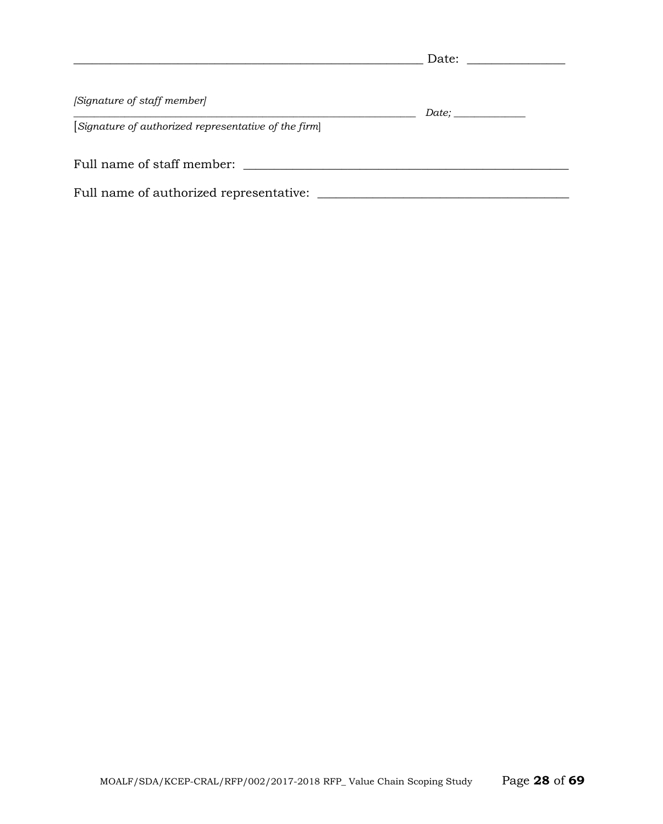|                                                      | Date:               |  |
|------------------------------------------------------|---------------------|--|
| [Signature of staff member]                          |                     |  |
| [Signature of authorized representative of the firm] | Date; _____________ |  |
| Full name of staff member:                           |                     |  |
| Full name of authorized representative:              |                     |  |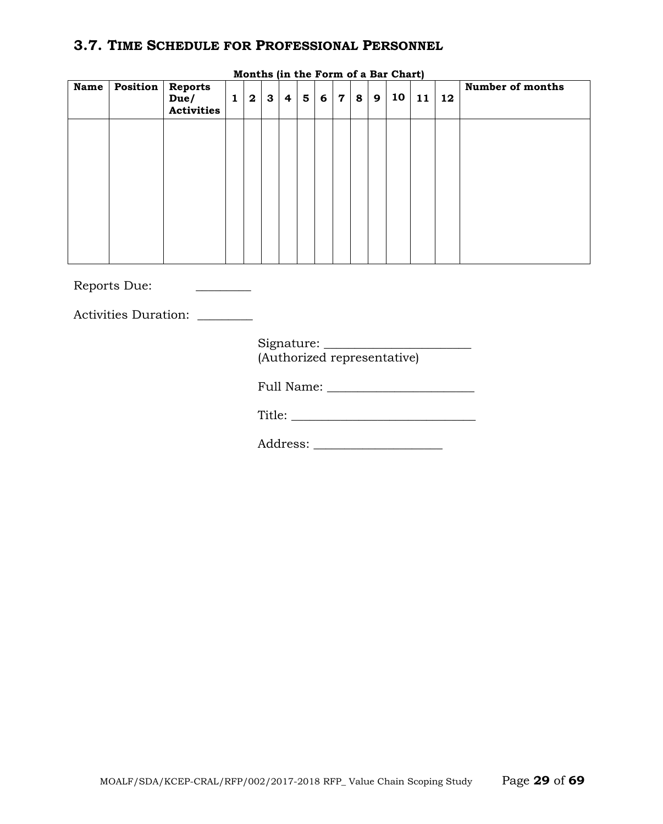## **3.7. TIME SCHEDULE FOR PROFESSIONAL PERSONNEL**

| <b>Name</b> | <b>Position</b>   Reports<br>Due/<br><b>Activities</b> | $1 \mid$ | $\boldsymbol{2}$ | $\mathbf{3}$ | 4 <sup>1</sup> | $5^{\circ}$ | 6 <sup>1</sup> | $\mathbf 7$ | $+8$ <sup>+</sup> | 9 | MOIICIIS (III CHE FOI III OI A BAI CHAIC)<br>10 <sup>1</sup> | 11 | 12 | Number of months |
|-------------|--------------------------------------------------------|----------|------------------|--------------|----------------|-------------|----------------|-------------|-------------------|---|--------------------------------------------------------------|----|----|------------------|
|             |                                                        |          |                  |              |                |             |                |             |                   |   |                                                              |    |    |                  |
|             |                                                        |          |                  |              |                |             |                |             |                   |   |                                                              |    |    |                  |
|             |                                                        |          |                  |              |                |             |                |             |                   |   |                                                              |    |    |                  |
|             |                                                        |          |                  |              |                |             |                |             |                   |   |                                                              |    |    |                  |

**Months (in the Form of a Bar Chart)**

Reports Due: \_\_\_\_\_\_\_\_\_\_

Activities Duration:

| Signature: |                             |
|------------|-----------------------------|
|            | (Authorized representative) |

Full Name: \_\_\_\_\_\_\_\_\_\_\_\_\_\_\_\_\_\_\_\_\_\_\_\_

Title: \_\_\_\_\_\_\_\_\_\_\_\_\_\_\_\_\_\_\_\_\_\_\_\_\_\_\_\_\_\_

Address: \_\_\_\_\_\_\_\_\_\_\_\_\_\_\_\_\_\_\_\_\_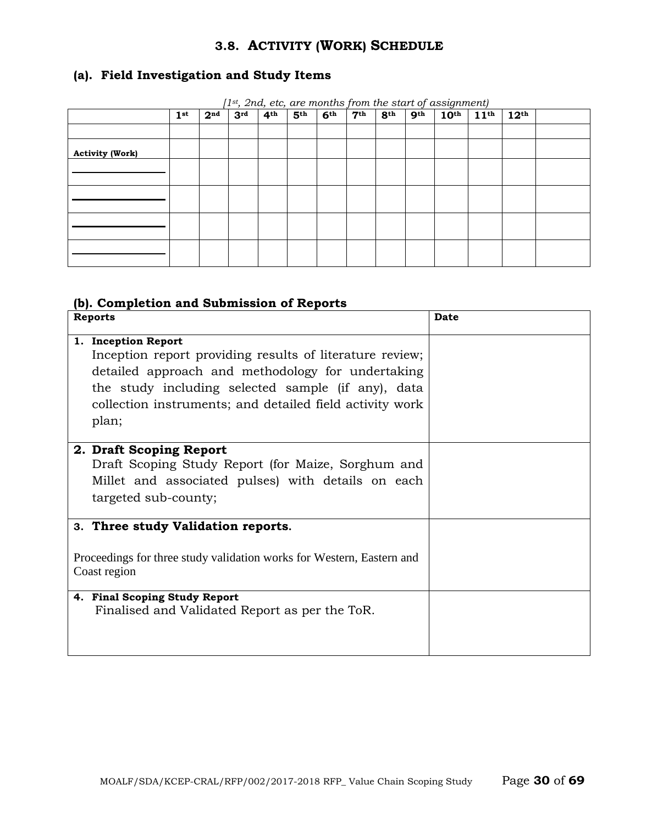## **3.8. ACTIVITY (WORK) SCHEDULE**

## **(a). Field Investigation and Study Items**

|                        |                 |                 |                 |                 |                 |                 |                 |                 |                 | $T^{\rm st},$ 2nd, etc, are months from the start of assignment) |                  |                  |  |
|------------------------|-----------------|-----------------|-----------------|-----------------|-----------------|-----------------|-----------------|-----------------|-----------------|------------------------------------------------------------------|------------------|------------------|--|
|                        | 1 <sup>st</sup> | 2 <sup>nd</sup> | 3 <sup>rd</sup> | 4 <sup>th</sup> | 5 <sup>th</sup> | 6 <sup>th</sup> | 7 <sup>th</sup> | 8 <sup>th</sup> | 9 <sup>th</sup> | 10 <sup>th</sup>                                                 | 11 <sup>th</sup> | 12 <sup>th</sup> |  |
|                        |                 |                 |                 |                 |                 |                 |                 |                 |                 |                                                                  |                  |                  |  |
|                        |                 |                 |                 |                 |                 |                 |                 |                 |                 |                                                                  |                  |                  |  |
|                        |                 |                 |                 |                 |                 |                 |                 |                 |                 |                                                                  |                  |                  |  |
| <b>Activity (Work)</b> |                 |                 |                 |                 |                 |                 |                 |                 |                 |                                                                  |                  |                  |  |
|                        |                 |                 |                 |                 |                 |                 |                 |                 |                 |                                                                  |                  |                  |  |
|                        |                 |                 |                 |                 |                 |                 |                 |                 |                 |                                                                  |                  |                  |  |
|                        |                 |                 |                 |                 |                 |                 |                 |                 |                 |                                                                  |                  |                  |  |
|                        |                 |                 |                 |                 |                 |                 |                 |                 |                 |                                                                  |                  |                  |  |
|                        |                 |                 |                 |                 |                 |                 |                 |                 |                 |                                                                  |                  |                  |  |
|                        |                 |                 |                 |                 |                 |                 |                 |                 |                 |                                                                  |                  |                  |  |
|                        |                 |                 |                 |                 |                 |                 |                 |                 |                 |                                                                  |                  |                  |  |
|                        |                 |                 |                 |                 |                 |                 |                 |                 |                 |                                                                  |                  |                  |  |
|                        |                 |                 |                 |                 |                 |                 |                 |                 |                 |                                                                  |                  |                  |  |
|                        |                 |                 |                 |                 |                 |                 |                 |                 |                 |                                                                  |                  |                  |  |
|                        |                 |                 |                 |                 |                 |                 |                 |                 |                 |                                                                  |                  |                  |  |
|                        |                 |                 |                 |                 |                 |                 |                 |                 |                 |                                                                  |                  |                  |  |

*[1st, 2nd, etc, are months from the start of assignment)*

#### **(b). Completion and Submission of Reports**

| <b>Reports</b>                                                                                                                                                                                                                                                  | <b>Date</b> |
|-----------------------------------------------------------------------------------------------------------------------------------------------------------------------------------------------------------------------------------------------------------------|-------------|
| 1. Inception Report<br>Inception report providing results of literature review;<br>detailed approach and methodology for undertaking<br>the study including selected sample (if any), data<br>collection instruments; and detailed field activity work<br>plan; |             |
| 2. Draft Scoping Report<br>Draft Scoping Study Report (for Maize, Sorghum and<br>Millet and associated pulses) with details on each<br>targeted sub-county;                                                                                                     |             |
| 3. Three study Validation reports.<br>Proceedings for three study validation works for Western, Eastern and<br>Coast region                                                                                                                                     |             |
| 4. Final Scoping Study Report<br>Finalised and Validated Report as per the ToR.                                                                                                                                                                                 |             |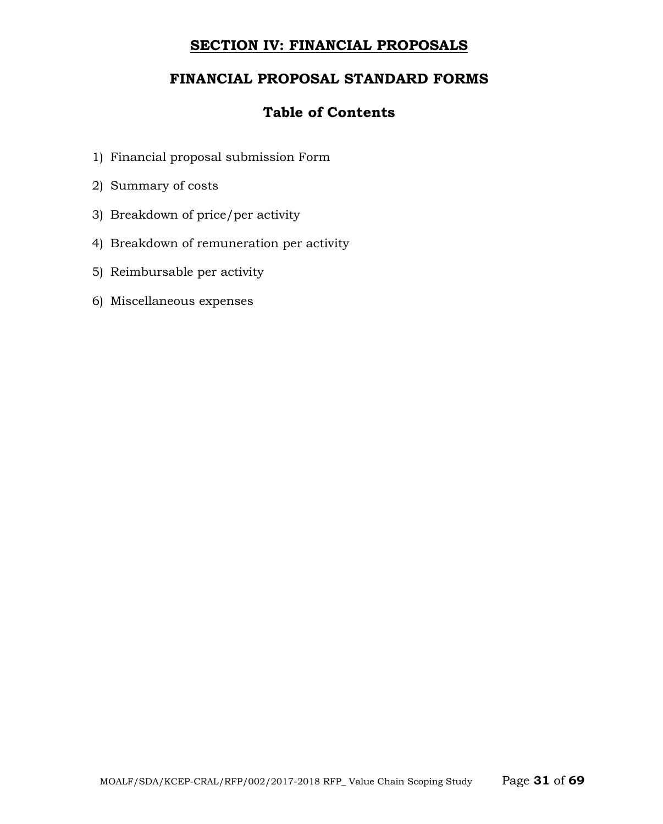## **SECTION IV: FINANCIAL PROPOSALS**

## **FINANCIAL PROPOSAL STANDARD FORMS**

## **Table of Contents**

- 1) Financial proposal submission Form
- 2) Summary of costs
- 3) Breakdown of price/per activity
- 4) Breakdown of remuneration per activity
- 5) Reimbursable per activity
- 6) Miscellaneous expenses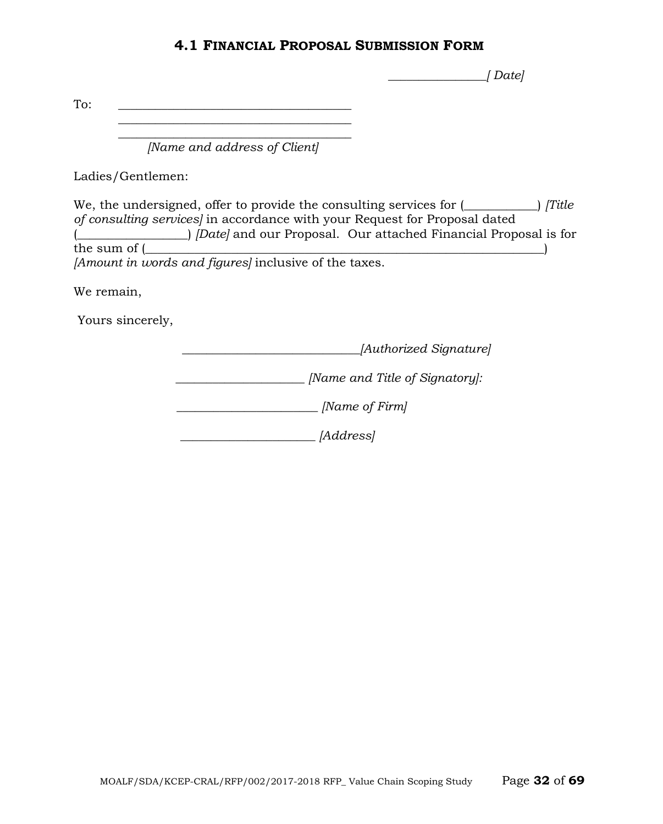## **4.1 FINANCIAL PROPOSAL SUBMISSION FORM**

 *\_\_\_\_\_\_\_\_\_\_\_\_\_\_\_\_[ Date]*

To:  $\qquad \qquad \overline{\qquad \qquad }$ 

 $\mathcal{L}_\text{max}$  and  $\mathcal{L}_\text{max}$  and  $\mathcal{L}_\text{max}$  and  $\mathcal{L}_\text{max}$  $\overline{\phantom{a}}$  , where the contract of the contract of the contract of the contract of the contract of the contract of the contract of the contract of the contract of the contract of the contract of the contract of the contr

*[Name and address of Client]*

Ladies/Gentlemen:

We, the undersigned, offer to provide the consulting services for  $($ ——
i *[Title*] *of consulting services]* in accordance with your Request for Proposal dated (*Composed Courses and our Proposal.* Our attached Financial Proposal is for the sum of (*composed value*)  $\mathbf{t}$ *[Amount in words and figures]* inclusive of the taxes.

We remain,

Yours sincerely,

 *\_\_\_\_\_\_\_\_\_\_\_\_\_\_\_\_\_\_\_\_\_\_\_\_\_\_\_\_\_[Authorized Signature]*

*\_\_\_\_\_\_\_\_\_\_\_\_\_\_\_\_\_\_\_\_\_ [Name and Title of Signatory]:*

 *\_\_\_\_\_\_\_\_\_\_\_\_\_\_\_\_\_\_\_\_\_\_\_ [Name of Firm]*

 *\_\_\_\_\_\_\_\_\_\_\_\_\_\_\_\_\_\_\_\_\_\_ [Address]*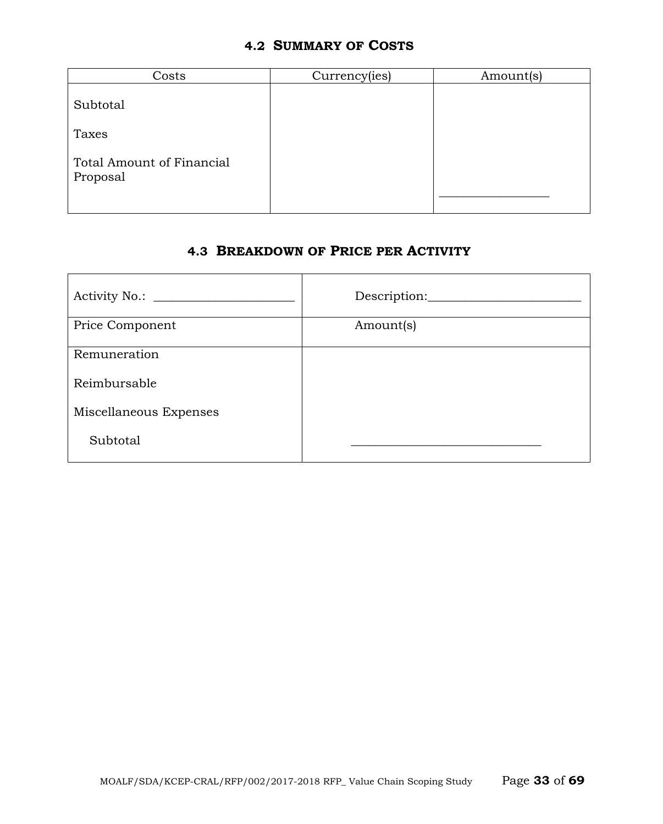## **4.2 SUMMARY OF COSTS**

| Costs                                 | Currency(ies) | Amount(s) |
|---------------------------------------|---------------|-----------|
| Subtotal                              |               |           |
| Taxes                                 |               |           |
| Total Amount of Financial<br>Proposal |               |           |

## **4.3 BREAKDOWN OF PRICE PER ACTIVITY**

| Activity No.: ________ | Description: |
|------------------------|--------------|
| Price Component        | Amount(s)    |
| Remuneration           |              |
| Reimbursable           |              |
| Miscellaneous Expenses |              |
| Subtotal               |              |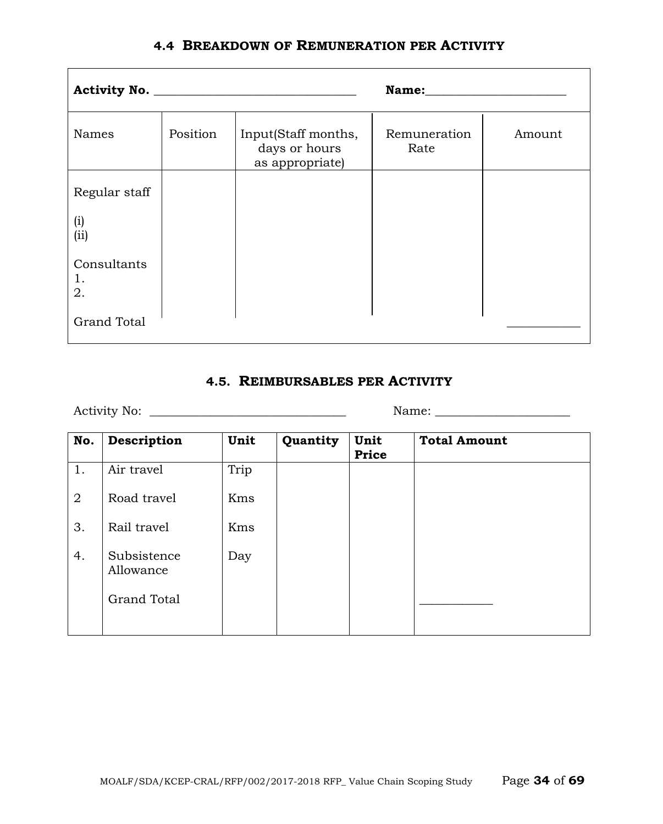|  |  | <b>4.4 BREAKDOWN OF REMUNERATION PER ACTIVITY</b> |  |
|--|--|---------------------------------------------------|--|
|--|--|---------------------------------------------------|--|

|                         |          | Name: the contract of the contract of the contract of the contract of the contract of the contract of the contract of the contract of the contract of the contract of the contract of the contract of the contract of the cont |                      |        |  |
|-------------------------|----------|--------------------------------------------------------------------------------------------------------------------------------------------------------------------------------------------------------------------------------|----------------------|--------|--|
| Names                   | Position | Input(Staff months,<br>days or hours<br>as appropriate)                                                                                                                                                                        | Remuneration<br>Rate | Amount |  |
| Regular staff           |          |                                                                                                                                                                                                                                |                      |        |  |
| (i)<br>(ii)             |          |                                                                                                                                                                                                                                |                      |        |  |
| Consultants<br>1.<br>2. |          |                                                                                                                                                                                                                                |                      |        |  |
| <b>Grand Total</b>      |          |                                                                                                                                                                                                                                |                      |        |  |

## **4.5. REIMBURSABLES PER ACTIVITY**

Activity No: \_\_\_\_\_\_\_\_\_\_\_\_\_\_\_\_\_\_\_\_\_\_\_\_\_\_\_\_\_\_\_\_ Name: \_\_\_\_\_\_\_\_\_\_\_\_\_\_\_\_\_\_\_\_\_\_

| No.            | Description              | Unit | Quantity | Unit<br><b>Price</b> | <b>Total Amount</b> |
|----------------|--------------------------|------|----------|----------------------|---------------------|
| 1.             | Air travel               | Trip |          |                      |                     |
| $\overline{2}$ | Road travel              | Kms  |          |                      |                     |
| 3.             | Rail travel              | Kms  |          |                      |                     |
| 4.             | Subsistence<br>Allowance | Day  |          |                      |                     |
|                | <b>Grand Total</b>       |      |          |                      |                     |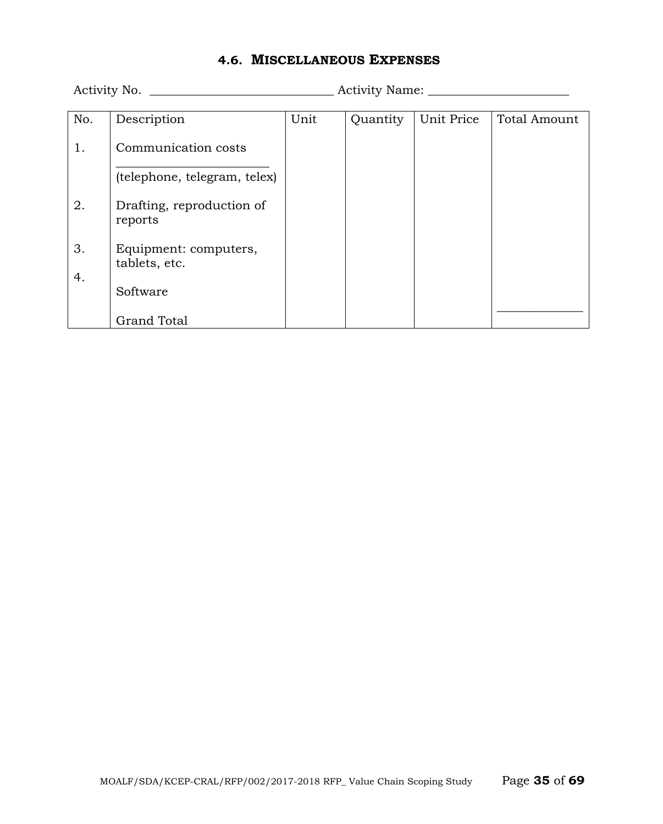## **4.6. MISCELLANEOUS EXPENSES**

Activity No. \_\_\_\_\_\_\_\_\_\_\_\_\_\_\_\_\_\_\_\_\_\_\_\_\_\_\_\_\_\_ Activity Name: \_\_\_\_\_\_\_\_\_\_\_\_\_\_\_\_\_\_\_\_\_\_\_

|                                                                                                                                                                                        |      |          | <b>Total Amount</b> |
|----------------------------------------------------------------------------------------------------------------------------------------------------------------------------------------|------|----------|---------------------|
|                                                                                                                                                                                        |      |          |                     |
|                                                                                                                                                                                        |      |          |                     |
|                                                                                                                                                                                        |      |          |                     |
|                                                                                                                                                                                        |      |          |                     |
|                                                                                                                                                                                        |      |          |                     |
|                                                                                                                                                                                        |      |          |                     |
|                                                                                                                                                                                        |      |          |                     |
|                                                                                                                                                                                        |      |          |                     |
|                                                                                                                                                                                        |      |          |                     |
|                                                                                                                                                                                        |      |          |                     |
|                                                                                                                                                                                        |      |          |                     |
|                                                                                                                                                                                        |      |          |                     |
|                                                                                                                                                                                        |      |          |                     |
|                                                                                                                                                                                        |      |          |                     |
|                                                                                                                                                                                        |      |          |                     |
|                                                                                                                                                                                        |      |          |                     |
|                                                                                                                                                                                        |      |          |                     |
|                                                                                                                                                                                        |      |          |                     |
| Description<br>Communication costs<br>(telephone, telegram, telex)<br>Drafting, reproduction of<br>reports<br>Equipment: computers,<br>tablets, etc.<br>Software<br><b>Grand Total</b> | Unit | Quantity | Unit Price          |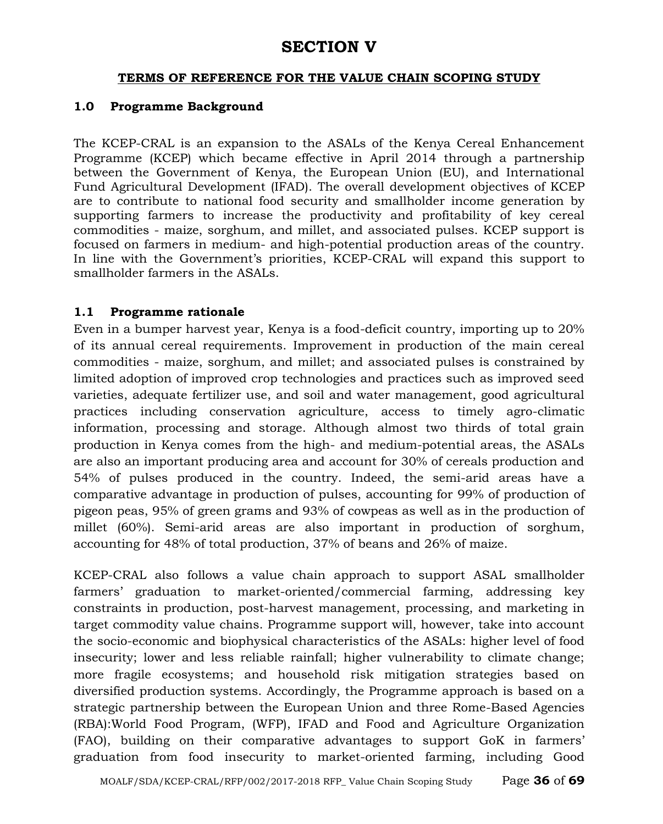# **SECTION V**

#### **TERMS OF REFERENCE FOR THE VALUE CHAIN SCOPING STUDY**

#### **1.0 Programme Background**

The KCEP-CRAL is an expansion to the ASALs of the Kenya Cereal Enhancement Programme (KCEP) which became effective in April 2014 through a partnership between the Government of Kenya, the European Union (EU), and International Fund Agricultural Development (IFAD). The overall development objectives of KCEP are to contribute to national food security and smallholder income generation by supporting farmers to increase the productivity and profitability of key cereal commodities - maize, sorghum, and millet, and associated pulses. KCEP support is focused on farmers in medium- and high-potential production areas of the country. In line with the Government's priorities, KCEP-CRAL will expand this support to smallholder farmers in the ASALs.

## **1.1 Programme rationale**

Even in a bumper harvest year, Kenya is a food-deficit country, importing up to 20% of its annual cereal requirements. Improvement in production of the main cereal commodities - maize, sorghum, and millet; and associated pulses is constrained by limited adoption of improved crop technologies and practices such as improved seed varieties, adequate fertilizer use, and soil and water management, good agricultural practices including conservation agriculture, access to timely agro-climatic information, processing and storage. Although almost two thirds of total grain production in Kenya comes from the high- and medium-potential areas, the ASALs are also an important producing area and account for 30% of cereals production and 54% of pulses produced in the country. Indeed, the semi-arid areas have a comparative advantage in production of pulses, accounting for 99% of production of pigeon peas, 95% of green grams and 93% of cowpeas as well as in the production of millet (60%). Semi-arid areas are also important in production of sorghum, accounting for 48% of total production, 37% of beans and 26% of maize.

KCEP-CRAL also follows a value chain approach to support ASAL smallholder farmers' graduation to market-oriented/commercial farming, addressing key constraints in production, post-harvest management, processing, and marketing in target commodity value chains. Programme support will, however, take into account the socio-economic and biophysical characteristics of the ASALs: higher level of food insecurity; lower and less reliable rainfall; higher vulnerability to climate change; more fragile ecosystems; and household risk mitigation strategies based on diversified production systems. Accordingly, the Programme approach is based on a strategic partnership between the European Union and three Rome-Based Agencies (RBA):World Food Program, (WFP), IFAD and Food and Agriculture Organization (FAO), building on their comparative advantages to support GoK in farmers' graduation from food insecurity to market-oriented farming, including Good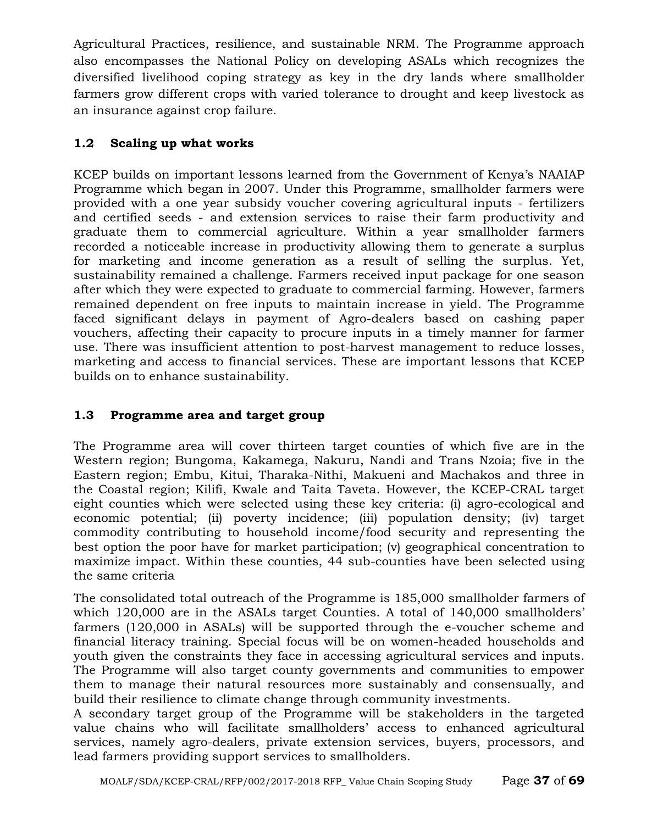Agricultural Practices, resilience, and sustainable NRM. The Programme approach also encompasses the National Policy on developing ASALs which recognizes the diversified livelihood coping strategy as key in the dry lands where smallholder farmers grow different crops with varied tolerance to drought and keep livestock as an insurance against crop failure.

## **1.2 Scaling up what works**

KCEP builds on important lessons learned from the Government of Kenya's NAAIAP Programme which began in 2007. Under this Programme, smallholder farmers were provided with a one year subsidy voucher covering agricultural inputs - fertilizers and certified seeds - and extension services to raise their farm productivity and graduate them to commercial agriculture. Within a year smallholder farmers recorded a noticeable increase in productivity allowing them to generate a surplus for marketing and income generation as a result of selling the surplus. Yet, sustainability remained a challenge. Farmers received input package for one season after which they were expected to graduate to commercial farming. However, farmers remained dependent on free inputs to maintain increase in yield. The Programme faced significant delays in payment of Agro-dealers based on cashing paper vouchers, affecting their capacity to procure inputs in a timely manner for farmer use. There was insufficient attention to post-harvest management to reduce losses, marketing and access to financial services. These are important lessons that KCEP builds on to enhance sustainability.

## **1.3 Programme area and target group**

The Programme area will cover thirteen target counties of which five are in the Western region; Bungoma, Kakamega, Nakuru, Nandi and Trans Nzoia; five in the Eastern region; Embu, Kitui, Tharaka-Nithi, Makueni and Machakos and three in the Coastal region; Kilifi, Kwale and Taita Taveta. However, the KCEP-CRAL target eight counties which were selected using these key criteria: (i) agro-ecological and economic potential; (ii) poverty incidence; (iii) population density; (iv) target commodity contributing to household income/food security and representing the best option the poor have for market participation; (v) geographical concentration to maximize impact. Within these counties, 44 sub-counties have been selected using the same criteria

The consolidated total outreach of the Programme is 185,000 smallholder farmers of which 120,000 are in the ASALs target Counties. A total of 140,000 smallholders' farmers (120,000 in ASALs) will be supported through the e-voucher scheme and financial literacy training. Special focus will be on women-headed households and youth given the constraints they face in accessing agricultural services and inputs. The Programme will also target county governments and communities to empower them to manage their natural resources more sustainably and consensually, and build their resilience to climate change through community investments.

A secondary target group of the Programme will be stakeholders in the targeted value chains who will facilitate smallholders' access to enhanced agricultural services, namely agro-dealers, private extension services, buyers, processors, and lead farmers providing support services to smallholders.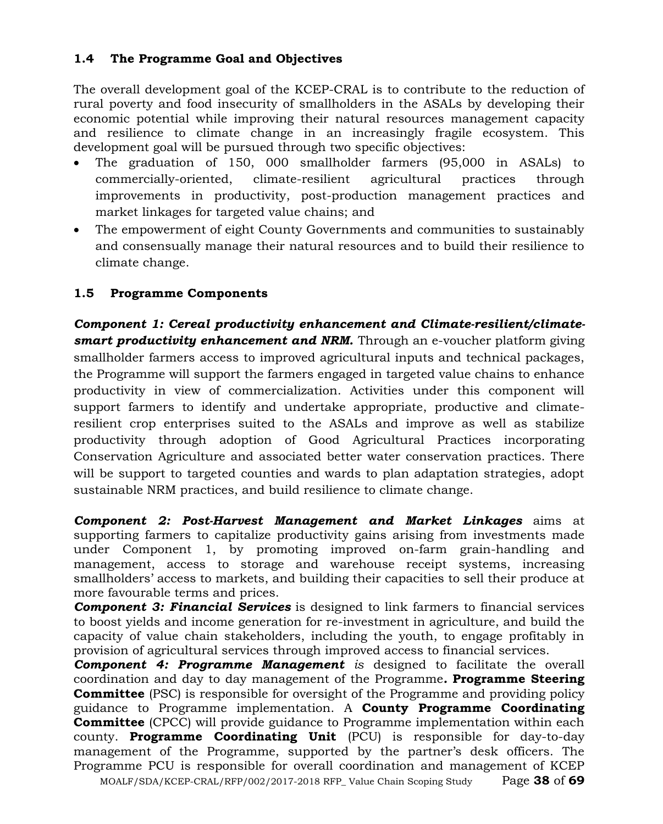## **1.4 The Programme Goal and Objectives**

The overall development goal of the KCEP-CRAL is to contribute to the reduction of rural poverty and food insecurity of smallholders in the ASALs by developing their economic potential while improving their natural resources management capacity and resilience to climate change in an increasingly fragile ecosystem. This development goal will be pursued through two specific objectives:

- The graduation of 150, 000 smallholder farmers (95,000 in ASALs) to commercially-oriented, climate-resilient agricultural practices through improvements in productivity, post-production management practices and market linkages for targeted value chains; and
- The empowerment of eight County Governments and communities to sustainably and consensually manage their natural resources and to build their resilience to climate change.

## **1.5 Programme Components**

*Component 1: Cereal productivity enhancement and Climate-resilient/climatesmart productivity enhancement and NRM.* Through an e-voucher platform giving smallholder farmers access to improved agricultural inputs and technical packages, the Programme will support the farmers engaged in targeted value chains to enhance productivity in view of commercialization. Activities under this component will support farmers to identify and undertake appropriate, productive and climateresilient crop enterprises suited to the ASALs and improve as well as stabilize productivity through adoption of Good Agricultural Practices incorporating Conservation Agriculture and associated better water conservation practices. There will be support to targeted counties and wards to plan adaptation strategies, adopt sustainable NRM practices, and build resilience to climate change.

*Component 2: Post-Harvest Management and Market Linkages* aims at supporting farmers to capitalize productivity gains arising from investments made under Component 1, by promoting improved on-farm grain-handling and management, access to storage and warehouse receipt systems, increasing smallholders' access to markets, and building their capacities to sell their produce at more favourable terms and prices.

*Component 3: Financial Services* is designed to link farmers to financial services to boost yields and income generation for re-investment in agriculture, and build the capacity of value chain stakeholders, including the youth, to engage profitably in provision of agricultural services through improved access to financial services.

*Component 4: Programme Management is* designed to facilitate the overall coordination and day to day management of the Programme*.* **Programme Steering Committee** (PSC) is responsible for oversight of the Programme and providing policy guidance to Programme implementation. A **County Programme Coordinating Committee** (CPCC) will provide guidance to Programme implementation within each county. **Programme Coordinating Unit** (PCU) is responsible for day-to-day management of the Programme, supported by the partner's desk officers. The Programme PCU is responsible for overall coordination and management of KCEP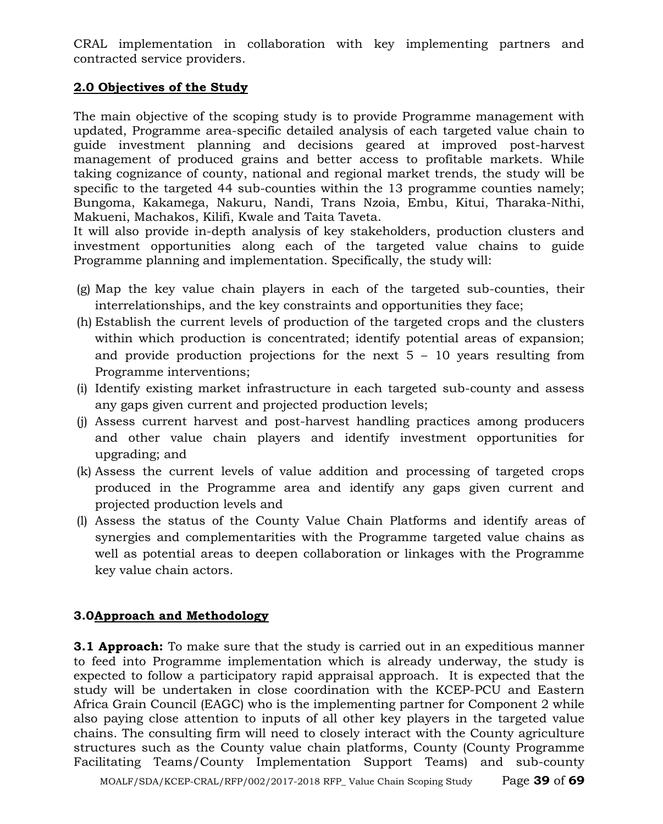CRAL implementation in collaboration with key implementing partners and contracted service providers.

## **2.0 Objectives of the Study**

The main objective of the scoping study is to provide Programme management with updated, Programme area-specific detailed analysis of each targeted value chain to guide investment planning and decisions geared at improved post-harvest management of produced grains and better access to profitable markets. While taking cognizance of county, national and regional market trends, the study will be specific to the targeted 44 sub-counties within the 13 programme counties namely; Bungoma, Kakamega, Nakuru, Nandi, Trans Nzoia, Embu, Kitui, Tharaka-Nithi, Makueni, Machakos, Kilifi, Kwale and Taita Taveta.

It will also provide in-depth analysis of key stakeholders, production clusters and investment opportunities along each of the targeted value chains to guide Programme planning and implementation. Specifically, the study will:

- (g) Map the key value chain players in each of the targeted sub-counties, their interrelationships, and the key constraints and opportunities they face;
- (h) Establish the current levels of production of the targeted crops and the clusters within which production is concentrated; identify potential areas of expansion; and provide production projections for the next  $5 - 10$  years resulting from Programme interventions;
- (i) Identify existing market infrastructure in each targeted sub-county and assess any gaps given current and projected production levels;
- (j) Assess current harvest and post-harvest handling practices among producers and other value chain players and identify investment opportunities for upgrading; and
- (k) Assess the current levels of value addition and processing of targeted crops produced in the Programme area and identify any gaps given current and projected production levels and
- (l) Assess the status of the County Value Chain Platforms and identify areas of synergies and complementarities with the Programme targeted value chains as well as potential areas to deepen collaboration or linkages with the Programme key value chain actors.

## **3.0Approach and Methodology**

**3.1 Approach:** To make sure that the study is carried out in an expeditious manner to feed into Programme implementation which is already underway, the study is expected to follow a participatory rapid appraisal approach. It is expected that the study will be undertaken in close coordination with the KCEP-PCU and Eastern Africa Grain Council (EAGC) who is the implementing partner for Component 2 while also paying close attention to inputs of all other key players in the targeted value chains. The consulting firm will need to closely interact with the County agriculture structures such as the County value chain platforms, County (County Programme Facilitating Teams/County Implementation Support Teams) and sub-county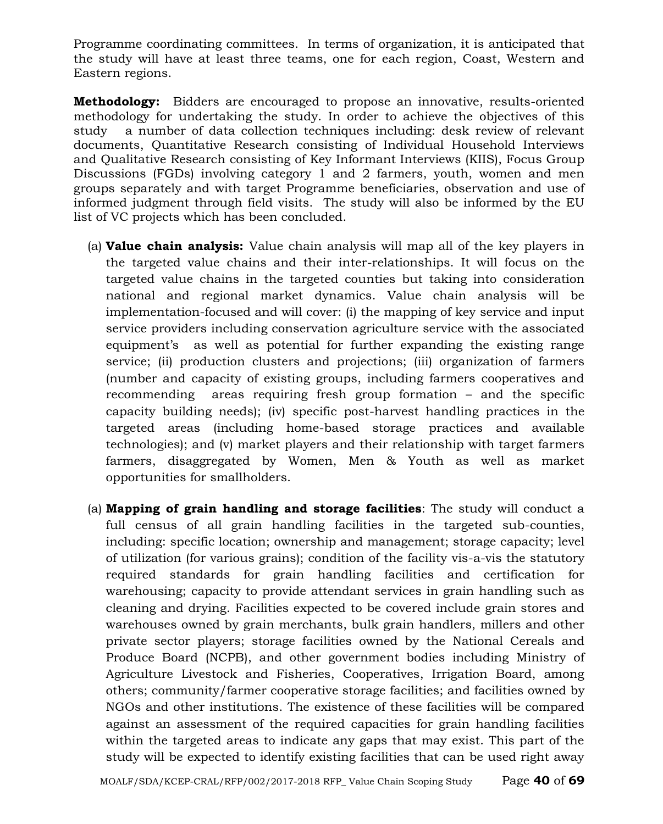Programme coordinating committees. In terms of organization, it is anticipated that the study will have at least three teams, one for each region, Coast, Western and Eastern regions.

**Methodology:** Bidders are encouraged to propose an innovative, results-oriented methodology for undertaking the study. In order to achieve the objectives of this study a number of data collection techniques including: desk review of relevant documents, Quantitative Research consisting of Individual Household Interviews and Qualitative Research consisting of Key Informant Interviews (KIIS), Focus Group Discussions (FGDs) involving category 1 and 2 farmers, youth, women and men groups separately and with target Programme beneficiaries, observation and use of informed judgment through field visits. The study will also be informed by the EU list of VC projects which has been concluded.

- (a) **Value chain analysis:** Value chain analysis will map all of the key players in the targeted value chains and their inter-relationships. It will focus on the targeted value chains in the targeted counties but taking into consideration national and regional market dynamics. Value chain analysis will be implementation-focused and will cover: (i) the mapping of key service and input service providers including conservation agriculture service with the associated equipment's as well as potential for further expanding the existing range service; (ii) production clusters and projections; (iii) organization of farmers (number and capacity of existing groups, including farmers cooperatives and recommending areas requiring fresh group formation – and the specific capacity building needs); (iv) specific post-harvest handling practices in the targeted areas (including home-based storage practices and available technologies); and (v) market players and their relationship with target farmers farmers, disaggregated by Women, Men & Youth as well as market opportunities for smallholders.
- (a) **Mapping of grain handling and storage facilities**: The study will conduct a full census of all grain handling facilities in the targeted sub-counties, including: specific location; ownership and management; storage capacity; level of utilization (for various grains); condition of the facility vis-a-vis the statutory required standards for grain handling facilities and certification for warehousing; capacity to provide attendant services in grain handling such as cleaning and drying. Facilities expected to be covered include grain stores and warehouses owned by grain merchants, bulk grain handlers, millers and other private sector players; storage facilities owned by the National Cereals and Produce Board (NCPB), and other government bodies including Ministry of Agriculture Livestock and Fisheries, Cooperatives, Irrigation Board, among others; community/farmer cooperative storage facilities; and facilities owned by NGOs and other institutions. The existence of these facilities will be compared against an assessment of the required capacities for grain handling facilities within the targeted areas to indicate any gaps that may exist. This part of the study will be expected to identify existing facilities that can be used right away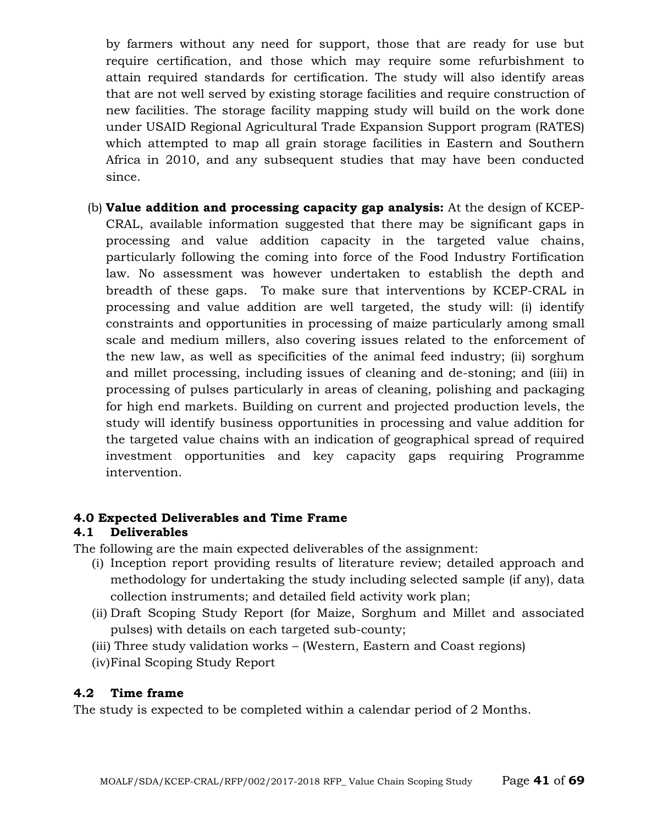by farmers without any need for support, those that are ready for use but require certification, and those which may require some refurbishment to attain required standards for certification. The study will also identify areas that are not well served by existing storage facilities and require construction of new facilities. The storage facility mapping study will build on the work done under USAID Regional Agricultural Trade Expansion Support program (RATES) which attempted to map all grain storage facilities in Eastern and Southern Africa in 2010, and any subsequent studies that may have been conducted since.

(b) **Value addition and processing capacity gap analysis:** At the design of KCEP-CRAL, available information suggested that there may be significant gaps in processing and value addition capacity in the targeted value chains, particularly following the coming into force of the Food Industry Fortification law. No assessment was however undertaken to establish the depth and breadth of these gaps. To make sure that interventions by KCEP-CRAL in processing and value addition are well targeted, the study will: (i) identify constraints and opportunities in processing of maize particularly among small scale and medium millers, also covering issues related to the enforcement of the new law, as well as specificities of the animal feed industry; (ii) sorghum and millet processing, including issues of cleaning and de-stoning; and (iii) in processing of pulses particularly in areas of cleaning, polishing and packaging for high end markets. Building on current and projected production levels, the study will identify business opportunities in processing and value addition for the targeted value chains with an indication of geographical spread of required investment opportunities and key capacity gaps requiring Programme intervention.

## **4.0 Expected Deliverables and Time Frame**

## **4.1 Deliverables**

The following are the main expected deliverables of the assignment:

- (i) Inception report providing results of literature review; detailed approach and methodology for undertaking the study including selected sample (if any), data collection instruments; and detailed field activity work plan;
- (ii) Draft Scoping Study Report (for Maize, Sorghum and Millet and associated pulses) with details on each targeted sub-county;
- (iii) Three study validation works (Western, Eastern and Coast regions)
- (iv)Final Scoping Study Report

## **4.2 Time frame**

The study is expected to be completed within a calendar period of 2 Months.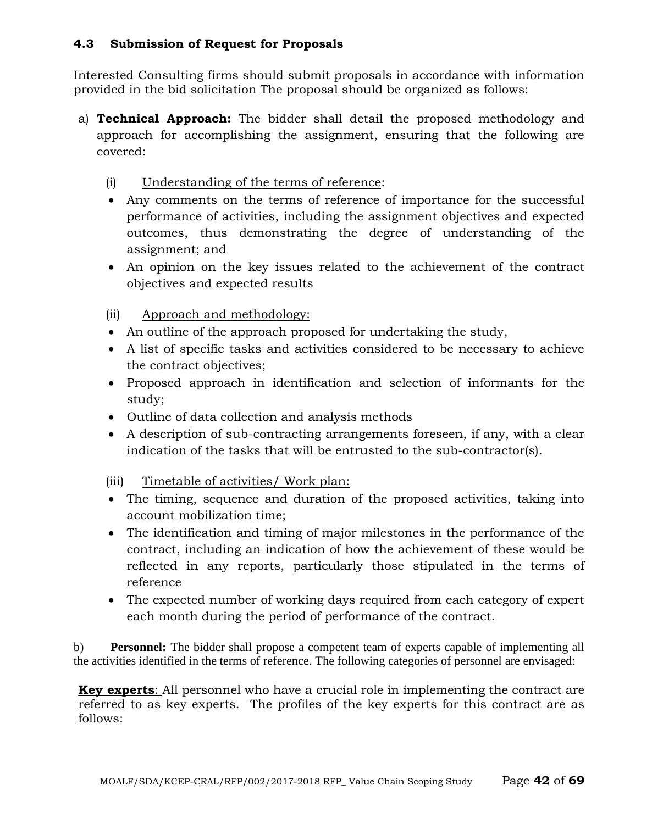#### **4.3 Submission of Request for Proposals**

Interested Consulting firms should submit proposals in accordance with information provided in the bid solicitation The proposal should be organized as follows:

- a) **Technical Approach:** The bidder shall detail the proposed methodology and approach for accomplishing the assignment, ensuring that the following are covered:
	- (i) Understanding of the terms of reference:
	- Any comments on the terms of reference of importance for the successful performance of activities, including the assignment objectives and expected outcomes, thus demonstrating the degree of understanding of the assignment; and
	- An opinion on the key issues related to the achievement of the contract objectives and expected results
	- (ii) Approach and methodology:
	- An outline of the approach proposed for undertaking the study,
	- A list of specific tasks and activities considered to be necessary to achieve the contract objectives;
	- Proposed approach in identification and selection of informants for the study;
	- Outline of data collection and analysis methods
	- A description of sub-contracting arrangements foreseen, if any, with a clear indication of the tasks that will be entrusted to the sub-contractor(s).
	- (iii) Timetable of activities/ Work plan:
	- The timing, sequence and duration of the proposed activities, taking into account mobilization time;
	- The identification and timing of major milestones in the performance of the contract, including an indication of how the achievement of these would be reflected in any reports, particularly those stipulated in the terms of reference
	- The expected number of working days required from each category of expert each month during the period of performance of the contract.

b) **Personnel:** The bidder shall propose a competent team of experts capable of implementing all the activities identified in the terms of reference. The following categories of personnel are envisaged:

**Key experts**: All personnel who have a crucial role in implementing the contract are referred to as key experts. The profiles of the key experts for this contract are as follows: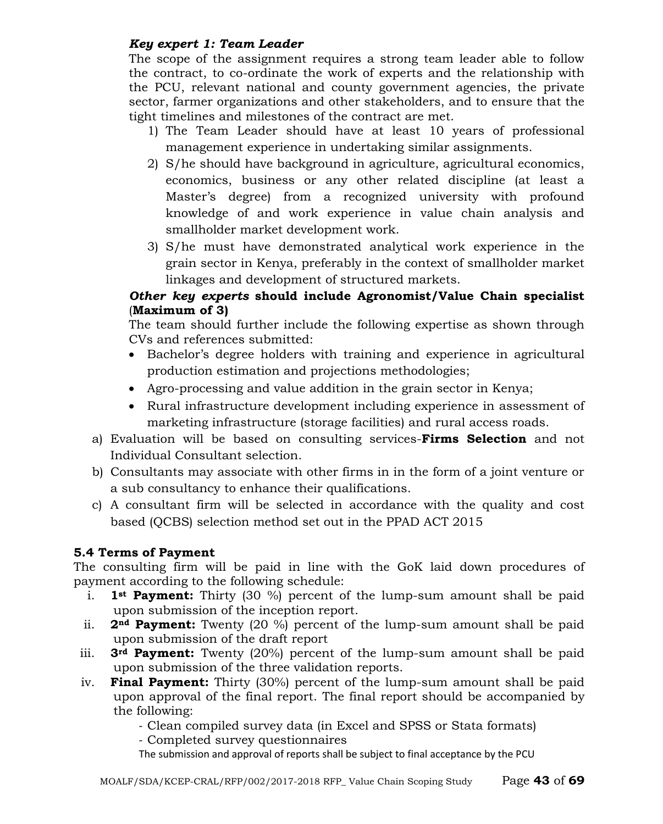## *Key expert 1: Team Leader*

The scope of the assignment requires a strong team leader able to follow the contract, to co-ordinate the work of experts and the relationship with the PCU, relevant national and county government agencies, the private sector, farmer organizations and other stakeholders, and to ensure that the tight timelines and milestones of the contract are met.

- 1) The Team Leader should have at least 10 years of professional management experience in undertaking similar assignments.
- 2) S/he should have background in agriculture, agricultural economics, economics, business or any other related discipline (at least a Master's degree) from a recognized university with profound knowledge of and work experience in value chain analysis and smallholder market development work.
- 3) S/he must have demonstrated analytical work experience in the grain sector in Kenya, preferably in the context of smallholder market linkages and development of structured markets.

## *Other key experts* **should include Agronomist/Value Chain specialist**  (**Maximum of 3)**

The team should further include the following expertise as shown through CVs and references submitted:

- Bachelor's degree holders with training and experience in agricultural production estimation and projections methodologies;
- Agro-processing and value addition in the grain sector in Kenya;
- Rural infrastructure development including experience in assessment of marketing infrastructure (storage facilities) and rural access roads.
- a) Evaluation will be based on consulting services-**Firms Selection** and not Individual Consultant selection.
- b) Consultants may associate with other firms in in the form of a joint venture or a sub consultancy to enhance their qualifications.
- c) A consultant firm will be selected in accordance with the quality and cost based (QCBS) selection method set out in the PPAD ACT 2015

## **5.4 Terms of Payment**

The consulting firm will be paid in line with the GoK laid down procedures of payment according to the following schedule:

- i. **1st Payment:** Thirty (30 %) percent of the lump-sum amount shall be paid upon submission of the inception report.
- ii. **2nd Payment:** Twenty (20 %) percent of the lump-sum amount shall be paid upon submission of the draft report
- iii. **3rd Payment:** Twenty (20%) percent of the lump-sum amount shall be paid upon submission of the three validation reports.
- iv. **Final Payment:** Thirty (30%) percent of the lump-sum amount shall be paid upon approval of the final report. The final report should be accompanied by the following:

- Clean compiled survey data (in Excel and SPSS or Stata formats)

- Completed survey questionnaires

The submission and approval of reports shall be subject to final acceptance by the PCU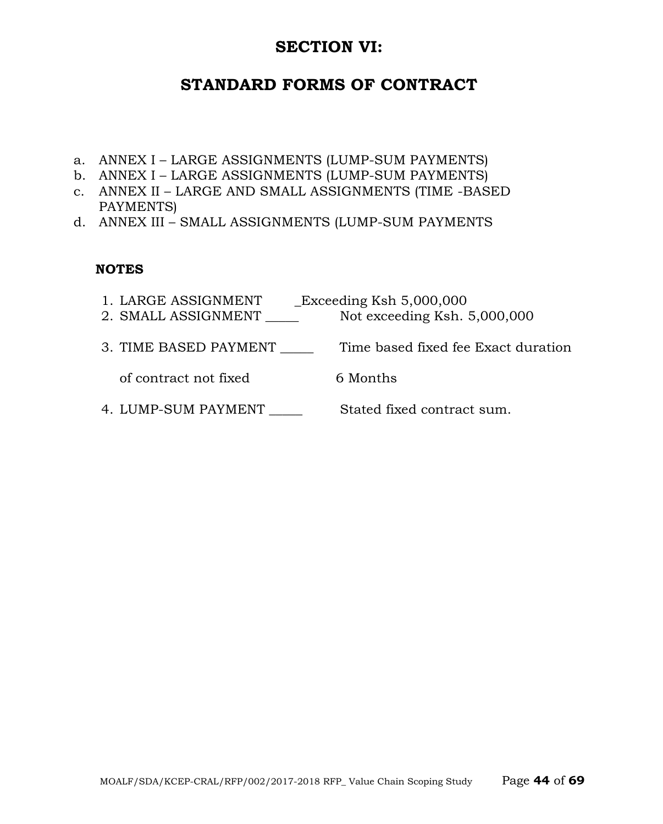# **SECTION VI:**

# **STANDARD FORMS OF CONTRACT**

- a. ANNEX I LARGE ASSIGNMENTS (LUMP-SUM PAYMENTS)
- b. ANNEX I LARGE ASSIGNMENTS (LUMP-SUM PAYMENTS)
- c. ANNEX II LARGE AND SMALL ASSIGNMENTS (TIME -BASED PAYMENTS)
- d. ANNEX III SMALL ASSIGNMENTS (LUMP-SUM PAYMENTS

## **NOTES**

- 1. LARGE ASSIGNMENT \_\_Exceeding Ksh 5,000,000
- 2. SMALL ASSIGNMENT \_\_\_\_\_ Not exceeding Ksh. 5,000,000
- 3. TIME BASED PAYMENT Time based fixed fee Exact duration

of contract not fixed 6 Months

4. LUMP-SUM PAYMENT \_\_\_\_\_\_\_\_ Stated fixed contract sum.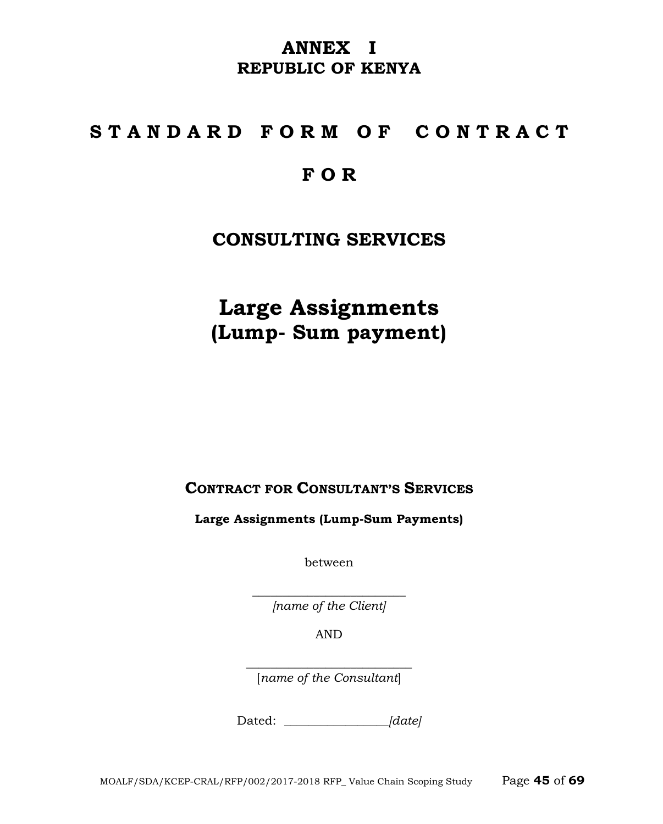# **ANNEX I REPUBLIC OF KENYA**

# **S T A N D A R D F O R M O F C O N T R A C T**

# **F O R**

# **CONSULTING SERVICES**

**Large Assignments (Lump- Sum payment)**

**CONTRACT FOR CONSULTANT'S SERVICES**

**Large Assignments (Lump-Sum Payments)**

between

 $\overline{\phantom{a}}$  , where  $\overline{\phantom{a}}$  , where  $\overline{\phantom{a}}$  , where  $\overline{\phantom{a}}$  ,  $\overline{\phantom{a}}$  ,  $\overline{\phantom{a}}$  ,  $\overline{\phantom{a}}$  ,  $\overline{\phantom{a}}$  ,  $\overline{\phantom{a}}$  ,  $\overline{\phantom{a}}$  ,  $\overline{\phantom{a}}$  ,  $\overline{\phantom{a}}$  ,  $\overline{\phantom{a}}$  ,  $\overline{\phantom{a}}$  ,  $\overline{\phantom$ *[name of the Client]*

AND

 $\overline{\phantom{a}}$  , where  $\overline{\phantom{a}}$  , where  $\overline{\phantom{a}}$  , where  $\overline{\phantom{a}}$  ,  $\overline{\phantom{a}}$  ,  $\overline{\phantom{a}}$  ,  $\overline{\phantom{a}}$  ,  $\overline{\phantom{a}}$  ,  $\overline{\phantom{a}}$  ,  $\overline{\phantom{a}}$  ,  $\overline{\phantom{a}}$  ,  $\overline{\phantom{a}}$  ,  $\overline{\phantom{a}}$  ,  $\overline{\phantom{a}}$  ,  $\overline{\phantom$ [*name of the Consultant*]

Dated: *\_\_\_\_\_\_\_\_\_\_\_\_\_\_\_\_\_[date]*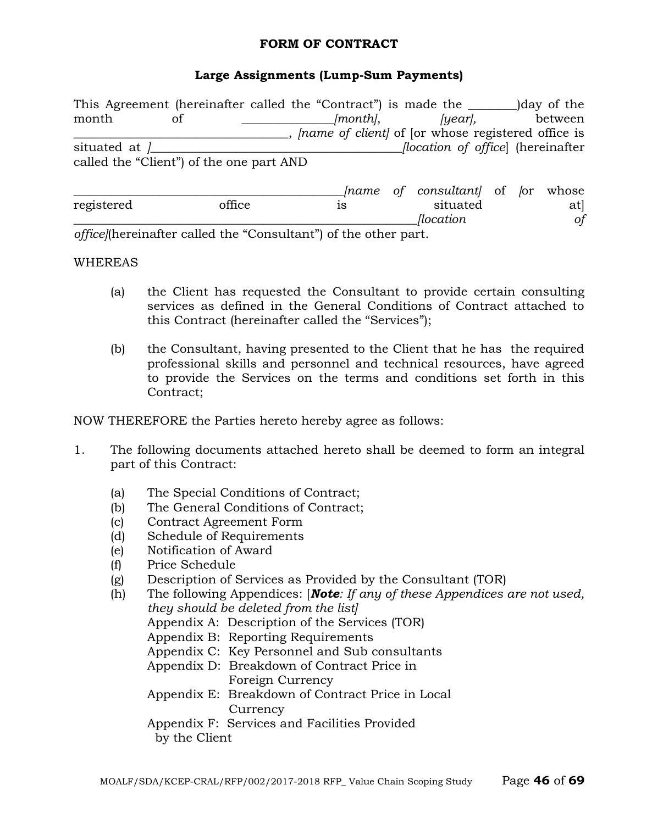#### **FORM OF CONTRACT**

## **Large Assignments (Lump-Sum Payments)**

This Agreement (hereinafter called the "Contract") is made the \_\_\_\_\_\_\_\_)day of the month of *[month]*, *[year]*, between \_\_\_\_\_\_\_\_\_\_\_\_\_\_\_\_\_\_\_\_\_\_\_\_\_\_\_\_\_\_\_\_\_\_\_, *[name of client]* of [or whose registered office is situated at *]\_\_\_\_\_\_\_\_\_\_\_\_\_\_\_\_\_\_\_\_\_\_\_\_\_\_\_\_\_\_\_\_\_\_\_\_\_\_\_\_\_[location of office*] (hereinafter called the "Client") of the one part AND \_\_\_\_\_\_\_\_\_\_\_\_\_\_\_\_\_\_\_\_\_\_\_\_\_\_\_\_\_\_\_\_\_\_\_\_\_\_\_\_\_\_\_\_*[name of consultant]* of *[*or whose registered office is situated at] *\_\_\_\_\_\_\_\_\_\_\_\_\_\_\_\_\_\_\_\_\_\_\_\_\_\_\_\_\_\_\_\_\_\_\_\_\_\_\_\_\_\_\_\_\_\_\_\_\_\_\_\_\_\_\_\_[location of* 

*office]*(hereinafter called the "Consultant") of the other part.

#### WHEREAS

- (a) the Client has requested the Consultant to provide certain consulting services as defined in the General Conditions of Contract attached to this Contract (hereinafter called the "Services");
- (b) the Consultant, having presented to the Client that he has the required professional skills and personnel and technical resources, have agreed to provide the Services on the terms and conditions set forth in this Contract;

NOW THEREFORE the Parties hereto hereby agree as follows:

- 1. The following documents attached hereto shall be deemed to form an integral part of this Contract:
	- (a) The Special Conditions of Contract;
	- (b) The General Conditions of Contract;
	- (c) Contract Agreement Form
	- (d) Schedule of Requirements
	- (e) Notification of Award
	- (f) Price Schedule
	- (g) Description of Services as Provided by the Consultant (TOR)
	- (h) The following Appendices: [*Note: If any of these Appendices are not used, they should be deleted from the list]* Appendix A: Description of the Services (TOR) Appendix B: Reporting Requirements Appendix C: Key Personnel and Sub consultants Appendix D: Breakdown of Contract Price in Foreign Currency Appendix E: Breakdown of Contract Price in Local **Currency** Appendix F: Services and Facilities Provided by the Client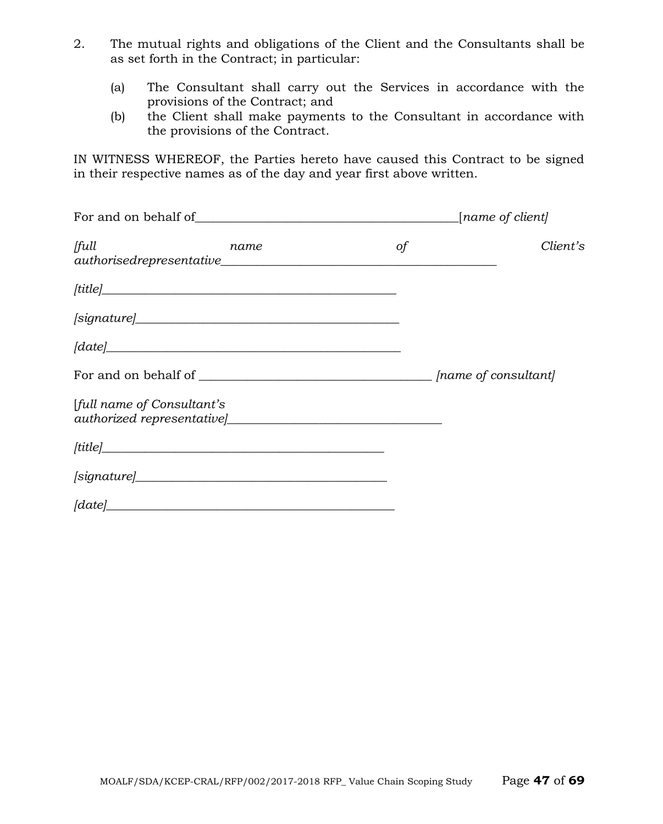- 2. The mutual rights and obligations of the Client and the Consultants shall be as set forth in the Contract; in particular:
	- (a) The Consultant shall carry out the Services in accordance with the provisions of the Contract; and
	- (b) the Client shall make payments to the Consultant in accordance with the provisions of the Contract.

IN WITNESS WHEREOF, the Parties hereto have caused this Contract to be signed in their respective names as of the day and year first above written.

| full<br>name                       | $\circ f$ | Client's |
|------------------------------------|-----------|----------|
|                                    |           |          |
| $\left {\rm signature}\right \_\_$ |           |          |
| $\lbrack date \rbrack$             |           |          |
|                                    |           |          |
| [full name of Consultant's         |           |          |
|                                    |           |          |
|                                    |           |          |
| $[date]$ $]$                       |           |          |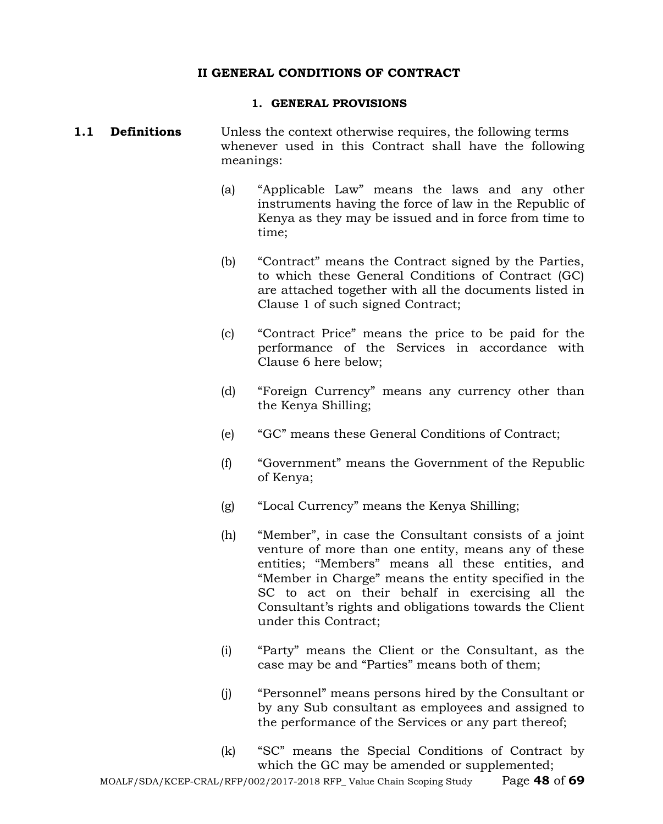#### **II GENERAL CONDITIONS OF CONTRACT**

#### **1. GENERAL PROVISIONS**

#### **1.1 Definitions** Unless the context otherwise requires, the following terms whenever used in this Contract shall have the following meanings:

- (a) "Applicable Law" means the laws and any other instruments having the force of law in the Republic of Kenya as they may be issued and in force from time to time;
- (b) "Contract" means the Contract signed by the Parties, to which these General Conditions of Contract (GC) are attached together with all the documents listed in Clause 1 of such signed Contract;
- (c) "Contract Price" means the price to be paid for the performance of the Services in accordance with Clause 6 here below;
- (d) "Foreign Currency" means any currency other than the Kenya Shilling;
- (e) "GC" means these General Conditions of Contract;
- (f) "Government" means the Government of the Republic of Kenya;
- (g) "Local Currency" means the Kenya Shilling;
- (h) "Member", in case the Consultant consists of a joint venture of more than one entity, means any of these entities; "Members" means all these entities, and "Member in Charge" means the entity specified in the SC to act on their behalf in exercising all the Consultant's rights and obligations towards the Client under this Contract;
- (i) "Party" means the Client or the Consultant, as the case may be and "Parties" means both of them;
- (j) "Personnel" means persons hired by the Consultant or by any Sub consultant as employees and assigned to the performance of the Services or any part thereof;
- (k) "SC" means the Special Conditions of Contract by which the GC may be amended or supplemented;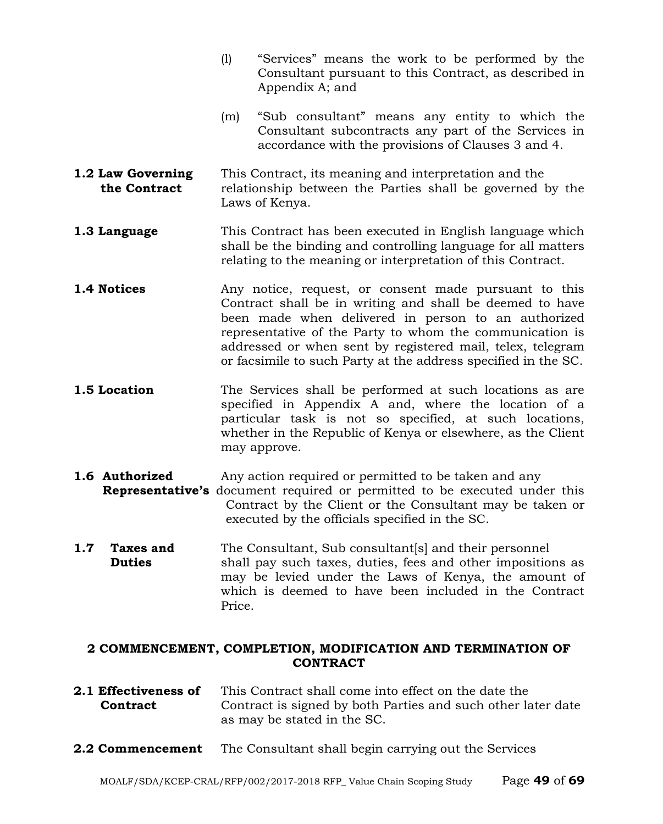- (l) "Services" means the work to be performed by the Consultant pursuant to this Contract, as described in Appendix A; and
- (m) "Sub consultant" means any entity to which the Consultant subcontracts any part of the Services in accordance with the provisions of Clauses 3 and 4.
- **1.2 Law Governing** This Contract, its meaning and interpretation and the **the Contract** relationship between the Parties shall be governed by the Laws of Kenya.
- **1.3 Language** This Contract has been executed in English language which shall be the binding and controlling language for all matters relating to the meaning or interpretation of this Contract.
- **1.4 Notices** Any notice, request, or consent made pursuant to this Contract shall be in writing and shall be deemed to have been made when delivered in person to an authorized representative of the Party to whom the communication is addressed or when sent by registered mail, telex, telegram or facsimile to such Party at the address specified in the SC.
- **1.5 Location** The Services shall be performed at such locations as are specified in Appendix A and, where the location of a particular task is not so specified, at such locations, whether in the Republic of Kenya or elsewhere, as the Client may approve.
- **1.6 Authorized** Any action required or permitted to be taken and any
- **Representative's** document required or permitted to be executed under this Contract by the Client or the Consultant may be taken or executed by the officials specified in the SC.
- **1.7 Taxes and** The Consultant, Sub consultant s and their personnel **Duties** shall pay such taxes, duties, fees and other impositions as may be levied under the Laws of Kenya, the amount of which is deemed to have been included in the Contract Price.

#### **2 COMMENCEMENT, COMPLETION, MODIFICATION AND TERMINATION OF CONTRACT**

- **2.1 Effectiveness of** This Contract shall come into effect on the date the **Contract** Contract is signed by both Parties and such other later date as may be stated in the SC.
- **2.2 Commencement** The Consultant shall begin carrying out the Services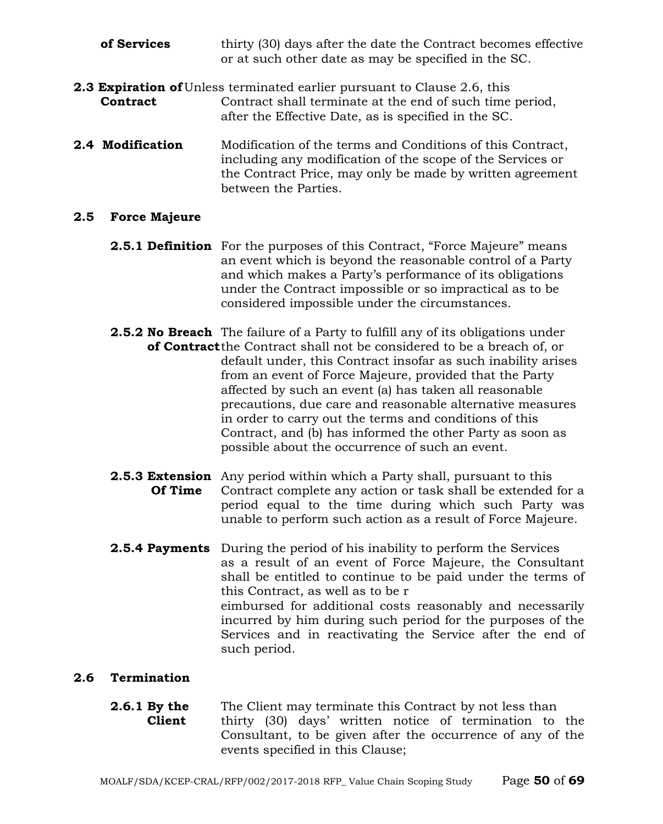- **of Services** thirty (30) days after the date the Contract becomes effective or at such other date as may be specified in the SC.
- **2.3 Expiration of** Unless terminated earlier pursuant to Clause 2.6, this **Contract** Contract shall terminate at the end of such time Contract shall terminate at the end of such time period. after the Effective Date, as is specified in the SC.
- **2.4 Modification** Modification of the terms and Conditions of this Contract, including any modification of the scope of the Services or the Contract Price, may only be made by written agreement between the Parties.

#### **2.5 Force Majeure**

- **2.5.1 Definition** For the purposes of this Contract, "Force Majeure" means an event which is beyond the reasonable control of a Party and which makes a Party's performance of its obligations under the Contract impossible or so impractical as to be considered impossible under the circumstances.
- **2.5.2 No Breach** The failure of a Party to fulfill any of its obligations under **of Contract**the Contract shall not be considered to be a breach of, or default under, this Contract insofar as such inability arises from an event of Force Majeure, provided that the Party affected by such an event (a) has taken all reasonable precautions, due care and reasonable alternative measures in order to carry out the terms and conditions of this Contract, and (b) has informed the other Party as soon as possible about the occurrence of such an event.
- **2.5.3 Extension** Any period within which a Party shall, pursuant to this **Of Time** Contract complete any action or task shall be extended for a period equal to the time during which such Party was unable to perform such action as a result of Force Majeure.
- **2.5.4 Payments** During the period of his inability to perform the Services as a result of an event of Force Majeure, the Consultant shall be entitled to continue to be paid under the terms of this Contract, as well as to be r eimbursed for additional costs reasonably and necessarily incurred by him during such period for the purposes of the Services and in reactivating the Service after the end of such period.

## **2.6 Termination**

**2.6.1 By the** The Client may terminate this Contract by not less than **Client** thirty (30) days' written notice of termination to the Consultant, to be given after the occurrence of any of the events specified in this Clause;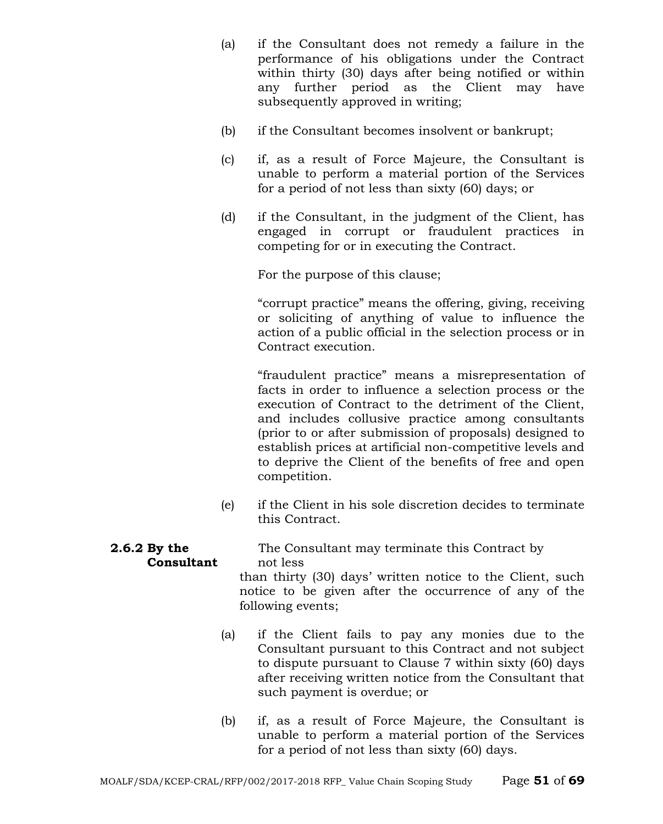- (a) if the Consultant does not remedy a failure in the performance of his obligations under the Contract within thirty (30) days after being notified or within any further period as the Client may have subsequently approved in writing;
- (b) if the Consultant becomes insolvent or bankrupt;
- (c) if, as a result of Force Majeure, the Consultant is unable to perform a material portion of the Services for a period of not less than sixty (60) days; or
- (d) if the Consultant, in the judgment of the Client, has engaged in corrupt or fraudulent practices in competing for or in executing the Contract.

For the purpose of this clause;

"corrupt practice" means the offering, giving, receiving or soliciting of anything of value to influence the action of a public official in the selection process or in Contract execution.

"fraudulent practice" means a misrepresentation of facts in order to influence a selection process or the execution of Contract to the detriment of the Client, and includes collusive practice among consultants (prior to or after submission of proposals) designed to establish prices at artificial non-competitive levels and to deprive the Client of the benefits of free and open competition.

(e) if the Client in his sole discretion decides to terminate this Contract.

# **2.6.2 By the** The Consultant may terminate this Contract by **Consultant** not less

than thirty (30) days' written notice to the Client, such notice to be given after the occurrence of any of the following events;

- (a) if the Client fails to pay any monies due to the Consultant pursuant to this Contract and not subject to dispute pursuant to Clause 7 within sixty (60) days after receiving written notice from the Consultant that such payment is overdue; or
- (b) if, as a result of Force Majeure, the Consultant is unable to perform a material portion of the Services for a period of not less than sixty (60) days.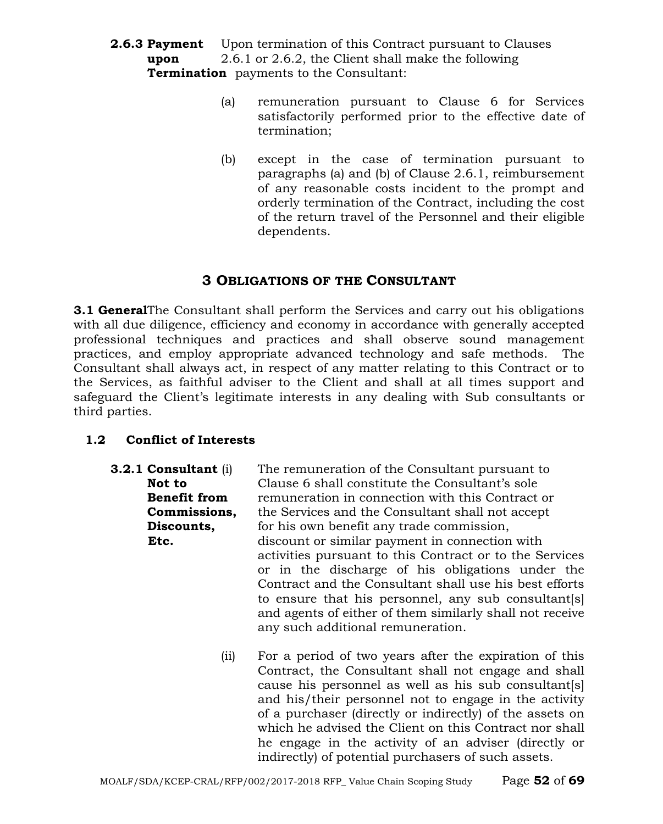- **2.6.3 Payment** Upon termination of this Contract pursuant to Clauses **upon** 2.6.1 or 2.6.2, the Client shall make the following **Termination** payments to the Consultant:
	- (a) remuneration pursuant to Clause 6 for Services satisfactorily performed prior to the effective date of termination;
	- (b) except in the case of termination pursuant to paragraphs (a) and (b) of Clause 2.6.1, reimbursement of any reasonable costs incident to the prompt and orderly termination of the Contract, including the cost of the return travel of the Personnel and their eligible dependents.

## **3 OBLIGATIONS OF THE CONSULTANT**

**3.1 General**The Consultant shall perform the Services and carry out his obligations with all due diligence, efficiency and economy in accordance with generally accepted professional techniques and practices and shall observe sound management practices, and employ appropriate advanced technology and safe methods. The Consultant shall always act, in respect of any matter relating to this Contract or to the Services, as faithful adviser to the Client and shall at all times support and safeguard the Client's legitimate interests in any dealing with Sub consultants or third parties.

## **1.2 Conflict of Interests**

- **3.2.1 Consultant** (i) The remuneration of the Consultant pursuant to **Not to** Clause 6 shall constitute the Consultant's sole **Benefit from** remuneration in connection with this Contract or **Commissions,** the Services and the Consultant shall not accept **Discounts,** for his own benefit any trade commission, **Etc. discount or similar payment in connection with** activities pursuant to this Contract or to the Services or in the discharge of his obligations under the Contract and the Consultant shall use his best efforts to ensure that his personnel, any sub consultant[s] and agents of either of them similarly shall not receive any such additional remuneration.
	- (ii) For a period of two years after the expiration of this Contract, the Consultant shall not engage and shall cause his personnel as well as his sub consultant[s] and his/their personnel not to engage in the activity of a purchaser (directly or indirectly) of the assets on which he advised the Client on this Contract nor shall he engage in the activity of an adviser (directly or indirectly) of potential purchasers of such assets.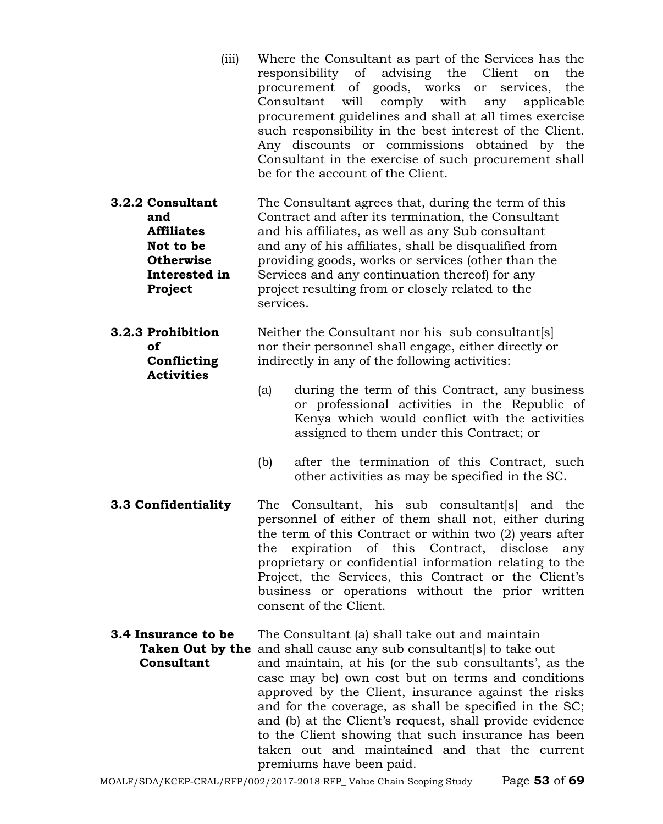| (iii)                                                                                                     | Where the Consultant as part of the Services has the<br>responsibility of advising the<br>Client<br>on<br>the<br>procurement of goods, works or services,<br>the<br>Consultant<br>will<br>comply<br>with<br>applicable<br>any<br>procurement guidelines and shall at all times exercise<br>such responsibility in the best interest of the Client.<br>Any discounts or commissions obtained by the<br>Consultant in the exercise of such procurement shall<br>be for the account of the Client. |
|-----------------------------------------------------------------------------------------------------------|-------------------------------------------------------------------------------------------------------------------------------------------------------------------------------------------------------------------------------------------------------------------------------------------------------------------------------------------------------------------------------------------------------------------------------------------------------------------------------------------------|
| 3.2.2 Consultant<br>and<br><b>Affiliates</b><br>Not to be<br><b>Otherwise</b><br>Interested in<br>Project | The Consultant agrees that, during the term of this<br>Contract and after its termination, the Consultant<br>and his affiliates, as well as any Sub consultant<br>and any of his affiliates, shall be disqualified from<br>providing goods, works or services (other than the<br>Services and any continuation thereof) for any<br>project resulting from or closely related to the<br>services.                                                                                                |
| <b>3.2.3 Prohibition</b><br>οf<br>Conflicting<br><b>Activities</b>                                        | Neither the Consultant nor his sub consultant[s]<br>nor their personnel shall engage, either directly or<br>indirectly in any of the following activities:                                                                                                                                                                                                                                                                                                                                      |
|                                                                                                           | (a)<br>during the term of this Contract, any business<br>or professional activities in the Republic of<br>Kenya which would conflict with the activities<br>assigned to them under this Contract; or                                                                                                                                                                                                                                                                                            |
|                                                                                                           | after the termination of this Contract, such<br>(b)<br>other activities as may be specified in the SC.                                                                                                                                                                                                                                                                                                                                                                                          |
| 3.3 Confidentiality                                                                                       | The Consultant, his sub consultant [s] and the<br>personnel of either of them shall not, either during<br>the term of this Contract or within two (2) years after<br>the expiration of this Contract, disclose<br>any<br>proprietary or confidential information relating to the<br>Project, the Services, this Contract or the Client's<br>business or operations without the prior written<br>consent of the Client.                                                                          |

**3.4 Insurance to be** The Consultant (a) shall take out and maintain

**Taken Out by the** and shall cause any sub consultant[s] to take out **Consultant** and maintain, at his (or the sub consultants', as the case may be) own cost but on terms and conditions approved by the Client, insurance against the risks and for the coverage, as shall be specified in the SC; and (b) at the Client's request, shall provide evidence to the Client showing that such insurance has been taken out and maintained and that the current premiums have been paid.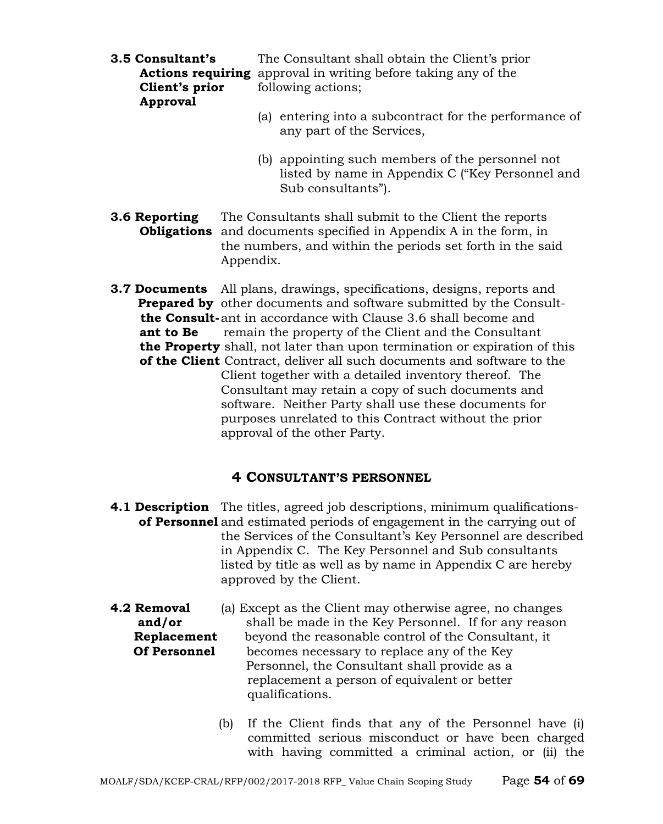| 3.5 Consultant's | The Consultant shall obtain the Client's prior                                      |  |  |  |
|------------------|-------------------------------------------------------------------------------------|--|--|--|
|                  | <b>Actions requiring</b> approval in writing before taking any of the               |  |  |  |
| Client's prior   | following actions;                                                                  |  |  |  |
| Approval         |                                                                                     |  |  |  |
|                  | (a) entering into a subcontract for the performance of<br>any part of the Services, |  |  |  |

(b) appointing such members of the personnel not listed by name in Appendix C ("Key Personnel and Sub consultants").

**3.6 Reporting** The Consultants shall submit to the Client the reports  **Obligations** and documents specified in Appendix A in the form, in the numbers, and within the periods set forth in the said Appendix.

**3.7 Documents** All plans, drawings, specifications, designs, reports and **Prepared by** other documents and software submitted by the Consult  **the Consult-**ant in accordance with Clause 3.6 shall become and **ant to Be** remain the property of the Client and the Consultant  **the Property** shall, not later than upon termination or expiration of this  **of the Client** Contract, deliver all such documents and software to the Client together with a detailed inventory thereof. The Consultant may retain a copy of such documents and software. Neither Party shall use these documents for purposes unrelated to this Contract without the prior approval of the other Party.

## **4 CONSULTANT'S PERSONNEL**

- **4.1 Description** The titles, agreed job descriptions, minimum qualifications**of Personnel** and estimated periods of engagement in the carrying out of the Services of the Consultant's Key Personnel are described in Appendix C. The Key Personnel and Sub consultants listed by title as well as by name in Appendix C are hereby approved by the Client.
- **4.2 Removal** (a) Except as the Client may otherwise agree, no changes **and/or shall be made in the Key Personnel.** If for any reason **Replacement** beyond the reasonable control of the Consultant, it **Of Personnel** becomes necessary to replace any of the Key Personnel, the Consultant shall provide as a replacement a person of equivalent or better qualifications.
	- (b) If the Client finds that any of the Personnel have (i) committed serious misconduct or have been charged with having committed a criminal action, or (ii) the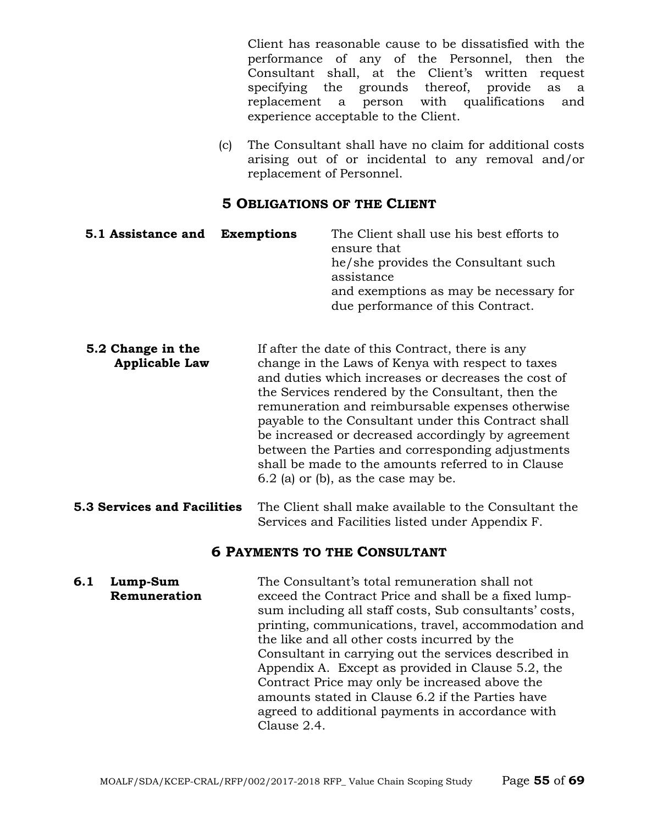Client has reasonable cause to be dissatisfied with the performance of any of the Personnel, then the Consultant shall, at the Client's written request specifying the grounds thereof, provide as a replacement a person with qualifications and experience acceptable to the Client.

(c) The Consultant shall have no claim for additional costs arising out of or incidental to any removal and/or replacement of Personnel.

#### **5 OBLIGATIONS OF THE CLIENT**

| 5.1 Assistance and Exemptions | The Client shall use his best efforts to<br>ensure that                     |
|-------------------------------|-----------------------------------------------------------------------------|
|                               | he/she provides the Consultant such<br>assistance                           |
|                               | and exemptions as may be necessary for<br>due performance of this Contract. |

- **5.2 Change in the** If after the date of this Contract, there is any **Applicable Law** change in the Laws of Kenya with respect to taxes and duties which increases or decreases the cost of the Services rendered by the Consultant, then the remuneration and reimbursable expenses otherwise payable to the Consultant under this Contract shall be increased or decreased accordingly by agreement between the Parties and corresponding adjustments shall be made to the amounts referred to in Clause 6.2 (a) or (b), as the case may be.
- **5.3 Services and Facilities** The Client shall make available to the Consultant the Services and Facilities listed under Appendix F.

## **6 PAYMENTS TO THE CONSULTANT**

**6.1 Lump-Sum** The Consultant's total remuneration shall not **Remuneration** exceed the Contract Price and shall be a fixed lumpsum including all staff costs, Sub consultants' costs, printing, communications, travel, accommodation and the like and all other costs incurred by the Consultant in carrying out the services described in Appendix A. Except as provided in Clause 5.2, the Contract Price may only be increased above the amounts stated in Clause 6.2 if the Parties have agreed to additional payments in accordance with Clause 2.4.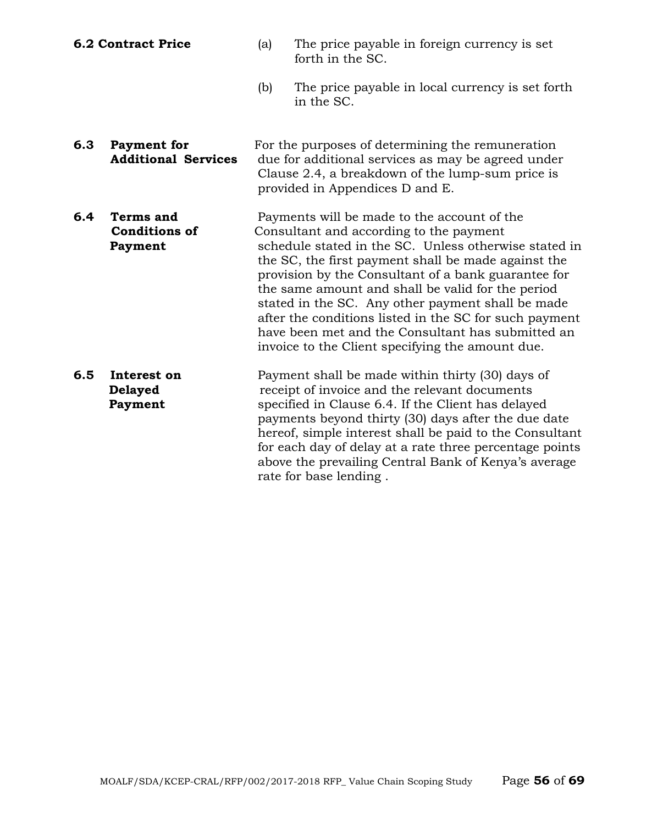- 
- **6.2 Contract Price** (a) The price payable in foreign currency is set forth in the SC.
	- (b) The price payable in local currency is set forth in the SC.
- **6.3 Payment for For the purposes of determining the remuneration**<br>**Additional Services** due for additional services as may be agreed under due for additional services as may be agreed under Clause 2.4, a breakdown of the lump-sum price is provided in Appendices D and E.
- **6.4 Terms and** Payments will be made to the account of the **Conditions of** Consultant and according to the payment **Payment** schedule stated in the SC. Unless otherwise stated in the SC, the first payment shall be made against the provision by the Consultant of a bank guarantee for the same amount and shall be valid for the period stated in the SC. Any other payment shall be made after the conditions listed in the SC for such payment have been met and the Consultant has submitted an invoice to the Client specifying the amount due.
- **6.5 Interest on** Payment shall be made within thirty (30) days of **Delayed receipt of invoice and the relevant documents Payment** specified in Clause 6.4. If the Client has delayed payments beyond thirty (30) days after the due date hereof, simple interest shall be paid to the Consultant for each day of delay at a rate three percentage points above the prevailing Central Bank of Kenya's average rate for base lending .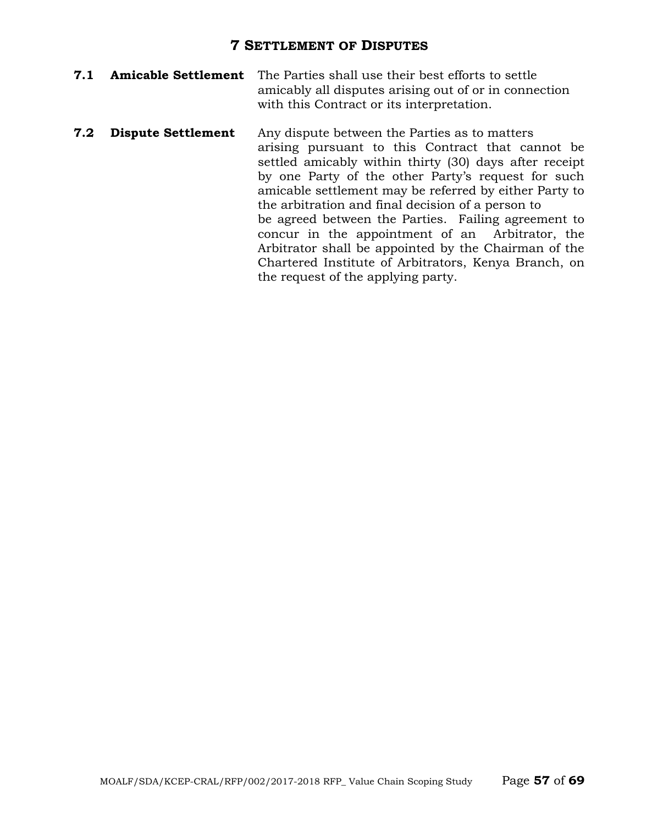## **7 SETTLEMENT OF DISPUTES**

- **7.1 Amicable Settlement** The Parties shall use their best efforts to settle amicably all disputes arising out of or in connection with this Contract or its interpretation.
- **7.2 Dispute Settlement** Any dispute between the Parties as to matters arising pursuant to this Contract that cannot be settled amicably within thirty (30) days after receipt by one Party of the other Party's request for such amicable settlement may be referred by either Party to the arbitration and final decision of a person to be agreed between the Parties. Failing agreement to concur in the appointment of an Arbitrator, the Arbitrator shall be appointed by the Chairman of the Chartered Institute of Arbitrators, Kenya Branch, on the request of the applying party.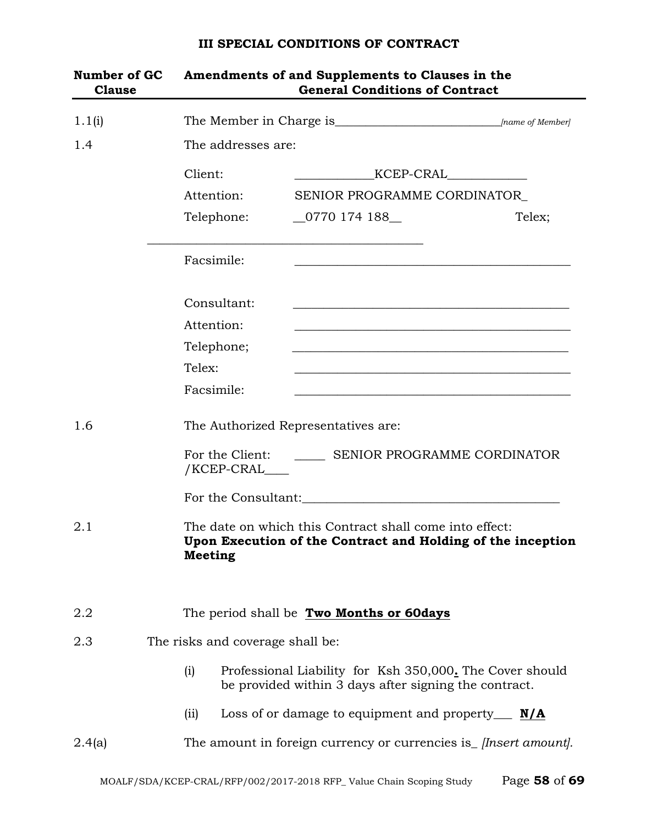# **Number of GC Amendments of and Supplements to Clauses in the Clause General Conditions of Contract** 1.1(i) The Member in Charge is\_\_\_\_\_\_\_\_\_\_\_\_\_\_\_\_\_\_\_\_\_\_\_\_\_\_\_*[name of Member]* 1.4 The addresses are: Client: \_\_\_\_\_\_\_\_\_\_\_\_\_KCEP-CRAL\_\_\_\_\_\_\_\_\_\_\_\_\_ Attention: SENIOR PROGRAMME CORDINATOR Telephone: 0770 174 188 Telex; \_\_\_\_\_\_\_\_\_\_\_\_\_\_\_\_\_\_\_\_\_\_\_\_\_\_\_\_\_\_\_\_\_\_\_\_\_\_\_\_\_\_\_\_\_ Facsimile: Consultant: Attention: Telephone; Telex: \_\_\_\_\_\_\_\_\_\_\_\_\_\_\_\_\_\_\_\_\_\_\_\_\_\_\_\_\_\_\_\_\_\_\_\_\_\_\_\_\_\_\_\_\_ Facsimile: 1.6 The Authorized Representatives are: For the Client: SENIOR PROGRAMME CORDINATOR /KCEP-CRAL\_\_\_\_ For the Consultant: 2.1 The date on which this Contract shall come into effect: **Upon Execution of the Contract and Holding of the inception Meeting** 2.2 The period shall be **Two Months or 60days** 2.3 The risks and coverage shall be: (i) Professional Liability for Ksh 350,000**.** The Cover should be provided within 3 days after signing the contract. (ii) Loss of or damage to equipment and property\_\_\_ **N/A** 2.4(a) The amount in foreign currency or currencies is\_ *[Insert amount].*

#### **III SPECIAL CONDITIONS OF CONTRACT**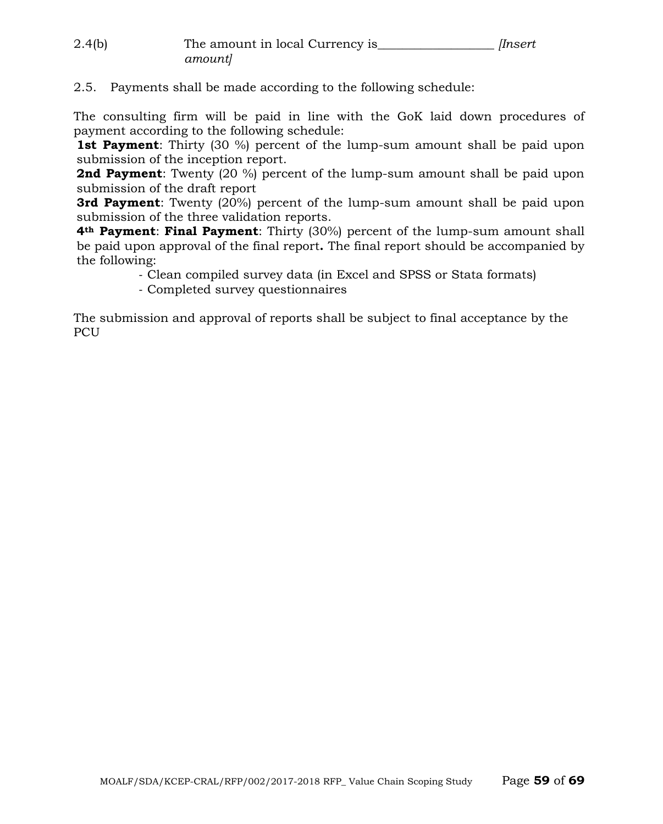| 2.4(b) | The amount in local Currency is | Insert |
|--------|---------------------------------|--------|
|        | amount]                         |        |

## 2.5. Payments shall be made according to the following schedule:

The consulting firm will be paid in line with the GoK laid down procedures of payment according to the following schedule:

**1st Payment**: Thirty (30 %) percent of the lump-sum amount shall be paid upon submission of the inception report.

**2nd Payment**: Twenty (20 %) percent of the lump-sum amount shall be paid upon submission of the draft report

**3rd Payment**: Twenty (20%) percent of the lump-sum amount shall be paid upon submission of the three validation reports.

**4th Payment**: **Final Payment**: Thirty (30%) percent of the lump-sum amount shall be paid upon approval of the final report**.** The final report should be accompanied by the following:

- Clean compiled survey data (in Excel and SPSS or Stata formats)

- Completed survey questionnaires

The submission and approval of reports shall be subject to final acceptance by the PCU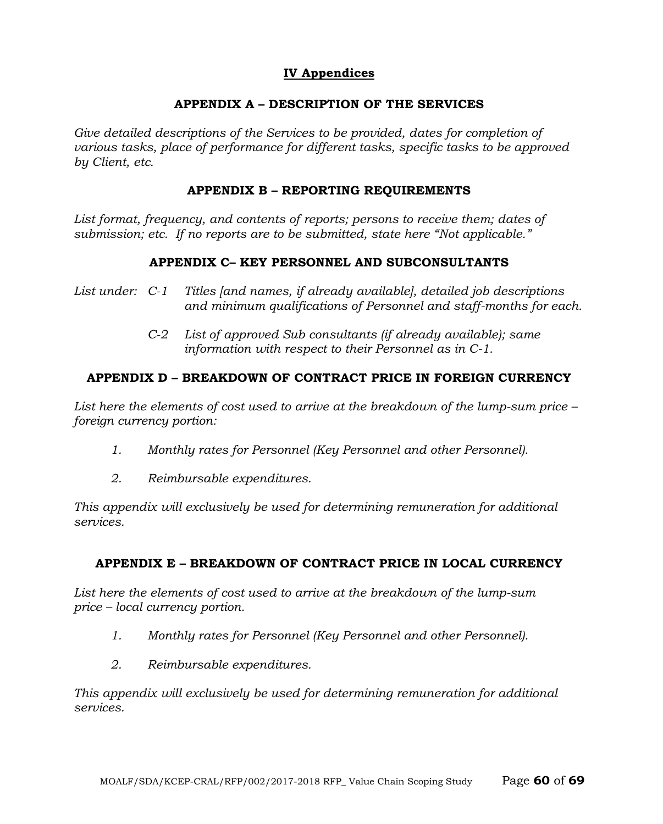## **IV Appendices**

#### **APPENDIX A – DESCRIPTION OF THE SERVICES**

Give detailed descriptions of the Services to be provided, dates for completion of *various tasks, place of performance for different tasks, specific tasks to be approved by Client, etc.*

#### **APPENDIX B – REPORTING REQUIREMENTS**

List format, frequency, and contents of reports; persons to receive them; dates of *submission; etc. If no reports are to be submitted, state here "Not applicable."*

#### **APPENDIX C– KEY PERSONNEL AND SUBCONSULTANTS**

- *List under: C-1 Titles [and names, if already available], detailed job descriptions and minimum qualifications of Personnel and staff-months for each.*
	- *C-2 List of approved Sub consultants (if already available); same information with respect to their Personnel as in C-1.*

## **APPENDIX D – BREAKDOWN OF CONTRACT PRICE IN FOREIGN CURRENCY**

*List here the elements of cost used to arrive at the breakdown of the lump-sum price – foreign currency portion:*

- *1. Monthly rates for Personnel (Key Personnel and other Personnel).*
- *2. Reimbursable expenditures.*

*This appendix will exclusively be used for determining remuneration for additional services.*

## **APPENDIX E – BREAKDOWN OF CONTRACT PRICE IN LOCAL CURRENCY**

*List here the elements of cost used to arrive at the breakdown of the lump-sum price – local currency portion.*

- *1. Monthly rates for Personnel (Key Personnel and other Personnel).*
- *2. Reimbursable expenditures.*

*This appendix will exclusively be used for determining remuneration for additional services.*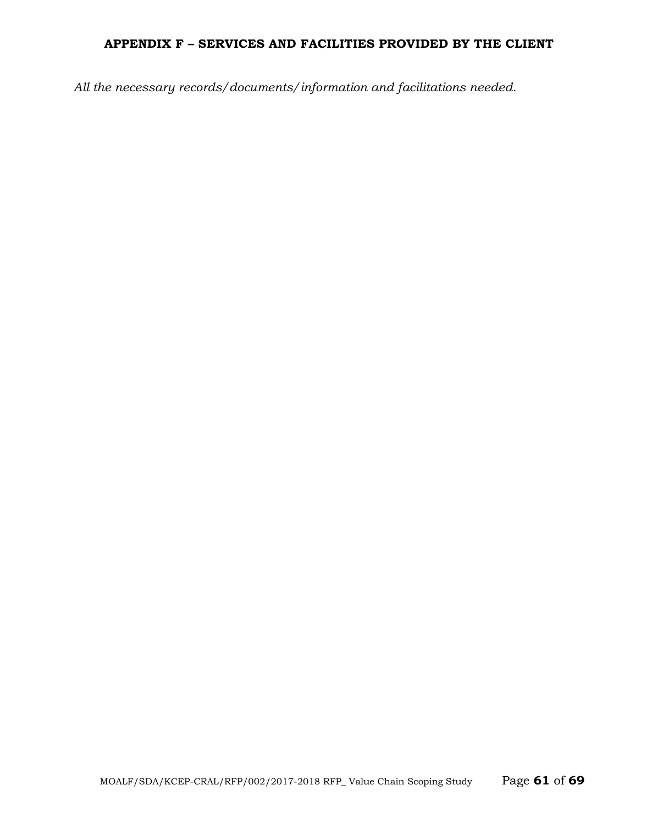## **APPENDIX F – SERVICES AND FACILITIES PROVIDED BY THE CLIENT**

*All the necessary records/documents/information and facilitations needed.*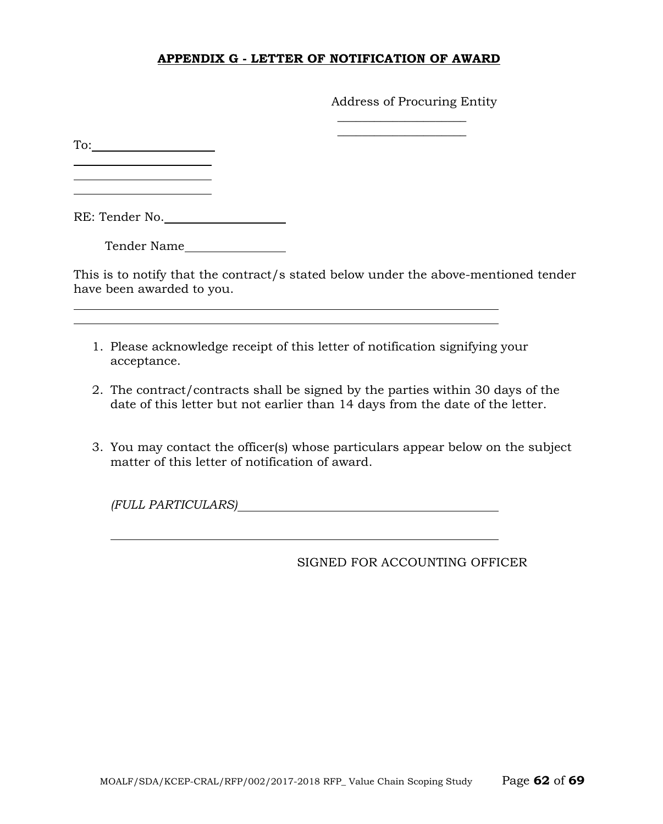## **APPENDIX G - LETTER OF NOTIFICATION OF AWARD**

Address of Procuring Entity

 $\overline{\phantom{a}}$  , where  $\overline{\phantom{a}}$  , where  $\overline{\phantom{a}}$  $\overline{\phantom{a}}$  , where  $\overline{\phantom{a}}$  , where  $\overline{\phantom{a}}$ 

To:

 $\overline{a}$ 

RE: Tender No.

Tender Name

This is to notify that the contract/s stated below under the above-mentioned tender have been awarded to you.

- 1. Please acknowledge receipt of this letter of notification signifying your acceptance.
- 2. The contract/contracts shall be signed by the parties within 30 days of the date of this letter but not earlier than 14 days from the date of the letter.
- 3. You may contact the officer(s) whose particulars appear below on the subject matter of this letter of notification of award.

*(FULL PARTICULARS)*

SIGNED FOR ACCOUNTING OFFICER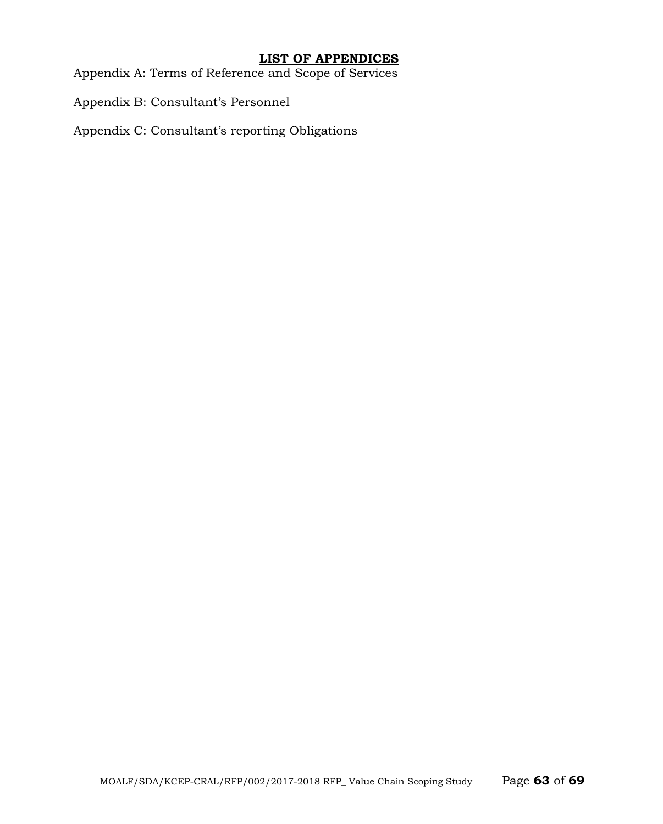## **LIST OF APPENDICES**

Appendix A: Terms of Reference and Scope of Services

Appendix B: Consultant's Personnel

Appendix C: Consultant's reporting Obligations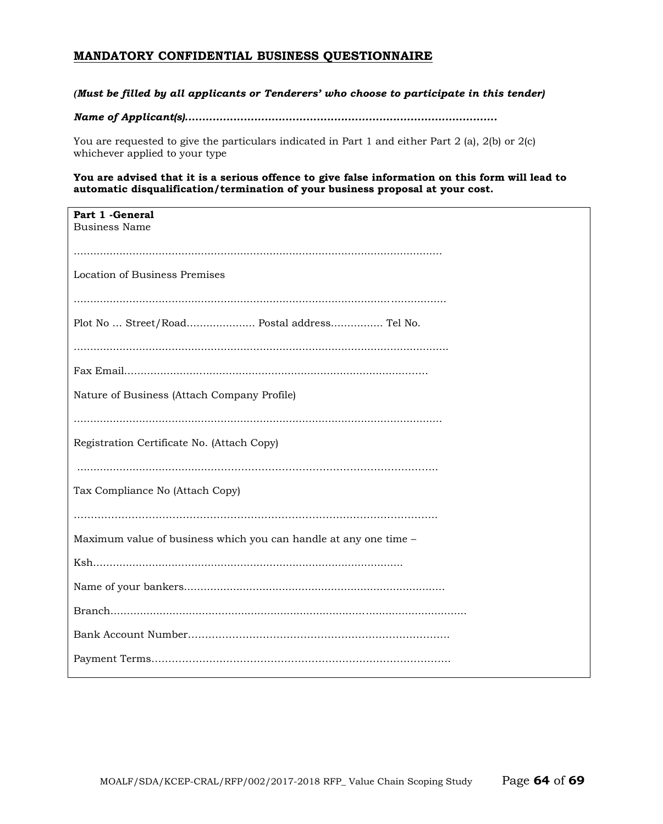#### **MANDATORY CONFIDENTIAL BUSINESS QUESTIONNAIRE**

#### *(Must be filled by all applicants or Tenderers' who choose to participate in this tender)*

#### *Name of Applicant(s)..........................................................................................*

You are requested to give the particulars indicated in Part 1 and either Part 2 (a), 2(b) or 2(c) whichever applied to your type

**You are advised that it is a serious offence to give false information on this form will lead to automatic disqualification/termination of your business proposal at your cost.**

| Part 1 - General<br><b>Business Name</b>                         |
|------------------------------------------------------------------|
|                                                                  |
|                                                                  |
| Location of Business Premises                                    |
|                                                                  |
| Plot No  Street/Road Postal address Tel No.                      |
|                                                                  |
|                                                                  |
| Nature of Business (Attach Company Profile)                      |
|                                                                  |
| Registration Certificate No. (Attach Copy)                       |
|                                                                  |
| Tax Compliance No (Attach Copy)                                  |
|                                                                  |
| Maximum value of business which you can handle at any one time - |
|                                                                  |
|                                                                  |
|                                                                  |
|                                                                  |
|                                                                  |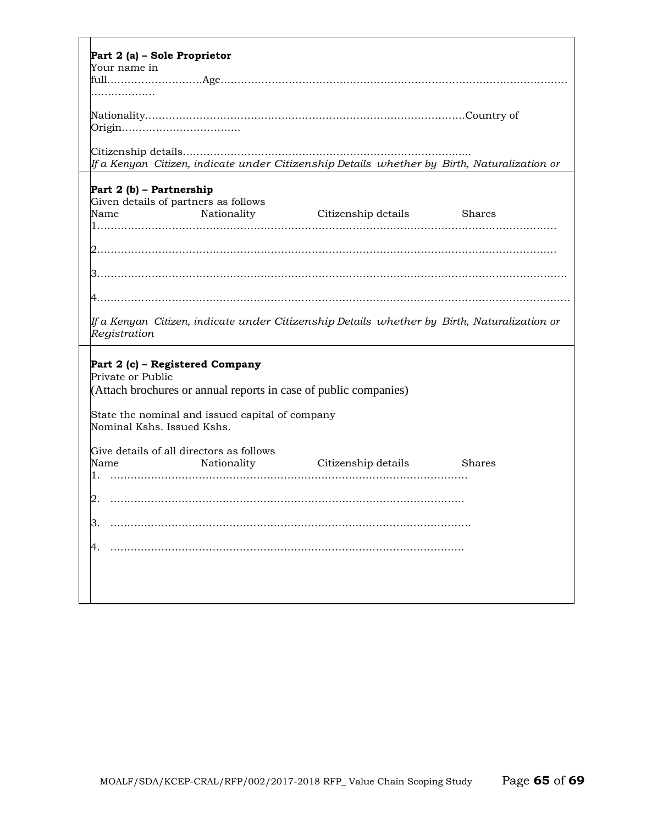| Part 2 (a) - Sole Proprietor                                                                   |
|------------------------------------------------------------------------------------------------|
| Your name in                                                                                   |
|                                                                                                |
|                                                                                                |
|                                                                                                |
|                                                                                                |
|                                                                                                |
|                                                                                                |
| If a Kenyan  Citizen, indicate under Citizenship Details  whether by  Birth, Naturalization or |
|                                                                                                |
| Part 2 (b) - Partnership                                                                       |
| Given details of partners as follows                                                           |
| Nationality Citizenship details Shares<br>Name                                                 |
|                                                                                                |
|                                                                                                |
|                                                                                                |
|                                                                                                |
|                                                                                                |
|                                                                                                |
|                                                                                                |
| lf a Kenyan  Citizen, indicate under Citizenship Details  whether by  Birth, Naturalization or |
| Registration                                                                                   |
|                                                                                                |
| Part 2 (c) - Registered Company                                                                |
| Private or Public                                                                              |
| (Attach brochures or annual reports in case of public companies)                               |
|                                                                                                |
| State the nominal and issued capital of company                                                |
| Nominal Kshs. Issued Kshs.                                                                     |
| Give details of all directors as follows                                                       |
| Name<br>Nationality<br>Citizenship details<br><b>Shares</b>                                    |
| 1.                                                                                             |
|                                                                                                |
|                                                                                                |
|                                                                                                |
|                                                                                                |
|                                                                                                |
|                                                                                                |
|                                                                                                |
|                                                                                                |
|                                                                                                |
|                                                                                                |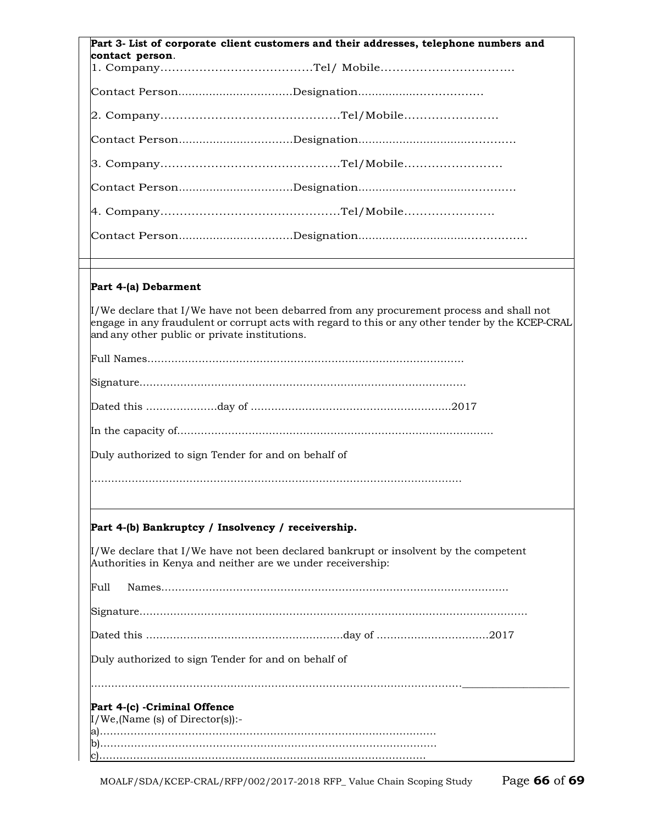| Part 3- List of corporate client customers and their addresses, telephone numbers and                                                                                                                                                               |  |
|-----------------------------------------------------------------------------------------------------------------------------------------------------------------------------------------------------------------------------------------------------|--|
| contact person.                                                                                                                                                                                                                                     |  |
|                                                                                                                                                                                                                                                     |  |
|                                                                                                                                                                                                                                                     |  |
|                                                                                                                                                                                                                                                     |  |
|                                                                                                                                                                                                                                                     |  |
|                                                                                                                                                                                                                                                     |  |
|                                                                                                                                                                                                                                                     |  |
|                                                                                                                                                                                                                                                     |  |
|                                                                                                                                                                                                                                                     |  |
|                                                                                                                                                                                                                                                     |  |
| Part 4-(a) Debarment                                                                                                                                                                                                                                |  |
| $\mu$ /We declare that I/We have not been debarred from any procurement process and shall not<br>engage in any fraudulent or corrupt acts with regard to this or any other tender by the KCEP-CRAL<br>and any other public or private institutions. |  |
|                                                                                                                                                                                                                                                     |  |
|                                                                                                                                                                                                                                                     |  |
|                                                                                                                                                                                                                                                     |  |
|                                                                                                                                                                                                                                                     |  |
| Duly authorized to sign Tender for and on behalf of                                                                                                                                                                                                 |  |
|                                                                                                                                                                                                                                                     |  |
|                                                                                                                                                                                                                                                     |  |
| Part 4-(b) Bankruptcy / Insolvency / receivership.                                                                                                                                                                                                  |  |
| $\mu$ /We declare that I/We have not been declared bankrupt or insolvent by the competent<br>Authorities in Kenya and neither are we under receivership:                                                                                            |  |
| Full                                                                                                                                                                                                                                                |  |
|                                                                                                                                                                                                                                                     |  |
|                                                                                                                                                                                                                                                     |  |
| Duly authorized to sign Tender for and on behalf of                                                                                                                                                                                                 |  |
|                                                                                                                                                                                                                                                     |  |
| Part 4-(c) -Criminal Offence                                                                                                                                                                                                                        |  |
| $I/We$ , (Name (s) of Director(s)):-                                                                                                                                                                                                                |  |
| b).                                                                                                                                                                                                                                                 |  |
|                                                                                                                                                                                                                                                     |  |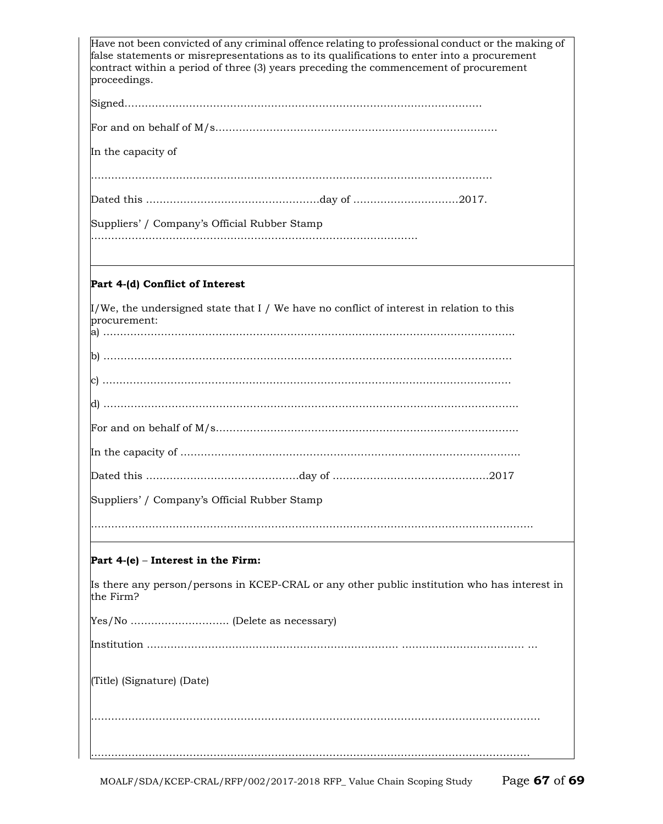| Have not been convicted of any criminal offence relating to professional conduct or the making of<br>false statements or misrepresentations as to its qualifications to enter into a procurement<br>contract within a period of three (3) years preceding the commencement of procurement<br>proceedings. |
|-----------------------------------------------------------------------------------------------------------------------------------------------------------------------------------------------------------------------------------------------------------------------------------------------------------|
|                                                                                                                                                                                                                                                                                                           |
|                                                                                                                                                                                                                                                                                                           |
| In the capacity of                                                                                                                                                                                                                                                                                        |
|                                                                                                                                                                                                                                                                                                           |
|                                                                                                                                                                                                                                                                                                           |
| Suppliers' / Company's Official Rubber Stamp                                                                                                                                                                                                                                                              |
|                                                                                                                                                                                                                                                                                                           |
| Part 4-(d) Conflict of Interest                                                                                                                                                                                                                                                                           |
| $\mu$ /We, the undersigned state that I / We have no conflict of interest in relation to this<br>procurement:                                                                                                                                                                                             |
|                                                                                                                                                                                                                                                                                                           |
|                                                                                                                                                                                                                                                                                                           |
|                                                                                                                                                                                                                                                                                                           |
|                                                                                                                                                                                                                                                                                                           |
|                                                                                                                                                                                                                                                                                                           |
|                                                                                                                                                                                                                                                                                                           |
| Suppliers' / Company's Official Rubber Stamp                                                                                                                                                                                                                                                              |
|                                                                                                                                                                                                                                                                                                           |
| Part 4-(e) – Interest in the Firm:                                                                                                                                                                                                                                                                        |
| Is there any person/persons in KCEP-CRAL or any other public institution who has interest in<br>the Firm?                                                                                                                                                                                                 |
|                                                                                                                                                                                                                                                                                                           |
|                                                                                                                                                                                                                                                                                                           |
| (Title) (Signature) (Date)                                                                                                                                                                                                                                                                                |
|                                                                                                                                                                                                                                                                                                           |
|                                                                                                                                                                                                                                                                                                           |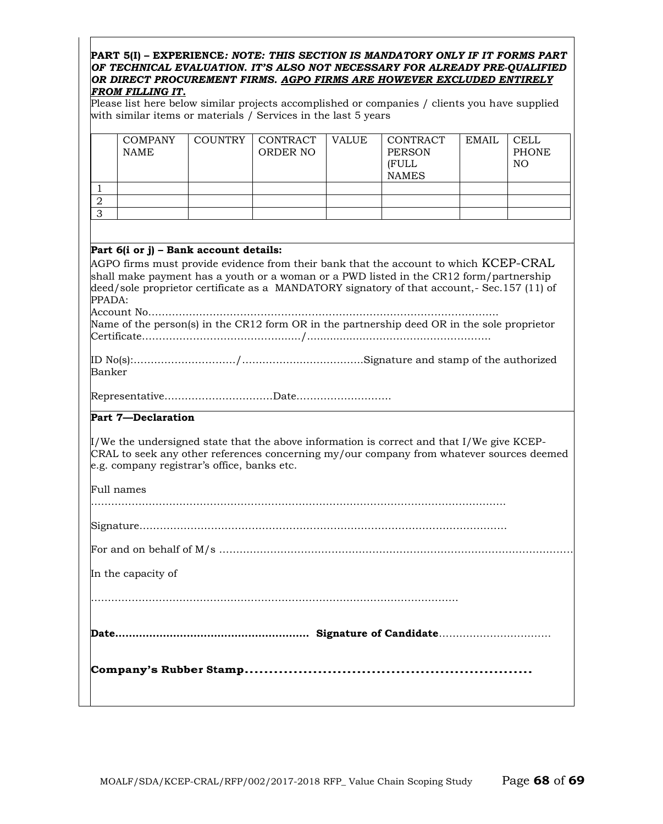#### **PART 5(I) – EXPERIENCE***: NOTE: THIS SECTION IS MANDATORY ONLY IF IT FORMS PART OF TECHNICAL EVALUATION. IT'S ALSO NOT NECESSARY FOR ALREADY PRE-QUALIFIED OR DIRECT PROCUREMENT FIRMS. AGPO FIRMS ARE HOWEVER EXCLUDED ENTIRELY FROM FILLING IT.*

Please list here below similar projects accomplished or companies / clients you have supplied with similar items or materials / Services in the last 5 years

|                | <b>COMPANY</b><br><b>NAME</b>                             | <b>COUNTRY</b> | <b>CONTRACT</b><br>ORDER NO | <b>VALUE</b> | <b>CONTRACT</b><br><b>PERSON</b><br>(FULL<br><b>NAMES</b>                                                                                                                                                                                                                                                                                                                                 | <b>EMAIL</b> | <b>CELL</b><br><b>PHONE</b><br>NO. |
|----------------|-----------------------------------------------------------|----------------|-----------------------------|--------------|-------------------------------------------------------------------------------------------------------------------------------------------------------------------------------------------------------------------------------------------------------------------------------------------------------------------------------------------------------------------------------------------|--------------|------------------------------------|
| $\mathbf{1}$   |                                                           |                |                             |              |                                                                                                                                                                                                                                                                                                                                                                                           |              |                                    |
| $\overline{2}$ |                                                           |                |                             |              |                                                                                                                                                                                                                                                                                                                                                                                           |              |                                    |
| $\overline{3}$ |                                                           |                |                             |              |                                                                                                                                                                                                                                                                                                                                                                                           |              |                                    |
|                |                                                           |                |                             |              |                                                                                                                                                                                                                                                                                                                                                                                           |              |                                    |
| PPADA:         | Part 6(i or j) – Bank account details:                    |                |                             |              | AGPO firms must provide evidence from their bank that the account to which $\rm KCEP\text{-}CRAL$<br>shall make payment has a youth or a woman or a PWD listed in the CR12 form/partnership<br>deed/sole proprietor certificate as a MANDATORY signatory of that account,- Sec.157 (11) of<br>Name of the person(s) in the CR12 form OR in the partnership deed OR in the sole proprietor |              |                                    |
|                |                                                           |                |                             |              |                                                                                                                                                                                                                                                                                                                                                                                           |              |                                    |
| Banker         |                                                           |                |                             |              |                                                                                                                                                                                                                                                                                                                                                                                           |              |                                    |
|                |                                                           |                |                             |              |                                                                                                                                                                                                                                                                                                                                                                                           |              |                                    |
|                | Part 7-Declaration                                        |                |                             |              |                                                                                                                                                                                                                                                                                                                                                                                           |              |                                    |
|                | e.g. company registrar's office, banks etc.<br>Full names |                |                             |              | $\mu$ /We the undersigned state that the above information is correct and that I/We give KCEP-<br>CRAL to seek any other references concerning my/our company from whatever sources deemed                                                                                                                                                                                                |              |                                    |
|                |                                                           |                |                             |              |                                                                                                                                                                                                                                                                                                                                                                                           |              |                                    |
|                |                                                           |                |                             |              |                                                                                                                                                                                                                                                                                                                                                                                           |              |                                    |
|                | In the capacity of                                        |                |                             |              |                                                                                                                                                                                                                                                                                                                                                                                           |              |                                    |
|                |                                                           |                |                             |              |                                                                                                                                                                                                                                                                                                                                                                                           |              |                                    |
|                |                                                           |                |                             |              |                                                                                                                                                                                                                                                                                                                                                                                           |              |                                    |
|                |                                                           |                |                             |              |                                                                                                                                                                                                                                                                                                                                                                                           |              |                                    |